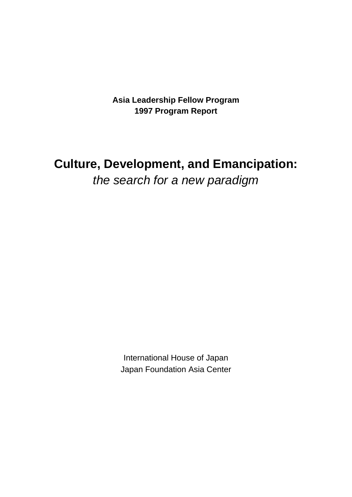**Asia Leadership Fellow Program 1997 Program Report**

# **Culture, Development, and Emancipation:** the search for a new paradigm

International House of Japan Japan Foundation Asia Center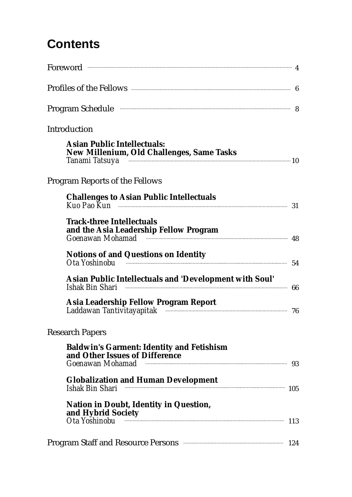# **Contents**

| Profiles of the Fellows <b>Election</b> 6                                                                                                                                                     |     |
|-----------------------------------------------------------------------------------------------------------------------------------------------------------------------------------------------|-----|
| Program Schedule <b>Exercise Schedule</b> 8                                                                                                                                                   |     |
| Introduction                                                                                                                                                                                  |     |
| <b>Asian Public Intellectuals:</b><br>New Millenium, Old Challenges, Same Tasks<br>Tanami Tatsuya <b>www.warendo.com/marginalisation</b> 10                                                   |     |
| <b>Program Reports of the Fellows</b>                                                                                                                                                         |     |
| <b>Challenges to Asian Public Intellectuals</b>                                                                                                                                               |     |
| <b>Track-three Intellectuals</b><br>and the Asia Leadership Fellow Program<br>Goenawan Mohamad (1897) and the substitution of the substitution of the substitution of the substitution of the |     |
| <b>Notions of and Questions on Identity</b><br><b>Notions of and Questions on Identity</b><br>Ota Yoshinobu                                                                                   |     |
| Asian Public Intellectuals and 'Development with Soul'                                                                                                                                        | 66  |
| Asia Leadership Fellow Program Report                                                                                                                                                         |     |
| <b>Research Papers</b>                                                                                                                                                                        |     |
| <b>Baldwin's Garment: Identity and Fetishism</b><br>and Other Issues of Difference<br>Goenawan Mohamad <b>Warrell Street Community</b> 33                                                     |     |
| <b>Globalization and Human Development</b><br>Ishak Bin Shari                                                                                                                                 | 105 |
| <b>Nation in Doubt, Identity in Question,</b><br>and Hybrid Society<br>Ota Yoshinobu                                                                                                          | 113 |
| <b>Program Staff and Resource Persons </b>                                                                                                                                                    | 124 |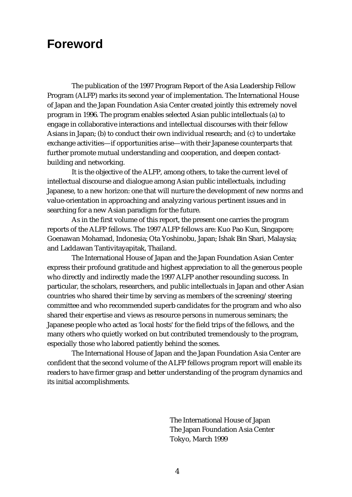### **Foreword**

The publication of the 1997 Program Report of the Asia Leadership Fellow Program (ALFP) marks its second year of implementation. The International House of Japan and the Japan Foundation Asia Center created jointly this extremely novel program in 1996. The program enables selected Asian public intellectuals (a) to engage in collaborative interactions and intellectual discourses with their fellow Asians in Japan; (b) to conduct their own individual research; and (c) to undertake exchange activities—if opportunities arise—with their Japanese counterparts that further promote mutual understanding and cooperation, and deepen contactbuilding and networking.

It is the objective of the ALFP, among others, to take the current level of intellectual discourse and dialogue among Asian public intellectuals, including Japanese, to a new horizon: one that will nurture the development of new norms and value-orientation in approaching and analyzing various pertinent issues and in searching for a new Asian paradigm for the future.

As in the first volume of this report, the present one carries the program reports of the ALFP fellows. The 1997 ALFP fellows are: Kuo Pao Kun, Singapore; Goenawan Mohamad, Indonesia; Ota Yoshinobu, Japan; Ishak Bin Shari, Malaysia; and Laddawan Tantivitayapitak, Thailand.

The International House of Japan and the Japan Foundation Asian Center express their profound gratitude and highest appreciation to all the generous people who directly and indirectly made the 1997 ALFP another resounding success. In particular, the scholars, researchers, and public intellectuals in Japan and other Asian countries who shared their time by serving as members of the screening/steering committee and who recommended superb candidates for the program and who also shared their expertise and views as resource persons in numerous seminars; the Japanese people who acted as 'local hosts' for the field trips of the fellows, and the many others who quietly worked on but contributed tremendously to the program, especially those who labored patiently behind the scenes.

The International House of Japan and the Japan Foundation Asia Center are confident that the second volume of the ALFP fellows program report will enable its readers to have firmer grasp and better understanding of the program dynamics and its initial accomplishments.

> The International House of Japan The Japan Foundation Asia Center Tokyo, March 1999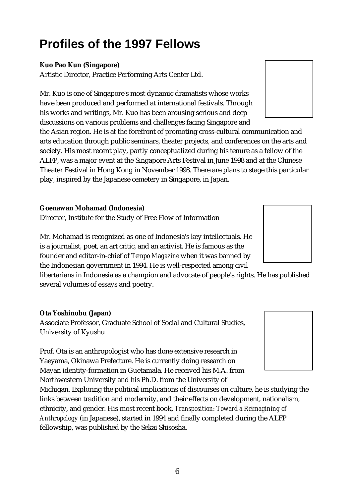# **Profiles of the 1997 Fellows**

#### **Kuo Pao Kun (Singapore)**

Artistic Director, Practice Performing Arts Center Ltd.

Mr. Kuo is one of Singapore's most dynamic dramatists whose works have been produced and performed at international festivals. Through his works and writings, Mr. Kuo has been arousing serious and deep discussions on various problems and challenges facing Singapore and

the Asian region. He is at the forefront of promoting cross-cultural communication and arts education through public seminars, theater projects, and conferences on the arts and society. His most recent play, partly conceptualized during his tenure as a fellow of the ALFP, was a major event at the Singapore Arts Festival in June 1998 and at the Chinese Theater Festival in Hong Kong in November 1998. There are plans to stage this particular play, inspired by the Japanese cemetery in Singapore, in Japan.

#### **Goenawan Mohamad (Indonesia)**

Director, Institute for the Study of Free Flow of Information

Mr. Mohamad is recognized as one of Indonesia's key intellectuals. He is a journalist, poet, an art critic, and an activist. He is famous as the founder and editor-in-chief of *Tempo Magazine* when it was banned by the Indonesian government in 1994. He is well-respected among civil

libertarians in Indonesia as a champion and advocate of people's rights. He has published several volumes of essays and poetry.

#### **Ota Yoshinobu (Japan)**

Associate Professor, Graduate School of Social and Cultural Studies, University of Kyushu

Prof. Ota is an anthropologist who has done extensive research in Yaeyama, Okinawa Prefecture. He is currently doing research on Mayan identity-formation in Guetamala. He received his M.A. from Northwestern University and his Ph.D. from the University of

Michigan. Exploring the political implications of discourses on culture, he is studying the links between tradition and modernity, and their effects on development, nationalism, ethnicity, and gender. His most recent book, *Transposition: Toward a Reimagining of Anthropology* (in Japanese), started in 1994 and finally completed during the ALFP fellowship, was published by the Sekai Shisosha.





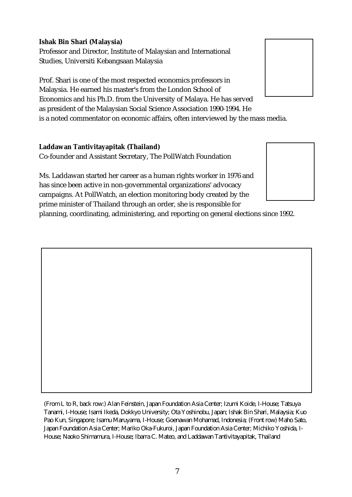#### **Ishak Bin Shari (Malaysia)**

Professor and Director, Institute of Malaysian and International Studies, Universiti Kebangsaan Malaysia

Prof. Shari is one of the most respected economics professors in Malaysia. He earned his master's from the London School of Economics and his Ph.D. from the University of Malaya. He has served as president of the Malaysian Social Science Association 1990-1994. He is a noted commentator on economic affairs, often interviewed by the mass media.

#### **Laddawan Tantivitayapitak (Thailand)**

Co-founder and Assistant Secretary, The PollWatch Foundation

Ms. Laddawan started her career as a human rights worker in 1976 and has since been active in non-governmental organizations' advocacy campaigns. At PollWatch, an election monitoring body created by the prime minister of Thailand through an order, she is responsible for

planning, coordinating, administering, and reporting on general elections since 1992.

(From L to R, back row:) Alan Feinstein, Japan Foundation Asia Center; Izumi Koide, I-House; Tatsuya Tanami, I-House; Isami Ikeda, Dokkyo University; Ota Yoshinobu, Japan; Ishak Bin Shari, Malaysia; Kuo Pao Kun, Singapore; Isamu Maruyama, I-House; Goenawan Mohamad, Indonesia; (Front row) Maho Sato, Japan Foundation Asia Center; Mariko Oka-Fukuroi, Japan Foundation Asia Center; Michiko Yoshida, I-House; Naoko Shimamura, I-House; Ibarra C. Mateo, and Laddawan Tantivitayapitak, Thailand



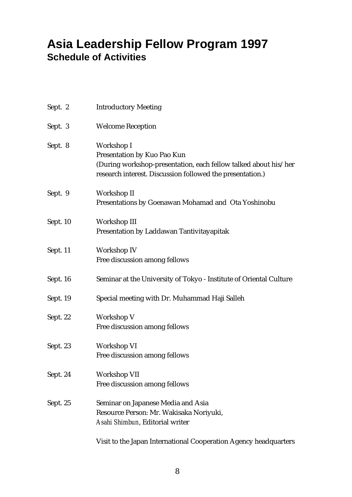## **Asia Leadership Fellow Program 1997 Schedule of Activities**

| Sept. 2  | <b>Introductory Meeting</b>                                                                                                                                               |
|----------|---------------------------------------------------------------------------------------------------------------------------------------------------------------------------|
| Sept. 3  | <b>Welcome Reception</b>                                                                                                                                                  |
| Sept. 8  | Workshop I<br>Presentation by Kuo Pao Kun<br>(During workshop-presentation, each fellow talked about his/her<br>research interest. Discussion followed the presentation.) |
| Sept. 9  | Workshop II<br>Presentations by Goenawan Mohamad and Ota Yoshinobu                                                                                                        |
| Sept. 10 | Workshop III<br>Presentation by Laddawan Tantivitayapitak                                                                                                                 |
| Sept. 11 | Workshop IV<br>Free discussion among fellows                                                                                                                              |
| Sept. 16 | Seminar at the University of Tokyo - Institute of Oriental Culture                                                                                                        |
| Sept. 19 | Special meeting with Dr. Muhammad Haji Salleh                                                                                                                             |
| Sept. 22 | Workshop V<br>Free discussion among fellows                                                                                                                               |
| Sept. 23 | Workshop VI<br>Free discussion among fellows                                                                                                                              |
| Sept. 24 | Workshop VII<br>Free discussion among fellows                                                                                                                             |
| Sept. 25 | Seminar on Japanese Media and Asia<br>Resource Person: Mr. Wakisaka Noriyuki,<br>Asahi Shimbun, Editorial writer                                                          |
|          | Visit to the Japan International Cooperation Agency headquarters                                                                                                          |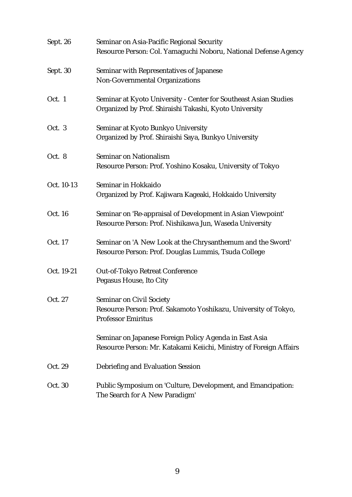| Sept. 26   | Seminar on Asia-Pacific Regional Security                                                    |
|------------|----------------------------------------------------------------------------------------------|
|            | Resource Person: Col. Yamaguchi Noboru, National Defense Agency                              |
| Sept. 30   | Seminar with Representatives of Japanese                                                     |
|            | Non-Governmental Organizations                                                               |
| Oct. 1     | Seminar at Kyoto University - Center for Southeast Asian Studies                             |
|            | Organized by Prof. Shiraishi Takashi, Kyoto University                                       |
| Oct. 3     | Seminar at Kyoto Bunkyo University                                                           |
|            | Organized by Prof. Shiraishi Saya, Bunkyo University                                         |
| Oct. 8     | Seminar on Nationalism                                                                       |
|            | Resource Person: Prof. Yoshino Kosaku, University of Tokyo                                   |
| Oct. 10-13 | Seminar in Hokkaido                                                                          |
|            | Organized by Prof. Kajiwara Kageaki, Hokkaido University                                     |
| Oct. 16    | Seminar on 'Re-appraisal of Development in Asian Viewpoint'                                  |
|            | Resource Person: Prof. Nishikawa Jun, Waseda University                                      |
| Oct. 17    | Seminar on 'A New Look at the Chrysanthemum and the Sword'                                   |
|            | Resource Person: Prof. Douglas Lummis, Tsuda College                                         |
| Oct. 19-21 | Out-of-Tokyo Retreat Conference                                                              |
|            | Pegasus House, Ito City                                                                      |
| Oct. 27    | <b>Seminar on Civil Society</b>                                                              |
|            | Resource Person: Prof. Sakamoto Yoshikazu, University of Tokyo,<br><b>Professor Emiritus</b> |
|            | Seminar on Japanese Foreign Policy Agenda in East Asia                                       |
|            | Resource Person: Mr. Katakami Keiichi, Ministry of Foreign Affairs                           |
| Oct. 29    | Debriefing and Evaluation Session                                                            |
| Oct. 30    | Public Symposium on 'Culture, Development, and Emancipation:                                 |
|            | The Search for A New Paradigm'                                                               |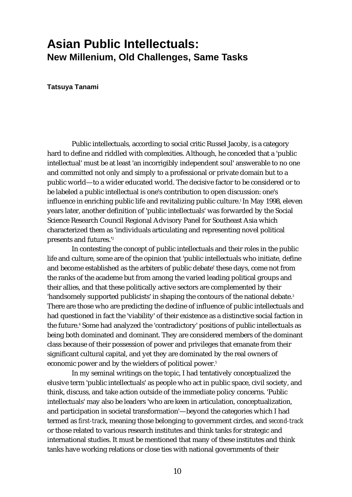## **Asian Public Intellectuals: New Millenium, Old Challenges, Same Tasks**

**Tatsuya Tanami**

Public intellectuals, according to social critic Russel Jacoby, is a category hard to define and riddled with complexities. Although, he conceded that a 'public intellectual' must be at least 'an incorrigibly independent soul' answerable to no one and committed not only and simply to a professional or private domain but to a public world—to a wider educated world. The decisive factor to be considered or to be labeled a public intellectual is one's contribution to open discussion: one's influence in enriching public life and revitalizing public culture.<sup>1</sup> In May 1998, eleven years later, another definition of 'public intellectuals' was forwarded by the Social Science Research Council Regional Advisory Panel for Southeast Asia which characterized them as 'individuals articulating and representing novel political presents and futures.'2

In contesting the concept of public intellectuals and their roles in the public life and culture, some are of the opinion that 'public intellectuals who initiate, define and become established as the arbiters of public debate' these days, come not from the ranks of the academe but from among the varied leading political groups and their allies, and that these politically active sectors are complemented by their 'handsomely supported publicists' in shaping the contours of the national debate.<sup>3</sup> There are those who are predicting the decline of influence of public intellectuals and had questioned in fact the 'viability' of their existence as a distinctive social faction in the future.<sup>4</sup> Some had analyzed the 'contradictory' positions of public intellectuals as being both dominated and dominant. They are considered members of the dominant class because of their possession of power and privileges that emanate from their significant cultural capital, and yet they are dominated by the real owners of economic power and by the wielders of political power.<sup>5</sup>

In my seminal writings on the topic, I had tentatively conceptualized the elusive term 'public intellectuals' as people who act in public space, civil society, and think, discuss, and take action outside of the immediate policy concerns. 'Public intellectuals' may also be leaders 'who are keen in articulation, conceptualization, and participation in societal transformation'—beyond the categories which I had termed as *first-track*, meaning those belonging to government circles, and *second-track* or those related to various research institutes and think tanks for strategic and international studies. It must be mentioned that many of these institutes and think tanks have working relations or close ties with national governments of their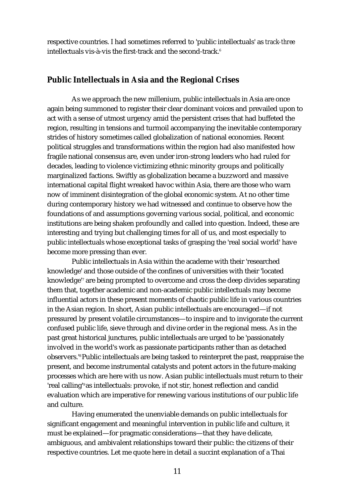respective countries. I had sometimes referred to 'public intellectuals' as *track-three* intellectuals vis-à-vis the first-track and the second-track.<sup>6</sup>

#### **Public Intellectuals in Asia and the Regional Crises**

As we approach the new millenium, public intellectuals in Asia are once again being summoned to register their clear dominant voices and prevailed upon to act with a sense of utmost urgency amid the persistent crises that had buffeted the region, resulting in tensions and turmoil accompanying the inevitable contemporary strides of history sometimes called globalization of national economies. Recent political struggles and transformations within the region had also manifested how fragile national consensus are, even under iron-strong leaders who had ruled for decades, leading to violence victimizing ethnic minority groups and politically marginalized factions. Swiftly as globalization became a buzzword and massive international capital flight wreaked havoc within Asia, there are those who warn now of imminent disintegration of the global economic system. At no other time during contemporary history we had witnessed and continue to observe how the foundations of and assumptions governing various social, political, and economic institutions are being shaken profoundly and called into question. Indeed, these are interesting and trying but challenging times for all of us, and most especially to public intellectuals whose exceptional tasks of grasping the 'real social world' have become more pressing than ever.

Public intellectuals in Asia within the academe with their 'researched knowledge' and those outside of the confines of universities with their 'located knowledge'7 are being prompted to overcome and cross the deep divides separating them that, together academic and non-academic public intellectuals may become influential actors in these present moments of chaotic public life in various countries in the Asian region. In short, Asian public intellectuals are encouraged—if not pressured by present volatile circumstances—to inspire and to invigorate the current confused public life, sieve through and divine order in the regional mess. As in the past great historical junctures, public intellectuals are urged to be 'passionately involved in the world's work as passionate participants rather than as detached observers.'8Public intellectuals are being tasked to reinterpret the past, reappraise the present, and become instrumental catalysts and potent actors in the future-making processes which are here with us now. Asian public intellectuals must return to their 'real calling'9 as intellectuals: provoke, if not stir, honest reflection and candid evaluation which are imperative for renewing various institutions of our public life and culture.

Having enumerated the unenviable demands on public intellectuals for significant engagement and meaningful intervention in public life and culture, it must be explained—for pragmatic considerations—that they have delicate, ambiguous, and ambivalent relationships toward their public: the citizens of their respective countries. Let me quote here in detail a succint explanation of a Thai

11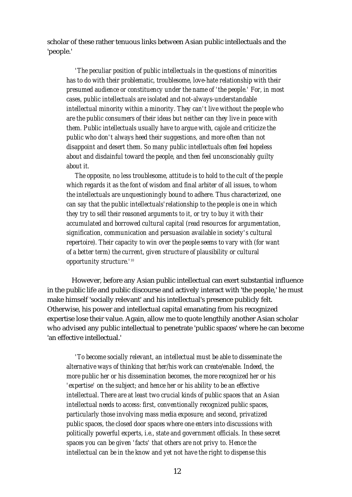scholar of these rather tenuous links between Asian public intellectuals and the 'people.'

*'The peculiar position of public intellectuals in the questions of minorities has to do with their problematic, troublesome, love-hate relationship with their presumed audience or constituency under the name of 'the people.' For, in most cases, public intellectuals are isolated and not-always-understandable intellectual minority within a minority. They can't live without the people who are the public consumers of their ideas but neither can they live in peace with them. Public intellectuals usually have to argue with, cajole and criticize the public who don't always heed their suggestions, and more often than not disappoint and desert them. So many public intellectuals often feel hopeless about and disdainful toward the people, and then feel unconscionably guilty about it.*

*The opposite, no less troublesome, attitude is to hold to the cult of the people which regards it as the font of wisdom and final arbiter of all issues, to whom the intellectuals are unquestioningly bound to adhere. Thus characterized, one can say that the public intellectuals'relationship to the people is one in which they try to sell their reasoned arguments to it, or try to buy it with their accumulated and borrowed cultural capital (read resources for argumentation, signification, communication and persuasion available in society's cultural repertoire). Their capacity to win over the people seems to vary with (for want of a better term) the current, given structure of plausibility or cultural opportunity structure.'10*

However, before any Asian public intellectual can exert substantial influence in the public life and public discourse and actively interact with 'the people,' he must make himself 'socially relevant' and his intellectual's presence publicly felt. Otherwise, his power and intellectual capital emanating from his recognized expertise lose their value. Again, allow me to quote lengthily another Asian scholar who advised any public intellectual to penetrate 'public spaces' where he can become 'an effective intellectual.'

*'To become socially relevant, an intellectual must be able to disseminate the alternative ways of thinking that her/his work can create/enable. Indeed, the more public her or his dissemination becomes, the more recognized her or his 'expertise' on the subject; and hence her or his ability to be an effective intellectual. There are at least two crucial kinds of public spaces that an Asian intellectual needs to access: first, conventionally recognized public spaces, particularly those involving mass media exposure; and second, privatized public spaces, the closed door spaces where one enters into discussions with politically powerful experts, i.e., state and government officials. In these secret spaces you can be given 'facts' that others are not privy to. Hence the intellectual can be in the know and yet not have the right to dispense this*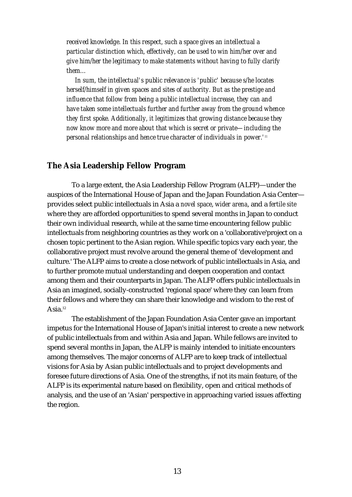*received knowledge. In this respect, such a space gives an intellectual a particular distinction which, effectively, can be used to win him/her over and give him/her the legitimacy to make statements without having to fully clarify them…*

*In sum, the intellectual's public relevance is 'public' because s/he locates herself/himself in given spaces and sites of authority. But as the prestige and influence that follow from being a public intellectual increase, they can and have taken some intellectuals further and further away from the ground whence they first spoke. Additionally, it legitimizes that growing distance because they now know more and more about that which is secret or private—including the personal relationships and hence true character of individuals in power.'11*

#### **The Asia Leadership Fellow Program**

To a large extent, the Asia Leadership Fellow Program (ALFP)—under the auspices of the International House of Japan and the Japan Foundation Asia Center provides select public intellectuals in Asia a *novel space*, *wider arena*, and a *fertile site* where they are afforded opportunities to spend several months in Japan to conduct their own individual research, while at the same time encountering fellow public intellectuals from neighboring countries as they work on a 'collaborative'project on a chosen topic pertinent to the Asian region. While specific topics vary each year, the collaborative project must revolve around the general theme of 'development and culture.' The ALFP aims to create a close network of public intellectuals in Asia, and to further promote mutual understanding and deepen cooperation and contact among them and their counterparts in Japan. The ALFP offers public intellectuals in Asia an imagined, socially-constructed 'regional space' where they can learn from their fellows and where they can share their knowledge and wisdom to the rest of Asia. $12$ 

The establishment of the Japan Foundation Asia Center gave an important impetus for the International House of Japan's initial interest to create a new network of public intellectuals from and within Asia and Japan. While fellows are invited to spend several months in Japan, the ALFP is mainly intended to initiate encounters among themselves. The major concerns of ALFP are to keep track of intellectual visions for Asia by Asian public intellectuals and to project developments and foresee future directions of Asia. One of the strengths, if not its main feature, of the ALFP is its experimental nature based on flexibility, open and critical methods of analysis, and the use of an 'Asian' perspective in approaching varied issues affecting the region.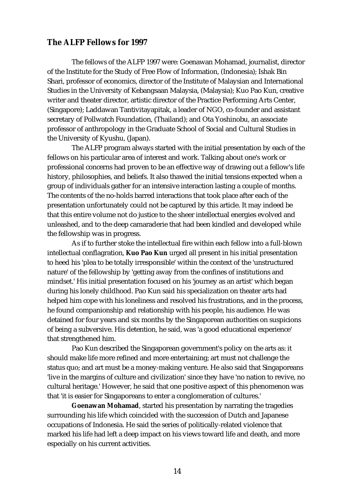#### **The ALFP Fellows for 1997**

The fellows of the ALFP 1997 were: Goenawan Mohamad, journalist, director of the Institute for the Study of Free Flow of Information, (Indonesia); Ishak Bin Shari, professor of economics, director of the Institute of Malaysian and International Studies in the University of Kebangsaan Malaysia, (Malaysia); Kuo Pao Kun, creative writer and theater director, artistic director of the Practice Performing Arts Center, (Singapore); Laddawan Tantivitayapitak, a leader of NGO, co-founder and assistant secretary of Pollwatch Foundation, (Thailand); and Ota Yoshinobu, an associate professor of anthropology in the Graduate School of Social and Cultural Studies in the University of Kyushu, (Japan).

The ALFP program always started with the initial presentation by each of the fellows on his particular area of interest and work. Talking about one's work or professional concerns had proven to be an effective way of drawing out a fellow's life history, philosophies, and beliefs. It also thawed the initial tensions expected when a group of individuals gather for an intensive interaction lasting a couple of months. The contents of the no-holds barred interactions that took place after each of the presentation unfortunately could not be captured by this article. It may indeed be that this entire volume not do justice to the sheer intellectual energies evolved and unleashed, and to the deep camaraderie that had been kindled and developed while the fellowship was in progress.

As if to further stoke the intellectual fire within each fellow into a full-blown intellectual conflagration, **Kuo Pao Kun** urged all present in his initial presentation to heed his 'plea to be totally irresponsible' within the context of the 'unstructured nature' of the fellowship by 'getting away from the confines of institutions and mindset.' His initial presentation focused on his 'journey as an artist' which began during his lonely childhood. Pao Kun said his specialization on theater arts had helped him cope with his loneliness and resolved his frustrations, and in the process, he found companionship and relationship with his people, his audience. He was detained for four years and six months by the Singaporean authorities on suspicions of being a subversive. His detention, he said, was 'a good educational experience' that strengthened him.

Pao Kun described the Singaporean government's policy on the arts as: it should make life more refined and more entertaining; art must not challenge the status quo; and art must be a money-making venture. He also said that Singaporeans 'live in the margins of culture and civilization' since they have 'no nation to revive, no cultural heritage.' However, he said that one positive aspect of this phenomenon was that 'it is easier for Singaporeans to enter a conglomeration of cultures.'

**Goenawan Mohamad**, started his presentation by narrating the tragedies surrounding his life which coincided with the succession of Dutch and Japanese occupations of Indonesia. He said the series of politically-related violence that marked his life had left a deep impact on his views toward life and death, and more especially on his current activities.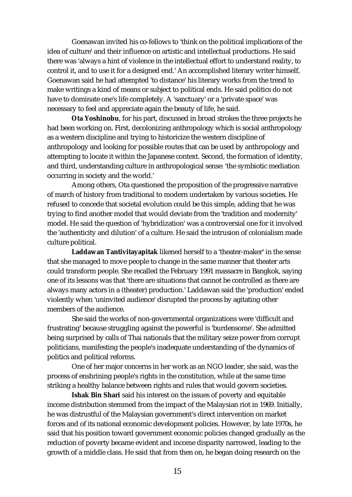Goenawan invited his co-fellows to 'think on the political implications of the idea of culture' and their influence on artistic and intellectual productions. He said there was 'always a hint of violence in the intellectual effort to understand reality, to control it, and to use it for a designed end.' An accomplished literary writer himself, Goenawan said he had attempted 'to distance' his literary works from the trend to make writings a kind of means or subject to political ends. He said politics do not have to dominate one's life completely. A 'sanctuary' or a 'private space' was necessary to feel and appreciate again the beauty of life, he said.

**Ota Yoshinobu**, for his part, discussed in broad strokes the three projects he had been working on. First, decolonizing anthropology which is social anthropology as a western discipline and trying to historicize the western discipline of anthropology and looking for possible routes that can be used by anthropology and attempting to locate it within the Japanese context. Second, the formation of identity, and third, understanding culture in anthropological sense: 'the symbiotic mediation occurring in society and the world.'

Among others, Ota questioned the proposition of the progressive narrative of march of history from traditional to modern undertaken by various societies. He refused to concede that societal evolution could be this simple, adding that he was trying to find another model that would deviate from the 'tradition and modernity' model. He said the question of 'hybridization' was a controversial one for it involved the 'authenticity and dilution' of a culture. He said the intrusion of colonialism made culture political.

**Laddawan Tantivitayapitak** likened herself to a 'theater-maker' in the sense that she managed to move people to change in the same manner that theater arts could transform people. She recalled the February 1991 massacre in Bangkok, saying one of its lessons was that 'there are situations that cannot be controlled as there are always many actors in a (theater) production.' Laddawan said the 'production' ended violently when 'uninvited audience' disrupted the process by agitating other members of the audience.

She said the works of non-governmental organizations were 'difficult and frustrating' because struggling against the powerful is 'burdensome'. She admitted being surprised by calls of Thai nationals that the military seize power from corrupt politicians, manifesting the people's inadequate understanding of the dynamics of politics and political reforms.

One of her major concerns in her work as an NGO leader, she said, was the process of enshrining people's rights in the constitution, while at the same time striking a healthy balance between rights and rules that would govern societies.

**Ishak Bin Shari** said his interest on the issues of poverty and equitable income distribution stemmed from the impact of the Malaysian riot in 1969. Initially, he was distrustful of the Malaysian government's direct intervention on market forces and of its national economic development policies. However, by late 1970s, he said that his position toward government economic policies changed gradually as the reduction of poverty became evident and income disparity narrowed, leading to the growth of a middle class. He said that from then on, he began doing research on the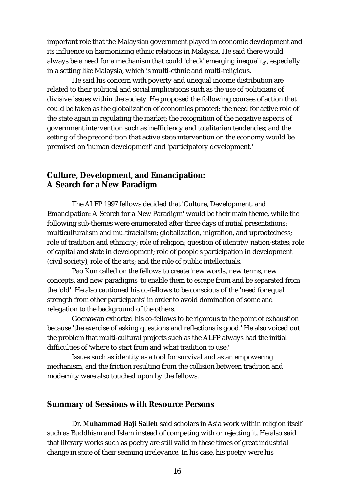important role that the Malaysian government played in economic development and its influence on harmonizing ethnic relations in Malaysia. He said there would always be a need for a mechanism that could 'check' emerging inequality, especially in a setting like Malaysia, which is multi-ethnic and multi-religious.

He said his concern with poverty and unequal income distribution are related to their political and social implications such as the use of politicians of divisive issues within the society. He proposed the following courses of action that could be taken as the globalization of economies proceed: the need for active role of the state again in regulating the market; the recognition of the negative aspects of government intervention such as inefficiency and totalitarian tendencies; and the setting of the precondition that active state intervention on the economy would be premised on 'human development' and 'participatory development.'

#### **Culture, Development, and Emancipation: A Search for a New Paradigm**

The ALFP 1997 fellows decided that 'Culture, Development, and Emancipation: A Search for a New Paradigm' would be their main theme, while the following sub-themes were enumerated after three days of initial presentations: multiculturalism and multiracialism; globalization, migration, and uprootedness; role of tradition and ethnicity; role of religion; question of identity/nation-states; role of capital and state in development; role of people's participation in development (civil society); role of the arts; and the role of public intellectuals.

Pao Kun called on the fellows to create 'new words, new terms, new concepts, and new paradigms' to enable them to escape from and be separated from the 'old'. He also cautioned his co-fellows to be conscious of the 'need for equal strength from other participants' in order to avoid domination of some and relegation to the background of the others.

Goenawan exhorted his co-fellows to be rigorous to the point of exhaustion because 'the exercise of asking questions and reflections is good.' He also voiced out the problem that multi-cultural projects such as the ALFP always had the initial difficulties of 'where to start from and what tradition to use.'

Issues such as identity as a tool for survival and as an empowering mechanism, and the friction resulting from the collision between tradition and modernity were also touched upon by the fellows.

#### **Summary of Sessions with Resource Persons**

Dr. **Muhammad Haji Salleh** said scholars in Asia work within religion itself such as Buddhism and Islam instead of competing with or rejecting it. He also said that literary works such as poetry are still valid in these times of great industrial change in spite of their seeming irrelevance. In his case, his poetry were his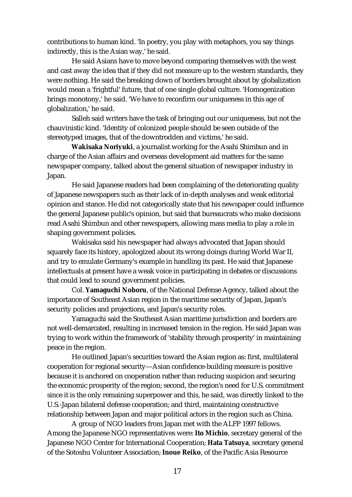contributions to human kind. 'In poetry, you play with metaphors, you say things indirectly, this is the Asian way,' he said.

He said Asians have to move beyond comparing themselves with the west and cast away the idea that if they did not measure up to the western standards, they were nothing. He said the breaking down of borders brought about by globalization would mean a 'frightful' future, that of one single global culture. 'Homogenization brings monotony,' he said. 'We have to reconfirm our uniqueness in this age of globalization,' he said.

Salleh said writers have the task of bringing out our uniqueness, but not the chauvinistic kind. 'Identity of colonized people should be seen outside of the stereotyped images, that of the downtrodden and victims,' he said.

**Wakisaka Noriyuki**, a journalist working for the Asahi Shimbun and in charge of the Asian affairs and overseas development aid matters for the same newspaper company, talked about the general situation of newspaper industry in Japan.

He said Japanese readers had been complaining of the deteriorating quality of Japanese newspapers such as their lack of in-depth analyses and weak editorial opinion and stance. He did not categorically state that his newspaper could influence the general Japanese public's opinion, but said that bureaucrats who make decisions read Asahi Shimbun and other newspapers, allowing mass media to play a role in shaping government policies.

Wakisaka said his newspaper had always advocated that Japan should squarely face its history, apologized about its wrong doings during World War II, and try to emulate Germany's example in handling its past. He said that Japanese intellectuals at present have a weak voice in participating in debates or discussions that could lead to sound government policies.

Col. **Yamaguchi Noboru**, of the National Defense Agency, talked about the importance of Southeast Asian region in the maritime security of Japan, Japan's security policies and projections, and Japan's security roles.

Yamaguchi said the Southeast Asian maritime jurisdiction and borders are not well-demarcated, resulting in increased tension in the region. He said Japan was trying to work within the framework of 'stability through prosperity' in maintaining peace in the region.

He outlined Japan's securities toward the Asian region as: first, multilateral cooperation for regional security—Asian confidence-building measure is positive because it is anchored on cooperation rather than reducing suspicion and securing the economic prosperity of the region; second, the region's need for U.S. commitment since it is the only remaining superpower and this, he said, was directly linked to the U.S.-Japan bilateral defense cooperation; and third, maintaining constructive relationship between Japan and major political actors in the region such as China.

A group of NGO leaders from Japan met with the ALFP 1997 fellows. Among the Japanese NGO representatives were: **Ito Michio**, secretary general of the Japanese NGO Center for International Cooperation; **Hata Tatsuya**, secretary general of the Sotoshu Volunteer Association; **Inoue Reiko**, of the Pacific Asia Resource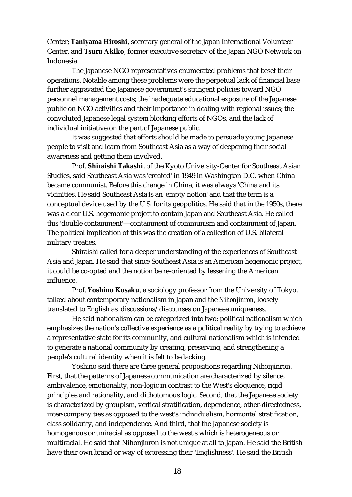Center; **Taniyama Hiroshi**, secretary general of the Japan International Volunteer Center, and **Tsuru Akiko**, former executive secretary of the Japan NGO Network on Indonesia.

The Japanese NGO representatives enumerated problems that beset their operations. Notable among these problems were the perpetual lack of financial base further aggravated the Japanese government's stringent policies toward NGO personnel management costs; the inadequate educational exposure of the Japanese public on NGO activities and their importance in dealing with regional issues; the convoluted Japanese legal system blocking efforts of NGOs, and the lack of individual initiative on the part of Japanese public.

It was suggested that efforts should be made to persuade young Japanese people to visit and learn from Southeast Asia as a way of deepening their social awareness and getting them involved.

Prof. **Shiraishi Takashi**, of the Kyoto University-Center for Southeast Asian Studies, said Southeast Asia was 'created' in 1949 in Washington D.C. when China became communist. Before this change in China, it was always 'China and its vicinities.'He said Southeast Asia is an 'empty notion' and that the term is a conceptual device used by the U.S. for its geopolitics. He said that in the 1950s, there was a clear U.S. hegemonic project to contain Japan and Southeast Asia. He called this 'double containment'—containment of communism and containment of Japan. The political implication of this was the creation of a collection of U.S. bilateral military treaties.

Shiraishi called for a deeper understanding of the experiences of Southeast Asia and Japan. He said that since Southeast Asia is an American hegemonic project, it could be co-opted and the notion be re-oriented by lessening the American influence.

Prof. **Yoshino Kosaku**, a sociology professor from the University of Tokyo, talked about contemporary nationalism in Japan and the *Nihonjinron*, loosely translated to English as 'discussions/discourses on Japanese uniqueness.'

He said nationalism can be categorized into two: political nationalism which emphasizes the nation's collective experience as a political reality by trying to achieve a representative state for its community, and cultural nationalism which is intended to generate a national community by creating, preserving, and strengthening a people's cultural identity when it is felt to be lacking.

Yoshino said there are three general propositions regarding Nihonjinron. First, that the patterns of Japanese communication are characterized by silence, ambivalence, emotionality, non-logic in contrast to the West's eloquence, rigid principles and rationality, and dichotomous logic. Second, that the Japanese society is characterized by groupism, vertical stratification, dependence, other-directedness, inter-company ties as opposed to the west's individualism, horizontal stratification, class solidarity, and independence. And third, that the Japanese society is homogenous or uniracial as opposed to the west's which is heterogeneous or multiracial. He said that Nihonjinron is not unique at all to Japan. He said the British have their own brand or way of expressing their 'Englishness'. He said the British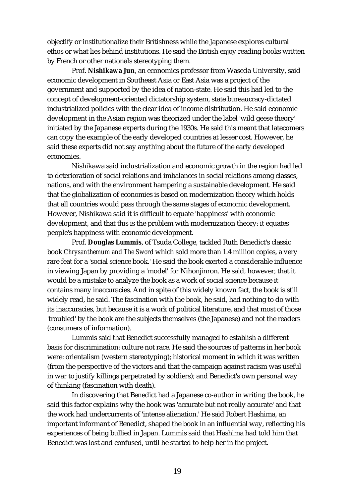objectify or institutionalize their Britishness while the Japanese explores cultural ethos or what lies behind institutions. He said the British enjoy reading books written by French or other nationals stereotyping them.

Prof. **Nishikawa Jun**, an economics professor from Waseda University, said economic development in Southeast Asia or East Asia was a project of the government and supported by the idea of nation-state. He said this had led to the concept of development-oriented dictatorship system, state bureaucracy-dictated industrialized policies with the clear idea of income distribution. He said economic development in the Asian region was theorized under the label 'wild geese theory' initiated by the Japanese experts during the 1930s. He said this meant that latecomers can copy the example of the early developed countries at lesser cost. However, he said these experts did not say anything about the future of the early developed economies.

Nishikawa said industrialization and economic growth in the region had led to deterioration of social relations and imbalances in social relations among classes, nations, and with the environment hampering a sustainable development. He said that the globalization of economies is based on modernization theory which holds that all countries would pass through the same stages of economic development. However, Nishikawa said it is difficult to equate 'happiness' with economic development, and that this is the problem with modernization theory: it equates people's happiness with economic development.

Prof. **Douglas Lummis**, of Tsuda College, tackled Ruth Benedict's classic book *Chrysanthemum and The Sword* which sold more than 1.4 million copies, a very rare feat for a 'social science book.' He said the book exerted a considerable influence in viewing Japan by providing a 'model' for Nihonjinron. He said, however, that it would be a mistake to analyze the book as a work of social science because it contains many inaccuracies. And in spite of this widely known fact, the book is still widely read, he said. The fascination with the book, he said, had nothing to do with its inaccuracies, but because it is a work of political literature, and that most of those 'troubled' by the book are the subjects themselves (the Japanese) and not the readers (consumers of information).

Lummis said that Benedict successfully managed to establish a different basis for discrimination: culture not race. He said the sources of patterns in her book were: orientalism (western stereotyping); historical moment in which it was written (from the perspective of the victors and that the campaign against racism was useful in war to justify killings perpetrated by soldiers); and Benedict's own personal way of thinking (fascination with death).

In discovering that Benedict had a Japanese co-author in writing the book, he said this factor explains why the book was 'accurate but not really accurate' and that the work had undercurrents of 'intense alienation.' He said Robert Hashima, an important informant of Benedict, shaped the book in an influential way, reflecting his experiences of being bullied in Japan. Lummis said that Hashima had told him that Benedict was lost and confused, until he started to help her in the project.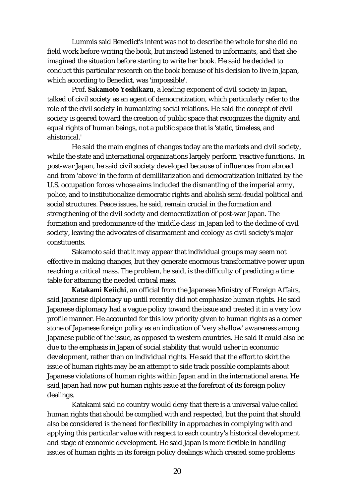Lummis said Benedict's intent was not to describe the whole for she did no field work before writing the book, but instead listened to informants, and that she imagined the situation before starting to write her book. He said he decided to conduct this particular research on the book because of his decision to live in Japan, which according to Benedict, was 'impossible'.

Prof. **Sakamoto Yoshikazu**, a leading exponent of civil society in Japan, talked of civil society as an agent of democratization, which particularly refer to the role of the civil society in humanizing social relations. He said the concept of civil society is geared toward the creation of public space that recognizes the dignity and equal rights of human beings, not a public space that is 'static, timeless, and ahistorical.'

He said the main engines of changes today are the markets and civil society, while the state and international organizations largely perform 'reactive functions.' In post-war Japan, he said civil society developed because of influences from abroad and from 'above' in the form of demilitarization and democratization initiated by the U.S. occupation forces whose aims included the dismantling of the imperial army, police, and to institutionalize democratic rights and abolish semi-feudal political and social structures. Peace issues, he said, remain crucial in the formation and strengthening of the civil society and democratization of post-war Japan. The formation and predominance of the 'middle class' in Japan led to the decline of civil society, leaving the advocates of disarmament and ecology as civil society's major constituents.

Sakamoto said that it may appear that individual groups may seem not effective in making changes, but they generate enormous transformative power upon reaching a critical mass. The problem, he said, is the difficulty of predicting a time table for attaining the needed critical mass.

**Katakami Keiichi**, an official from the Japanese Ministry of Foreign Affairs, said Japanese diplomacy up until recently did not emphasize human rights. He said Japanese diplomacy had a vague policy toward the issue and treated it in a very low profile manner. He accounted for this low priority given to human rights as a corner stone of Japanese foreign policy as an indication of 'very shallow' awareness among Japanese public of the issue, as opposed to western countries. He said it could also be due to the emphasis in Japan of social stability that would usher in economic development, rather than on individual rights. He said that the effort to skirt the issue of human rights may be an attempt to side track possible complaints about Japanese violations of human rights within Japan and in the international arena. He said Japan had now put human rights issue at the forefront of its foreign policy dealings.

Katakami said no country would deny that there is a universal value called human rights that should be complied with and respected, but the point that should also be considered is the need for flexibility in approaches in complying with and applying this particular value with respect to each country's historical development and stage of economic development. He said Japan is more flexible in handling issues of human rights in its foreign policy dealings which created some problems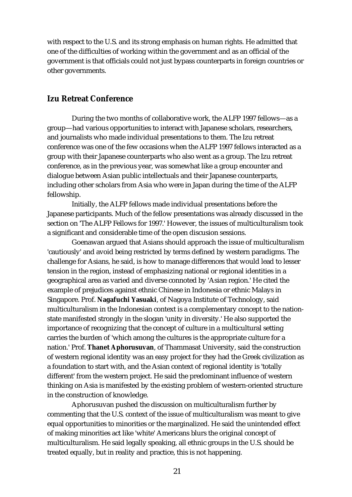with respect to the U.S. and its strong emphasis on human rights. He admitted that one of the difficulties of working within the government and as an official of the government is that officials could not just bypass counterparts in foreign countries or other governments.

#### **Izu Retreat Conference**

During the two months of collaborative work, the ALFP 1997 fellows—as a group—had various opportunities to interact with Japanese scholars, researchers, and journalists who made individual presentations to them. The Izu retreat conference was one of the few occasions when the ALFP 1997 fellows interacted as a group with their Japanese counterparts who also went as a group. The Izu retreat conference, as in the previous year, was somewhat like a group encounter and dialogue between Asian public intellectuals and their Japanese counterparts, including other scholars from Asia who were in Japan during the time of the ALFP fellowship.

Initially, the ALFP fellows made individual presentations before the Japanese participants. Much of the fellow presentations was already discussed in the section on 'The ALFP Fellows for 1997.' However, the issues of multiculturalism took a significant and considerable time of the open discusion sessions.

Goenawan argued that Asians should approach the issue of multiculturalism 'cautiously' and avoid being restricted by terms defined by western paradigms. The challenge for Asians, he said, is how to manage differences that would lead to lesser tension in the region, instead of emphasizing national or regional identities in a geographical area as varied and diverse connoted by 'Asian region.' He cited the example of prejudices against ethnic Chinese in Indonesia or ethnic Malays in Singapore. Prof. **Nagafuchi Yasuaki**, of Nagoya Institute of Technology, said multiculturalism in the Indonesian context is a complementary concept to the nationstate manifested strongly in the slogan 'unity in diversity.' He also supported the importance of recognizing that the concept of culture in a multicultural setting carries the burden of 'which among the cultures is the appropriate culture for a nation.' Prof. **Thanet Aphorusuvan**, of Thammasat University, said the construction of western regional identity was an easy project for they had the Greek civilization as a foundation to start with, and the Asian context of regional identity is 'totally different' from the western project. He said the predominant influence of western thinking on Asia is manifested by the existing problem of western-oriented structure in the construction of knowledge.

Aphorusuvan pushed the discussion on multiculturalism further by commenting that the U.S. context of the issue of multiculturalism was meant to give equal opportunities to minorities or the marginalized. He said the unintended effect of making minorities act like 'white' Americans blurs the original concept of multiculturalism. He said legally speaking, all ethnic groups in the U.S. should be treated equally, but in reality and practice, this is not happening.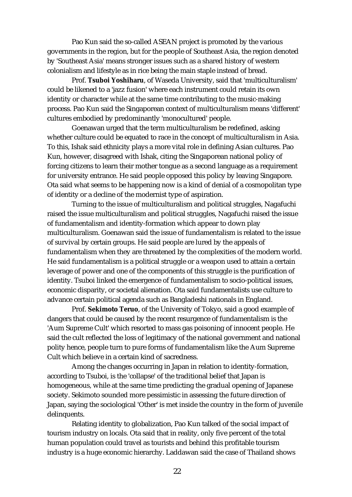Pao Kun said the so-called ASEAN project is promoted by the various governments in the region, but for the people of Southeast Asia, the region denoted by 'Southeast Asia' means stronger issues such as a shared history of western colonialism and lifestyle as in rice being the main staple instead of bread.

Prof. **Tsuboi Yoshiharu**, of Waseda University, said that 'multiculturalism' could be likened to a 'jazz fusion' where each instrument could retain its own identity or character while at the same time contributing to the music-making process. Pao Kun said the Singaporean context of multiculturalism means 'different' cultures embodied by predominantly 'monocultured' people.

Goenawan urged that the term multiculturalism be redefined, asking whether culture could be equated to race in the concept of multiculturalism in Asia. To this, Ishak said ethnicity plays a more vital role in defining Asian cultures. Pao Kun, however, disagreed with Ishak, citing the Singaporean national policy of forcing citizens to learn their mother tongue as a second language as a requirement for university entrance. He said people opposed this policy by leaving Singapore. Ota said what seems to be happening now is a kind of denial of a cosmopolitan type of identity or a decline of the modernist type of aspiration.

Turning to the issue of multiculturalism and political struggles, Nagafuchi raised the issue multiculturalism and political struggles, Nagafuchi raised the issue of fundamentalism and identity-formation which appear to down play multiculturalism. Goenawan said the issue of fundamentalism is related to the issue of survival by certain groups. He said people are lured by the appeals of fundamentalism when they are threatened by the complexities of the modern world. He said fundamentalism is a political struggle or a weapon used to attain a certain leverage of power and one of the components of this struggle is the purification of identity. Tsuboi linked the emergence of fundamentalism to socio-political issues, economic disparity, or societal alienation. Ota said fundamentalists use culture to advance certain political agenda such as Bangladeshi nationals in England.

Prof. **Sekimoto Teruo**, of the University of Tokyo, said a good example of dangers that could be caused by the recent resurgence of fundamentalism is the 'Aum Supreme Cult' which resorted to mass gas poisoning of innocent people. He said the cult reflected the loss of legitimacy of the national government and national polity hence, people turn to pure forms of fundamentalism like the Aum Supreme Cult which believe in a certain kind of sacredness.

Among the changes occurring in Japan in relation to identity-formation, according to Tsuboi, is the 'collapse' of the traditional belief that Japan is homogeneous, while at the same time predicting the gradual opening of Japanese society. Sekimoto sounded more pessimistic in assessing the future direction of Japan, saying the sociological 'Other' is met inside the country in the form of juvenile delinquents.

Relating identity to globalization, Pao Kun talked of the social impact of tourism industry on locals. Ota said that in reality, only five percent of the total human population could travel as tourists and behind this profitable tourism industry is a huge economic hierarchy. Laddawan said the case of Thailand shows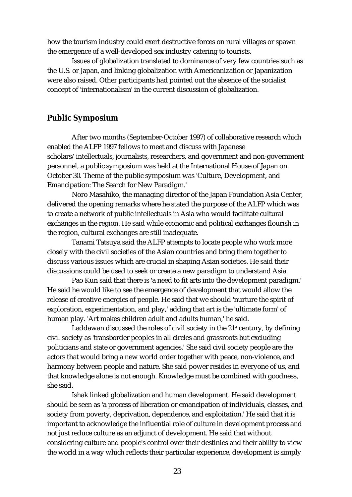how the tourism industry could exert destructive forces on rural villages or spawn the emergence of a well-developed sex industry catering to tourists.

Issues of globalization translated to dominance of very few countries such as the U.S. or Japan, and linking globalization with Americanization or Japanization were also raised. Other participants had pointed out the absence of the socialist concept of 'internationalism' in the current discussion of globalization.

#### **Public Symposium**

After two months (September-October 1997) of collaborative research which enabled the ALFP 1997 fellows to meet and discuss with Japanese scholars/intellectuals, journalists, researchers, and government and non-government personnel, a public symposium was held at the International House of Japan on October 30. Theme of the public symposium was 'Culture, Development, and Emancipation: The Search for New Paradigm.'

Noro Masahiko, the managing director of the Japan Foundation Asia Center, delivered the opening remarks where he stated the purpose of the ALFP which was to create a network of public intellectuals in Asia who would facilitate cultural exchanges in the region. He said while economic and political exchanges flourish in the region, cultural exchanges are still inadequate.

Tanami Tatsuya said the ALFP attempts to locate people who work more closely with the civil societies of the Asian countries and bring them together to discuss various issues which are crucial in shaping Asian societies. He said their discussions could be used to seek or create a new paradigm to understand Asia.

Pao Kun said that there is 'a need to fit arts into the development paradigm.' He said he would like to see the emergence of development that would allow the release of creative energies of people. He said that we should 'nurture the spirit of exploration, experimentation, and play,' adding that art is the 'ultimate form' of human play. 'Art makes children adult and adults human,' he said.

Laddawan discussed the roles of civil society in the  $21<sup>st</sup>$  century, by defining civil society as 'transborder peoples in all circles and grassroots but excluding politicians and state or government agencies.' She said civil society people are the actors that would bring a new world order together with peace, non-violence, and harmony between people and nature. She said power resides in everyone of us, and that knowledge alone is not enough. Knowledge must be combined with goodness, she said.

Ishak linked globalization and human development. He said development should be seen as 'a process of liberation or emancipation of individuals, classes, and society from poverty, deprivation, dependence, and exploitation.' He said that it is important to acknowledge the influential role of culture in development process and not just reduce culture as an adjunct of development. He said that without considering culture and people's control over their destinies and their ability to view the world in a way which reflects their particular experience, development is simply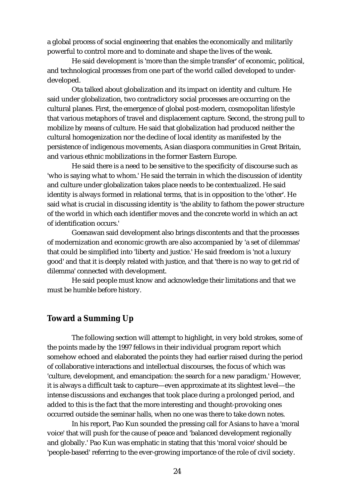a global process of social engineering that enables the economically and militarily powerful to control more and to dominate and shape the lives of the weak.

He said development is 'more than the simple transfer' of economic, political, and technological processes from one part of the world called developed to underdeveloped.

Ota talked about globalization and its impact on identity and culture. He said under globalization, two contradictory social processes are occurring on the cultural planes. First, the emergence of global post-modern, cosmopolitan lifestyle that various metaphors of travel and displacement capture. Second, the strong pull to mobilize by means of culture. He said that globalization had produced neither the cultural homogenization nor the decline of local identity as manifested by the persistence of indigenous movements, Asian diaspora communities in Great Britain, and various ethnic mobilizations in the former Eastern Europe.

He said there is a need to be sensitive to the specificity of discourse such as 'who is saying what to whom.' He said the terrain in which the discussion of identity and culture under globalization takes place needs to be contextualized. He said identity is always formed in relational terms, that is in opposition to the 'other'. He said what is crucial in discussing identity is 'the ability to fathom the power structure of the world in which each identifier moves and the concrete world in which an act of identification occurs.'

Goenawan said development also brings discontents and that the processes of modernization and economic growth are also accompanied by 'a set of dilemmas' that could be simplified into 'liberty and justice.' He said freedom is 'not a luxury good' and that it is deeply related with justice, and that 'there is no way to get rid of dilemma' connected with development.

He said people must know and acknowledge their limitations and that we must be humble before history.

#### **Toward a Summing Up**

The following section will attempt to highlight, in very bold strokes, some of the points made by the 1997 fellows in their individual program report which somehow echoed and elaborated the points they had earlier raised during the period of collaborative interactions and intellectual discourses, the focus of which was 'culture, development, and emancipation: the search for a new paradigm.' However, it is always a difficult task to capture—even approximate at its slightest level—the intense discussions and exchanges that took place during a prolonged period, and added to this is the fact that the more interesting and thought-provoking ones occurred outside the seminar halls, when no one was there to take down notes.

In his report, Pao Kun sounded the pressing call for Asians to have a 'moral voice' that will push for the cause of peace and 'balanced development regionally and globally.' Pao Kun was emphatic in stating that this 'moral voice' should be 'people-based' referring to the ever-growing importance of the role of civil society.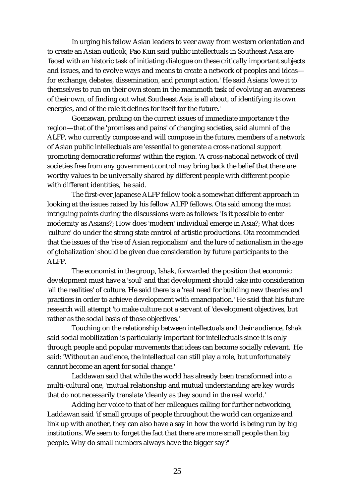In urging his fellow Asian leaders to veer away from western orientation and to create an Asian outlook, Pao Kun said public intellectuals in Southeast Asia are 'faced with an historic task of initiating dialogue on these critically important subjects and issues, and to evolve ways and means to create a network of peoples and ideas for exchange, debates, dissemination, and prompt action.' He said Asians 'owe it to themselves to run on their own steam in the mammoth task of evolving an awareness of their own, of finding out what Southeast Asia is all about, of identifying its own energies, and of the role it defines for itself for the future.'

Goenawan, probing on the current issues of immediate importance t the region—that of the 'promises and pains' of changing societies, said alumni of the ALFP, who currently compose and will compose in the future, members of a network of Asian public intellectuals are 'essential to generate a cross-national support promoting democratic reforms' within the region. 'A cross-national network of civil societies free from any government control may bring back the belief that there are worthy values to be universally shared by different people with different people with different identities,' he said.

The first-ever Japanese ALFP fellow took a somewhat different approach in looking at the issues raised by his fellow ALFP fellows. Ota said among the most intriguing points during the discussions were as follows: 'Is it possible to enter modernity as Asians?; How does 'modern' individual emerge in Asia?; What does 'culture' do under the strong state control of artistic productions. Ota recommended that the issues of the 'rise of Asian regionalism' and the lure of nationalism in the age of globalization' should be given due consideration by future participants to the ALFP.

The economist in the group, Ishak, forwarded the position that economic development must have a 'soul' and that development should take into consideration 'all the realities' of culture. He said there is a 'real need for building new theories and practices in order to achieve development with emancipation.' He said that his future research will attempt 'to make culture not a servant of 'development objectives, but rather as the social basis of those objectives.'

Touching on the relationship between intellectuals and their audience, Ishak said social mobilization is particularly important for intellectuals since it is only through people and popular movements that ideas can become socially relevant.' He said: 'Without an audience, the intellectual can still play a role, but unfortunately cannot become an agent for social change.'

Laddawan said that while the world has already been transformed into a multi-cultural one, 'mutual relationship and mutual understanding are key words' that do not necessarily translate 'cleanly as they sound in the real world.'

Adding her voice to that of her colleagues calling for further networking, Laddawan said 'if small groups of people throughout the world can organize and link up with another, they can also have a say in how the world is being run by big institutions. We seem to forget the fact that there are more small people than big people. Why do small numbers always have the bigger say?'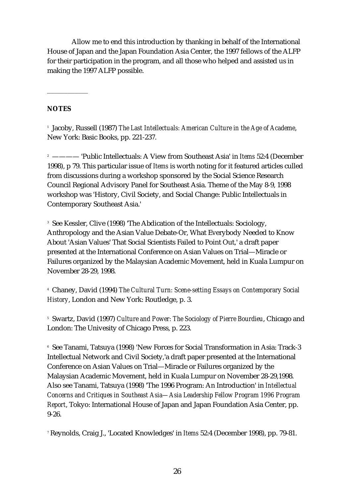Allow me to end this introduction by thanking in behalf of the International House of Japan and the Japan Foundation Asia Center, the 1997 fellows of the ALFP for their participation in the program, and all those who helped and assisted us in making the 1997 ALFP possible.

#### **NOTES**

\_\_\_\_\_\_\_\_\_\_\_\_

<sup>1</sup> Jacoby, Russell (1987) *The Last Intellectuals: American Culture in the Age of Academe*, New York: Basic Books, pp. 221-237.

<sup>2</sup> ———— 'Public Intellectuals: A View from Southeast Asia' in *Items* 52:4 (December 1998), p 79. This particular issue of *Items* is worth noting for it featured articles culled from discussions during a workshop sponsored by the Social Science Research Council Regional Advisory Panel for Southeast Asia. Theme of the May 8-9, 1998 workshop was 'History, Civil Society, and Social Change: Public Intellectuals in Contemporary Southeast Asia.'

<sup>3</sup> See Kessler, Clive (1998) 'The Abdication of the Intellectuals: Sociology, Anthropology and the Asian Value Debate-Or, What Everybody Needed to Know About 'Asian Values' That Social Scientists Failed to Point Out,' a draft paper presented at the International Conference on Asian Values on Trial—Miracle or Failures organized by the Malaysian Academic Movement, held in Kuala Lumpur on November 28-29, 1998.

<sup>4</sup> Chaney, David (1994) *The Cultural Turn: Scene-setting Essays on Contemporary Social History*, London and New York: Routledge, p. 3.

<sup>5</sup> Swartz, David (1997) *Culture and Power: The Sociology of Pierre Bourdieu*, Chicago and London: The Univesity of Chicago Press, p. 223.

<sup>6</sup> See Tanami, Tatsuya (1998) 'New Forces for Social Transformation in Asia: Track-3 Intellectual Network and Civil Society,'a draft paper presented at the International Conference on Asian Values on Trial—Miracle or Failures organized by the Malaysian Academic Movement, held in Kuala Lumpur on November 28-29,1998. Also see Tanami, Tatsuya (1998) 'The 1996 Program: An Introduction' in *Intellectual Concerns and Critiques in Southeast Asia—Asia Leadership Fellow Program 1996 Program Report*, Tokyo: International House of Japan and Japan Foundation Asia Center, pp. 9-26.

7 Reynolds, Craig J., 'Located Knowledges' in *Items* 52:4 (December 1998), pp. 79-81.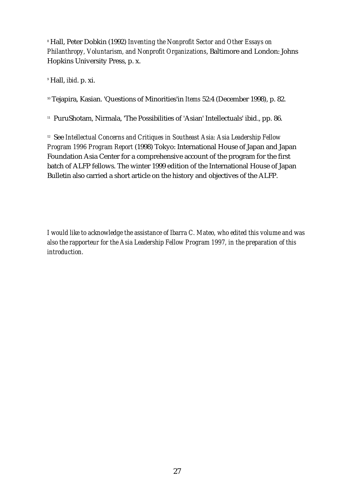8 Hall, Peter Dobkin (1992) *Inventing the Nonprofit Sector and Other Essays on Philanthropy, Voluntarism, and Nonprofit Organizations*, Baltimore and London: Johns Hopkins University Press, p. x.

9 Hall, *ibid*. p. xi.

10 Tejapira, Kasian. 'Questions of Minorities'in *Items* 52:4 (December 1998), p. 82.

<sup>11</sup> PuruShotam, Nirmala, 'The Possibilities of 'Asian' Intellectuals' ibid., pp. 86.

<sup>12</sup> See *Intellectual Concerns and Critiques in Southeast Asia: Asia Leadership Fellow Program 1996 Program Report* (1998) Tokyo: International House of Japan and Japan Foundation Asia Center for a comprehensive account of the program for the first batch of ALFP fellows. The winter 1999 edition of the International House of Japan Bulletin also carried a short article on the history and objectives of the ALFP.

*I would like to acknowledge the assistance of Ibarra C. Mateo, who edited this volume and was also the rapporteur for the Asia Leadership Fellow Program 1997, in the preparation of this introduction.*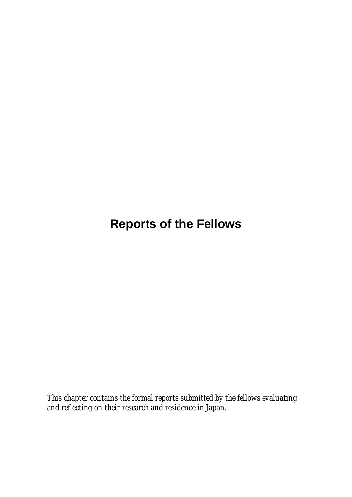## **Reports of the Fellows**

*This chapter contains the formal reports submitted by the fellows evaluating and reflecting on their research and residence in Japan.*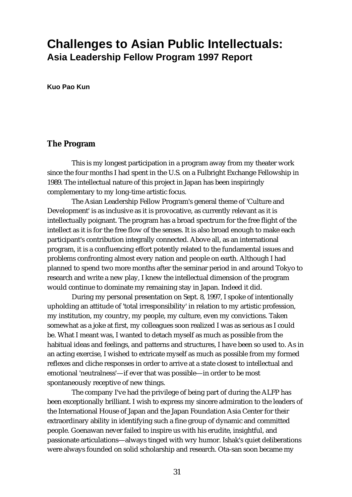## **Challenges to Asian Public Intellectuals: Asia Leadership Fellow Program 1997 Report**

**Kuo Pao Kun**

#### **The Program**

This is my longest participation in a program away from my theater work since the four months I had spent in the U.S. on a Fulbright Exchange Fellowship in 1989. The intellectual nature of this project in Japan has been inspiringly complementary to my long-time artistic focus.

The Asian Leadership Fellow Program's general theme of 'Culture and Development' is as inclusive as it is provocative, as currently relevant as it is intellectually poignant. The program has a broad spectrum for the free flight of the intellect as it is for the free flow of the senses. It is also broad enough to make each participant's contribution integrally connected. Above all, as an international program, it is a confluencing effort potently related to the fundamental issues and problems confronting almost every nation and people on earth. Although I had planned to spend two more months after the seminar period in and around Tokyo to research and write a new play, I knew the intellectual dimension of the program would continue to dominate my remaining stay in Japan. Indeed it did.

During my personal presentation on Sept. 8, 1997, I spoke of intentionally upholding an attitude of 'total irresponsibility' in relation to my artistic profession, my institution, my country, my people, my culture, even my convictions. Taken somewhat as a joke at first, my colleagues soon realized I was as serious as I could be. What I meant was, I wanted to detach myself as much as possible from the habitual ideas and feelings, and patterns and structures, I have been so used to. As in an acting exercise, I wished to extricate myself as much as possible from my formed reflexes and cliche responses in order to arrive at a state closest to intellectual and emotional 'neutralness'—if ever that was possible—in order to be most spontaneously receptive of new things.

The company I've had the privilege of being part of during the ALFP has been exceptionally brilliant. I wish to express my sincere admiration to the leaders of the International House of Japan and the Japan Foundation Asia Center for their extraordinary ability in identifying such a fine group of dynamic and committed people. Goenawan never failed to inspire us with his erudite, insightful, and passionate articulations—always tinged with wry humor. Ishak's quiet deliberations were always founded on solid scholarship and research. Ota-san soon became my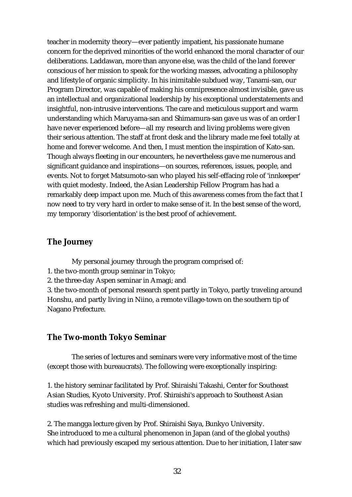teacher in modernity theory—ever patiently impatient, his passionate humane concern for the deprived minorities of the world enhanced the moral character of our deliberations. Laddawan, more than anyone else, was the child of the land forever conscious of her mission to speak for the working masses, advocating a philosophy and lifestyle of organic simplicity. In his inimitable subdued way, Tanami-san, our Program Director, was capable of making his omnipresence almost invisible, gave us an intellectual and organizational leadership by his exceptional understatements and insightful, non-intrusive interventions. The care and meticulous support and warm understanding which Maruyama-san and Shimamura-san gave us was of an order I have never experienced before—all my research and living problems were given their serious attention. The staff at front desk and the library made me feel totally at home and forever welcome. And then, I must mention the inspiration of Kato-san. Though always fleeting in our encounters, he nevertheless gave me numerous and significant guidance and inspirations—on sources, references, issues, people, and events. Not to forget Matsumoto-san who played his self-effacing role of 'innkeeper' with quiet modesty. Indeed, the Asian Leadership Fellow Program has had a remarkably deep impact upon me. Much of this awareness comes from the fact that I now need to try very hard in order to make sense of it. In the best sense of the word, my temporary 'disorientation' is the best proof of achievement.

#### **The Journey**

My personal journey through the program comprised of:

- 1. the two-month group seminar in Tokyo;
- 2. the three-day Aspen seminar in Amagi; and

3. the two-month of personal research spent partly in Tokyo, partly traveling around Honshu, and partly living in Niino, a remote village-town on the southern tip of Nagano Prefecture.

#### **The Two-month Tokyo Seminar**

The series of lectures and seminars were very informative most of the time (except those with bureaucrats). The following were exceptionally inspiring:

1. the history seminar facilitated by Prof. Shiraishi Takashi, Center for Southeast Asian Studies, Kyoto University. Prof. Shiraishi's approach to Southeast Asian studies was refreshing and multi-dimensioned.

2. The mangga lecture given by Prof. Shiraishi Saya, Bunkyo University. She introduced to me a cultural phenomenon in Japan (and of the global youths) which had previously escaped my serious attention. Due to her initiation, I later saw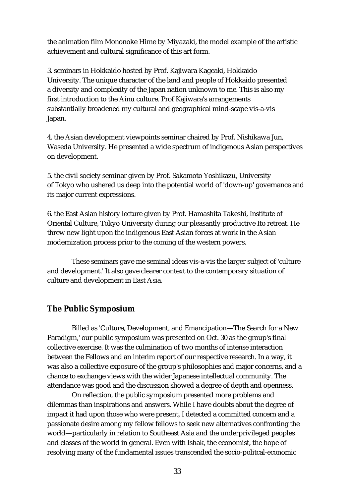the animation film Mononoke Hime by Miyazaki, the model example of the artistic achievement and cultural significance of this art form.

3. seminars in Hokkaido hosted by Prof. Kajiwara Kageaki, Hokkaido University. The unique character of the land and people of Hokkaido presented a diversity and complexity of the Japan nation unknown to me. This is also my first introduction to the Ainu culture. Prof Kajiwara's arrangements substantially broadened my cultural and geographical mind-scape vis-a-vis Japan.

4. the Asian development viewpoints seminar chaired by Prof. Nishikawa Jun, Waseda University. He presented a wide spectrum of indigenous Asian perspectives on development.

5. the civil society seminar given by Prof. Sakamoto Yoshikazu, University of Tokyo who ushered us deep into the potential world of 'down-up' governance and its major current expressions.

6. the East Asian history lecture given by Prof. Hamashita Takeshi, Institute of Oriental Culture, Tokyo University during our pleasantly productive Ito retreat. He threw new light upon the indigenous East Asian forces at work in the Asian modernization process prior to the coming of the western powers.

These seminars gave me seminal ideas vis-a-vis the larger subject of 'culture and development.' It also gave clearer context to the contemporary situation of culture and development in East Asia.

#### **The Public Symposium**

Billed as 'Culture, Development, and Emancipation—The Search for a New Paradigm,' our public symposium was presented on Oct. 30 as the group's final collective exercise. It was the culmination of two months of intense interaction between the Fellows and an interim report of our respective research. In a way, it was also a collective exposure of the group's philosophies and major concerns, and a chance to exchange views with the wider Japanese intellectual community. The attendance was good and the discussion showed a degree of depth and openness.

On reflection, the public symposium presented more problems and dilemmas than inspirations and answers. While I have doubts about the degree of impact it had upon those who were present, I detected a committed concern and a passionate desire among my fellow fellows to seek new alternatives confronting the world—particularly in relation to Southeast Asia and the underprivileged peoples and classes of the world in general. Even with Ishak, the economist, the hope of resolving many of the fundamental issues transcended the socio-politcal-economic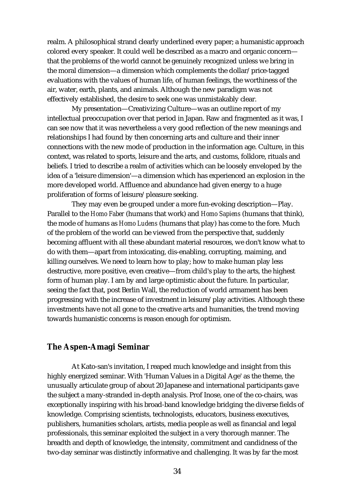realm. A philosophical strand clearly underlined every paper; a humanistic approach colored every speaker. It could well be described as a macro and organic concern that the problems of the world cannot be genuinely recognized unless we bring in the moral dimension—a dimension which complements the dollar/price-tagged evaluations with the values of human life, of human feelings, the worthiness of the air, water, earth, plants, and animals. Although the new paradigm was not effectively established, the desire to seek one was unmistakably clear.

My presentation—Creativizing Culture—was an outline report of my intellectual preoccupation over that period in Japan. Raw and fragmented as it was, I can see now that it was nevertheless a very good reflection of the new meanings and relationships I had found by then concerning arts and culture and their inner connections with the new mode of production in the information age. Culture, in this context, was related to sports, leisure and the arts, and customs, folklore, rituals and beliefs. I tried to describe a realm of activities which can be loosely enveloped by the idea of a 'leisure dimension'—a dimension which has experienced an explosion in the more developed world. Affluence and abundance had given energy to a huge proliferation of forms of leisure/pleasure seeking.

They may even be grouped under a more fun-evoking description—Play. Parallel to the *Homo Faber* (humans that work) and *Homo Sapiens* (humans that think), the mode of humans as *Homo Ludens* (humans that play) has come to the fore. Much of the problem of the world can be viewed from the perspective that, suddenly becoming affluent with all these abundant material resources, we don't know what to do with them—apart from intoxicating, dis-enabling, corrupting, maiming, and killing ourselves. We need to learn how to play; how to make human play less destructive, more positive, even creative—from child's play to the arts, the highest form of human play. I am by and large optimistic about the future. In particular, seeing the fact that, post Berlin Wall, the reduction of world armament has been progressing with the increase of investment in leisure/play activities. Although these investments have not all gone to the creative arts and humanities, the trend moving towards humanistic concerns is reason enough for optimism.

#### **The Aspen-Amagi Seminar**

At Kato-san's invitation, I reaped much knowledge and insight from this highly energized seminar. With 'Human Values in a Digital Age' as the theme, the unusually articulate group of about 20 Japanese and international participants gave the subject a many-stranded in-depth analysis. Prof Inose, one of the co-chairs, was exceptionally inspiring with his broad-band knowledge bridging the diverse fields of knowledge. Comprising scientists, technologists, educators, business executives, publishers, humanities scholars, artists, media people as well as financial and legal professionals, this seminar exploited the subject in a very thorough manner. The breadth and depth of knowledge, the intensity, commitment and candidness of the two-day seminar was distinctly informative and challenging. It was by far the most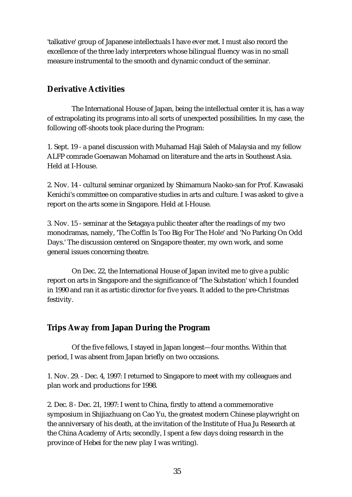'talkative' group of Japanese intellectuals I have ever met. I must also record the excellence of the three lady interpreters whose bilingual fluency was in no small measure instrumental to the smooth and dynamic conduct of the seminar.

#### **Derivative Activities**

The International House of Japan, being the intellectual center it is, has a way of extrapolating its programs into all sorts of unexpected possibilities. In my case, the following off-shoots took place during the Program:

1. Sept. 19 - a panel discussion with Muhamad Haji Saleh of Malaysia and my fellow ALFP comrade Goenawan Mohamad on literature and the arts in Southeast Asia. Held at I-House.

2. Nov. 14 - cultural seminar organized by Shimamura Naoko-san for Prof. Kawasaki Kenichi's committee on comparative studies in arts and culture. I was asked to give a report on the arts scene in Singapore. Held at I-House.

3. Nov. 15 - seminar at the Setagaya public theater after the readings of my two monodramas, namely, 'The Coffin Is Too Big For The Hole' and 'No Parking On Odd Days.' The discussion centered on Singapore theater, my own work, and some general issues concerning theatre.

On Dec. 22, the International House of Japan invited me to give a public report on arts in Singapore and the significance of 'The Substation' which I founded in 1990 and ran it as artistic director for five years. It added to the pre-Christmas festivity.

#### **Trips Away from Japan During the Program**

Of the five fellows, I stayed in Japan longest—four months. Within that period, I was absent from Japan briefly on two occasions.

1. Nov. 29. - Dec. 4, 1997: I returned to Singapore to meet with my colleagues and plan work and productions for 1998.

2. Dec. 8 - Dec. 21, 1997: I went to China, firstly to attend a commemorative symposium in Shijiazhuang on Cao Yu, the greatest modern Chinese playwright on the anniversary of his death, at the invitation of the Institute of Hua Ju Research at the China Academy of Arts; secondly, I spent a few days doing research in the province of Hebei for the new play I was writing).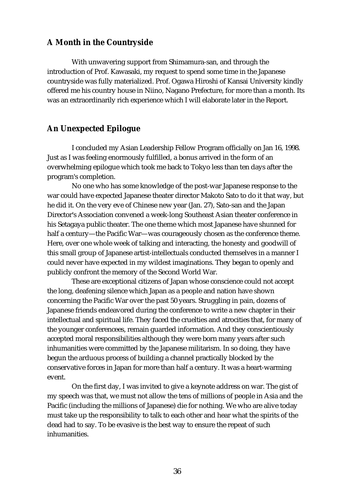#### **A Month in the Countryside**

With unwavering support from Shimamura-san, and through the introduction of Prof. Kawasaki, my request to spend some time in the Japanese countryside was fully materialized. Prof. Ogawa Hiroshi of Kansai University kindly offered me his country house in Niino, Nagano Prefecture, for more than a month. Its was an extraordinarily rich experience which I will elaborate later in the Report.

#### **An Unexpected Epilogue**

I concluded my Asian Leadership Fellow Program officially on Jan 16, 1998. Just as I was feeling enormously fulfilled, a bonus arrived in the form of an overwhelming epilogue which took me back to Tokyo less than ten days after the program's completion.

No one who has some knowledge of the post-war Japanese response to the war could have expected Japanese theater director Makoto Sato to do it that way, but he did it. On the very eve of Chinese new year (Jan. 27), Sato-san and the Japan Director's Association convened a week-long Southeast Asian theater conference in his Setagaya public theater. The one theme which most Japanese have shunned for half a century—the Pacific War—was courageously chosen as the conference theme. Here, over one whole week of talking and interacting, the honesty and goodwill of this small group of Japanese artist-intellectuals conducted themselves in a manner I could never have expected in my wildest imaginations. They began to openly and publicly confront the memory of the Second World War.

These are exceptional citizens of Japan whose conscience could not accept the long, deafening silence which Japan as a people and nation have shown concerning the Pacific War over the past 50 years. Struggling in pain, dozens of Japanese friends endeavored during the conference to write a new chapter in their intellectual and spiritual life. They faced the cruelties and atrocities that, for many of the younger conferencees, remain guarded information. And they conscientiously accepted moral responsibilities although they were born many years after such inhumanities were committed by the Japanese militarism. In so doing, they have begun the arduous process of building a channel practically blocked by the conservative forces in Japan for more than half a century. It was a heart-warming event.

On the first day, I was invited to give a keynote address on war. The gist of my speech was that, we must not allow the tens of millions of people in Asia and the Pacific (including the millions of Japanese) die for nothing. We who are alive today must take up the responsibility to talk to each other and hear what the spirits of the dead had to say. To be evasive is the best way to ensure the repeat of such inhumanities.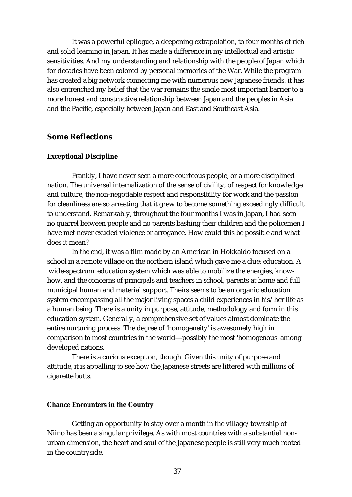It was a powerful epilogue, a deepening extrapolation, to four months of rich and solid learning in Japan. It has made a difference in my intellectual and artistic sensitivities. And my understanding and relationship with the people of Japan which for decades have been colored by personal memories of the War. While the program has created a big network connecting me with numerous new Japanese friends, it has also entrenched my belief that the war remains the single most important barrier to a more honest and constructive relationship between Japan and the peoples in Asia and the Pacific, especially between Japan and East and Southeast Asia.

#### **Some Reflections**

#### **Exceptional Discipline**

Frankly, I have never seen a more courteous people, or a more disciplined nation. The universal internalization of the sense of civility, of respect for knowledge and culture, the non-negotiable respect and responsibility for work and the passion for cleanliness are so arresting that it grew to become something exceedingly difficult to understand. Remarkably, throughout the four months I was in Japan, I had seen no quarrel between people and no parents bashing their children and the policemen I have met never exuded violence or arrogance. How could this be possible and what does it mean?

In the end, it was a film made by an American in Hokkaido focused on a school in a remote village on the northern island which gave me a clue: education. A 'wide-spectrum' education system which was able to mobilize the energies, knowhow, and the concerns of principals and teachers in school, parents at home and full municipal human and material support. Theirs seems to be an organic education system encompassing all the major living spaces a child experiences in his/her life as a human being. There is a unity in purpose, attitude, methodology and form in this education system. Generally, a comprehensive set of values almost dominate the entire nurturing process. The degree of 'homogeneity' is awesomely high in comparison to most countries in the world—possibly the most 'homogenous' among developed nations.

There is a curious exception, though. Given this unity of purpose and attitude, it is appalling to see how the Japanese streets are littered with millions of cigarette butts.

#### **Chance Encounters in the Country**

Getting an opportunity to stay over a month in the village/township of Niino has been a singular privilege. As with most countries with a substantial nonurban dimension, the heart and soul of the Japanese people is still very much rooted in the countryside.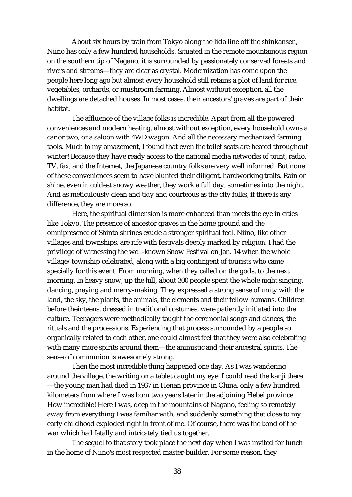About six hours by train from Tokyo along the Iida line off the shinkansen, Niino has only a few hundred households. Situated in the remote mountainous region on the southern tip of Nagano, it is surrounded by passionately conserved forests and rivers and streams—they are clear as crystal. Modernization has come upon the people here long ago but almost every household still retains a plot of land for rice, vegetables, orchards, or mushroom farming. Almost without exception, all the dwellings are detached houses. In most cases, their ancestors' graves are part of their habitat.

The affluence of the village folks is incredible. Apart from all the powered conveniences and modern heating, almost without exception, every household owns a car or two, or a saloon with 4WD wagon. And all the necessary mechanized farming tools. Much to my amazement, I found that even the toilet seats are heated throughout winter! Because they have ready access to the national media networks of print, radio, TV, fax, and the Internet, the Japanese country folks are very well informed. But none of these conveniences seem to have blunted their diligent, hardworking traits. Rain or shine, even in coldest snowy weather, they work a full day, sometimes into the night. And as meticulously clean and tidy and courteous as the city folks; if there is any difference, they are more so.

Here, the spiritual dimension is more enhanced than meets the eye in cities like Tokyo. The presence of ancestor graves in the home ground and the omnipresence of Shinto shrines exude a stronger spiritual feel. Niino, like other villages and townships, are rife with festivals deeply marked by religion. I had the privilege of witnessing the well-known Snow Festival on Jan. 14 when the whole village/township celebrated, along with a big contingent of tourists who came specially for this event. From morning, when they called on the gods, to the next morning. In heavy snow, up the hill, about 300 people spent the whole night singing, dancing, praying and merry-making. They expressed a strong sense of unity with the land, the sky, the plants, the animals, the elements and their fellow humans. Children before their teens, dressed in traditional costumes, were patiently initiated into the culture. Teenagers were methodically taught the ceremonial songs and dances, the rituals and the processions. Experiencing that process surrounded by a people so organically related to each other, one could almost feel that they were also celebrating with many more spirits around them—the animistic and their ancestral spirits. The sense of communion is awesomely strong.

Then the most incredible thing happened one day. As I was wandering around the village, the writing on a tablet caught my eye. I could read the kanji there —the young man had died in 1937 in Henan province in China, only a few hundred kilometers from where I was born two years later in the adjoining Hebei province. How incredible! Here I was, deep in the mountains of Nagano, feeling so remotely away from everything I was familiar with, and suddenly something that close to my early childhood exploded right in front of me. Of course, there was the bond of the war which had fatally and intricately tied us together.

The sequel to that story took place the next day when I was invited for lunch in the home of Niino's most respected master-builder. For some reason, they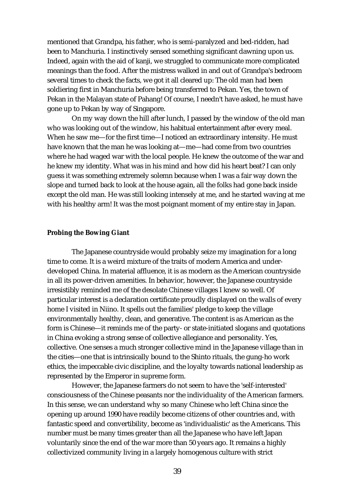mentioned that Grandpa, his father, who is semi-paralyzed and bed-ridden, had been to Manchuria. I instinctively sensed something significant dawning upon us. Indeed, again with the aid of kanji, we struggled to communicate more complicated meanings than the food. After the mistress walked in and out of Grandpa's bedroom several times to check the facts, we got it all cleared up: The old man had been soldiering first in Manchuria before being transferred to Pekan. Yes, the town of Pekan in the Malayan state of Pahang! Of course, I needn't have asked, he must have gone up to Pekan by way of Singapore.

On my way down the hill after lunch, I passed by the window of the old man who was looking out of the window, his habitual entertainment after every meal. When he saw me—for the first time—I noticed an extraordinary intensity. He must have known that the man he was looking at—me—had come from two countries where he had waged war with the local people. He knew the outcome of the war and he knew my identity. What was in his mind and how did his heart beat? I can only guess it was something extremely solemn because when I was a fair way down the slope and turned back to look at the house again, all the folks had gone back inside except the old man. He was still looking intensely at me, and he started waving at me with his healthy arm! It was the most poignant moment of my entire stay in Japan.

#### **Probing the Bowing Giant**

The Japanese countryside would probably seize my imagination for a long time to come. It is a weird mixture of the traits of modern America and underdeveloped China. In material affluence, it is as modern as the American countryside in all its power-driven amenities. In behavior, however, the Japanese countryside irresistibly reminded me of the desolate Chinese villages I knew so well. Of particular interest is a declaration certificate proudly displayed on the walls of every home I visited in Niino. It spells out the families' pledge to keep the village environmentally healthy, clean, and generative. The content is as American as the form is Chinese—it reminds me of the party- or state-initiated slogans and quotations in China evoking a strong sense of collective allegiance and personality. Yes, collective. One senses a much stronger collective mind in the Japanese village than in the cities—one that is intrinsically bound to the Shinto rituals, the gung-ho work ethics, the impeccable civic discipline, and the loyalty towards national leadership as represented by the Emperor in supreme form.

However, the Japanese farmers do not seem to have the 'self-interested' consciousness of the Chinese peasants nor the individuality of the American farmers. In this sense, we can understand why so many Chinese who left China since the opening up around 1990 have readily become citizens of other countries and, with fantastic speed and convertibility, become as 'individualistic' as the Americans. This number must be many times greater than all the Japanese who have left Japan voluntarily since the end of the war more than 50 years ago. It remains a highly collectivized community living in a largely homogenous culture with strict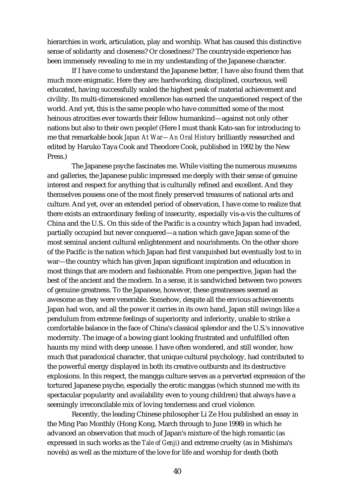hierarchies in work, articulation, play and worship. What has caused this distinctive sense of solidarity and closeness? Or closedness? The countryside experience has been immensely revealing to me in my undestanding of the Japanese character.

If I have come to understand the Japanese better, I have also found them that much more enigmatic. Here they are: hardworking, disciplined, courteous, well educated, having successfully scaled the highest peak of material achievement and civility. Its multi-dimensioned excellence has earned the unquestioned respect of the world. And yet, this is the same people who have committed some of the most heinous atrocities ever towards their fellow humankind—against not only other nations but also to their own people! (Here I must thank Kato-san for introducing to me that remarkable book *Japan At War—An Oral History* brilliantly researched and edited by Haruko Taya Cook and Theodore Cook, published in 1992 by the New Press.)

The Japanese psyche fascinates me. While visiting the numerous museums and galleries, the Japanese public impressed me deeply with their sense of genuine interest and respect for anything that is culturally refined and excellent. And they themselves possess one of the most finely preserved treasures of national arts and culture. And yet, over an extended period of observation, I have come to realize that there exists an extraordinary feeling of insecurity, especially vis-a-vis the cultures of China and the U.S.. On this side of the Pacific is a country which Japan had invaded, partially occupied but never conquered—a nation which gave Japan some of the most seminal ancient cultural enlightenment and nourishments. On the other shore of the Pacific is the nation which Japan had first vanquished but eventually lost to in war—the country which has given Japan significant inspiration and education in most things that are modern and fashionable. From one perspective, Japan had the best of the ancient and the modern. In a sense, it is sandwiched between two powers of genuine greatness. To the Japanese, however, these greatnesses seemed as awesome as they were venerable. Somehow, despite all the envious achievements Japan had won, and all the power it carries in its own hand, Japan still swings like a pendulum from extreme feelings of superiority and inferiority, unable to strike a comfortable balance in the face of China's classical splendor and the U.S.'s innovative modernity. The image of a bowing giant looking frustrated and unfulfilled often haunts my mind with deep unease. I have often wondered, and still wonder, how much that paradoxical character, that unique cultural psychology, had contributed to the powerful energy displayed in both its creative outbursts and its destructive explosions. In this respect, the mangga culture serves as a perverted expression of the tortured Japanese psyche, especially the erotic manggas (which stunned me with its spectacular popularity and availability even to young children) that always have a seemingly irreconcilable mix of loving tenderness and cruel violence.

Recently, the leading Chinese philosopher Li Ze Hou published an essay in the Ming Pao Monthly (Hong Kong, March through to June 1998) in which he advanced an observation that much of Japan's mixture of the high romantic (as expressed in such works as the *Tale of Genji*) and extreme cruelty (as in Mishima's novels) as well as the mixture of the love for life and worship for death (both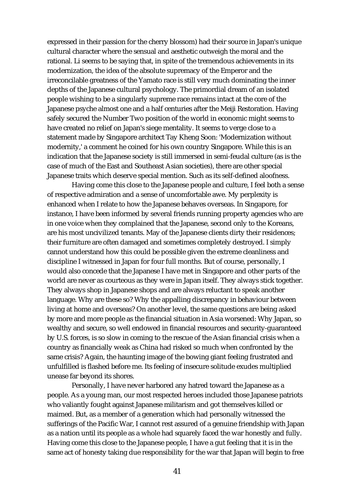expressed in their passion for the cherry blossom) had their source in Japan's unique cultural character where the sensual and aesthetic outweigh the moral and the rational. Li seems to be saying that, in spite of the tremendous achievements in its modernization, the idea of the absolute supremacy of the Emperor and the irreconcilable greatness of the Yamato race is still very much dominating the inner depths of the Japanese cultural psychology. The primordial dream of an isolated people wishing to be a singularly supreme race remains intact at the core of the Japanese psyche almost one and a half centuries after the Meiji Restoration. Having safely secured the Number Two position of the world in economic might seems to have created no relief on Japan's siege mentality. It seems to verge close to a statement made by Singapore architect Tay Kheng Soon: 'Modernization without modernity,' a comment he coined for his own country Singapore. While this is an indication that the Japanese society is still immersed in semi-feudal culture (as is the case of much of the East and Southeast Asian societies), there are other special Japanese traits which deserve special mention. Such as its self-defined aloofness.

Having come this close to the Japanese people and culture, I feel both a sense of respective admiration and a sense of uncomfortable awe. My perplexity is enhanced when I relate to how the Japanese behaves overseas. In Singapore, for instance, I have been informed by several friends running property agencies who are in one voice when they complained that the Japanese, second only to the Koreans, are his most uncivilized tenants. May of the Japanese clients dirty their residences; their furniture are often damaged and sometimes completely destroyed. I simply cannot understand how this could be possible given the extreme cleanliness and discipline I witnessed in Japan for four full months. But of course, personally, I would also concede that the Japanese I have met in Singapore and other parts of the world are never as courteous as they were in Japan itself. They always stick together. They always shop in Japanese shops and are always reluctant to speak another language. Why are these so? Why the appalling discrepancy in behaviour between living at home and overseas? On another level, the same questions are being asked by more and more people as the financial situation in Asia worsened: Why Japan, so wealthy and secure, so well endowed in financial resources and security-guaranteed by U.S. forces, is so slow in coming to the rescue of the Asian financial crisis when a country as financially weak as China had risked so much when confronted by the same crisis? Again, the haunting image of the bowing giant feeling frustrated and unfulfilled is flashed before me. Its feeling of insecure solitude exudes multiplied unease far beyond its shores.

Personally, I have never harbored any hatred toward the Japanese as a people. As a young man, our most respected heroes included those Japanese patriots who valiantly fought against Japanese militarism and got themselves killed or maimed. But, as a member of a generation which had personally witnessed the sufferings of the Pacific War, I cannot rest assured of a genuine friendship with Japan as a nation until its people as a whole had squarely faced the war honestly and fully. Having come this close to the Japanese people, I have a gut feeling that it is in the same act of honesty taking due responsibility for the war that Japan will begin to free

41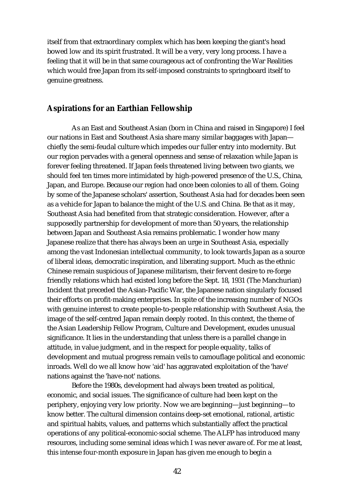itself from that extraordinary complex which has been keeping the giant's head bowed low and its spirit frustrated. It will be a very, very long process. I have a feeling that it will be in that same courageous act of confronting the War Realities which would free Japan from its self-imposed constraints to springboard itself to genuine greatness.

#### **Aspirations for an Earthian Fellowship**

As an East and Southeast Asian (born in China and raised in Singapore) I feel our nations in East and Southeast Asia share many similar baggages with Japan chiefly the semi-feudal culture which impedes our fuller entry into modernity. But our region pervades with a general openness and sense of relaxation while Japan is forever feeling threatened. If Japan feels threatened living between two giants, we should feel ten times more intimidated by high-powered presence of the U.S., China, Japan, and Europe. Because our region had once been colonies to all of them. Going by some of the Japanese scholars' assertion, Southeast Asia had for decades been seen as a vehicle for Japan to balance the might of the U.S. and China. Be that as it may, Southeast Asia had benefited from that strategic consideration. However, after a supposedly partnership for development of more than 50 years, the relationship between Japan and Southeast Asia remains problematic. I wonder how many Japanese realize that there has always been an urge in Southeast Asia, especially among the vast Indonesian intellectual community, to look towards Japan as a source of liberal ideas, democratic inspiration, and liberating support. Much as the ethnic Chinese remain suspicious of Japanese militarism, their fervent desire to re-forge friendly relations which had existed long before the Sept. 18, 1931 (The Manchurian) Incident that preceded the Asian-Pacific War, the Japanese nation singularly focused their efforts on profit-making enterprises. In spite of the increasing number of NGOs with genuine interest to create people-to-people relationship with Southeast Asia, the image of the self-centred Japan remain deeply rooted. In this context, the theme of the Asian Leadership Fellow Program, Culture and Development, exudes unusual significance. It lies in the understanding that unless there is a parallel change in attitude, in value judgment, and in the respect for people equality, talks of development and mutual progress remain veils to camouflage political and economic inroads. Well do we all know how 'aid' has aggravated exploitation of the 'have' nations against the 'have-not' nations.

Before the 1980s, development had always been treated as political, economic, and social issues. The significance of culture had been kept on the periphery, enjoying very low priority. Now we are beginning—just beginning—to know better. The cultural dimension contains deep-set emotional, rational, artistic and spiritual habits, values, and patterns which substantially affect the practical operations of any political-economic-social scheme. The ALFP has introduced many resources, including some seminal ideas which I was never aware of. For me at least, this intense four-month exposure in Japan has given me enough to begin a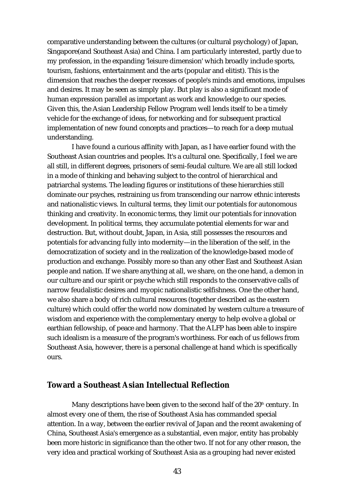comparative understanding between the cultures (or cultural psychology) of Japan, Singapore(and Southeast Asia) and China. I am particularly interested, partly due to my profession, in the expanding 'leisure dimension' which broadly include sports, tourism, fashions, entertainment and the arts (popular and elitist). This is the dimension that reaches the deeper recesses of people's minds and emotions, impulses and desires. It may be seen as simply play. But play is also a significant mode of human expression parallel as important as work and knowledge to our species. Given this, the Asian Leadership Fellow Program well lends itself to be a timely vehicle for the exchange of ideas, for networking and for subsequent practical implementation of new found concepts and practices—to reach for a deep mutual understanding.

I have found a curious affinity with Japan, as I have earlier found with the Southeast Asian countries and peoples. It's a cultural one. Specifically, I feel we are all still, in different degrees, prisoners of semi-feudal culture. We are all still locked in a mode of thinking and behaving subject to the control of hierarchical and patriarchal systems. The leading figures or institutions of these hierarchies still dominate our psyches, restraining us from transcending our narrow ethnic interests and nationalistic views. In cultural terms, they limit our potentials for autonomous thinking and creativity. In economic terms, they limit our potentials for innovation development. In political terms, they accumulate potential elements for war and destruction. But, without doubt, Japan, in Asia, still possesses the resources and potentials for advancing fully into modernity—in the liberation of the self, in the democratization of society and in the realization of the knowledge-based mode of production and exchange. Possibly more so than any other East and Southeast Asian people and nation. If we share anything at all, we share, on the one hand, a demon in our culture and our spirit or psyche which still responds to the conservative calls of narrow feudalistic desires and myopic nationalistic selfishness. One the other hand, we also share a body of rich cultural resources (together described as the eastern culture) which could offer the world now dominated by western culture a treasure of wisdom and experience with the complementary energy to help evolve a global or earthian fellowship, of peace and harmony. That the ALFP has been able to inspire such idealism is a measure of the program's worthiness. For each of us fellows from Southeast Asia, however, there is a personal challenge at hand which is specifically ours.

## **Toward a Southeast Asian Intellectual Reflection**

Many descriptions have been given to the second half of the  $20<sup>th</sup>$  century. In almost every one of them, the rise of Southeast Asia has commanded special attention. In a way, between the earlier revival of Japan and the recent awakening of China, Southeast Asia's emergence as a substantial, even major, entity has probably been more historic in significance than the other two. If not for any other reason, the very idea and practical working of Southeast Asia as a grouping had never existed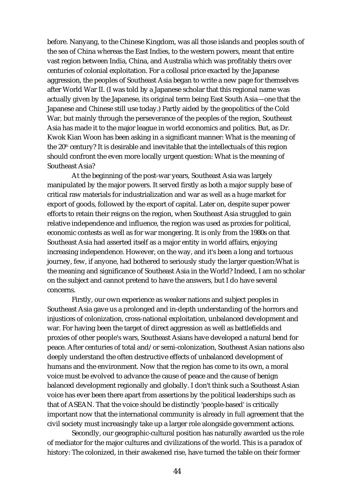before. Nanyang, to the Chinese Kingdom, was all those islands and peoples south of the sea of China whereas the East Indies, to the western powers, meant that entire vast region between India, China, and Australia which was profitably theirs over centuries of colonial exploitation. For a collosal price exacted by the Japanese aggression, the peoples of Southeast Asia began to write a new page for themselves after World War II. (I was told by a Japanese scholar that this regional name was actually given by the Japanese, its original term being East South Asia—one that the Japanese and Chinese still use today.) Partly aided by the geopolitics of the Cold War, but mainly through the perseverance of the peoples of the region, Southeast Asia has made it to the major league in world economics and politics. But, as Dr. Kwok Kian Woon has been asking in a significant manner: What is the meaning of the  $20<sup>th</sup>$  century? It is desirable and inevitable that the intellectuals of this region should confront the even more locally urgent question: What is the meaning of Southeast Asia?

At the beginning of the post-war years, Southeast Asia was largely manipulated by the major powers. It served firstly as both a major supply base of critical raw materials for industrialization and war as well as a huge market for export of goods, followed by the export of capital. Later on, despite super power efforts to retain their reigns on the region, when Southeast Asia struggled to gain relative independence and influence, the region was used as proxies for political, economic contests as well as for war mongering. It is only from the 1980s on that Southeast Asia had asserted itself as a major entity in world affairs, enjoying increasing independence. However, on the way, and it's been a long and tortuous journey, few, if anyone, had bothered to seriously study the larger question:What is the meaning and significance of Southeast Asia in the World? Indeed, I am no scholar on the subject and cannot pretend to have the answers, but I do have several concerns.

Firstly, our own experience as weaker nations and subject peoples in Southeast Asia gave us a prolonged and in-depth understanding of the horrors and injustices of colonization, cross-national exploitation, unbalanced development and war. For having been the target of direct aggression as well as battlefields and proxies of other people's wars, Southeast Asians have developed a natural bend for peace. After centuries of total and/or semi-colonization, Southeast Asian nations also deeply understand the often destructive effects of unbalanced development of humans and the environment. Now that the region has come to its own, a moral voice must be evolved to advance the cause of peace and the cause of benign balanced development regionally and globally. I don't think such a Southeast Asian voice has ever been there apart from assertions by the political leaderships such as that of ASEAN. That the voice should be distinctly 'people-based' is critically important now that the international community is already in full agreement that the civil society must increasingly take up a larger role alongside government actions.

Secondly, our geographic-cultural position has naturally awarded us the role of mediator for the major cultures and civilizations of the world. This is a paradox of history: The colonized, in their awakened rise, have turned the table on their former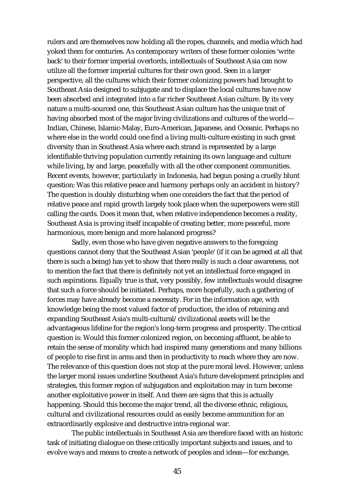rulers and are themselves now holding all the ropes, channels, and media which had yoked them for centuries. As contemporary writers of these former colonies 'write back' to their former imperial overlords, intellectuals of Southeast Asia can now utilize all the former imperial cultures for their own good. Seen in a larger perspective, all the cultures which their former colonizing powers had brought to Southeast Asia designed to subjugate and to displace the local cultures have now been absorbed and integrated into a far richer Southeast Asian culture. By its very nature a multi-sourced one, this Southeast Asian culture has the unique trait of having absorbed most of the major living civilizations and cultures of the world— Indian, Chinese, Islamic-Malay, Euro-American, Japanese, and Oceanic. Perhaps no where else in the world could one find a living multi-culture existing in such great diversity than in Southeast Asia where each strand is represented by a large identifiable thriving population currently retaining its own language and culture while living, by and large, peacefully with all the other component communities. Recent events, however, particularly in Indonesia, had begun posing a cruelly blunt question: Was this relative peace and harmony perhaps only an accident in history? The question is doubly disturbing when one considers the fact that the period of relative peace and rapid growth largely took place when the superpowers were still calling the cards. Does it mean that, when relative independence becomes a reality, Southeast Asia is proving itself incapable of creating better, more peaceful, more harmonious, more benign and more balanced progress?

Sadly, even those who have given negative answers to the foregoing questions cannot deny that the Southeast Asian 'people' (if it can be agreed at all that there is such a being) has yet to show that there really is such a clear awareness, not to mention the fact that there is definitely not yet an intellectual force engaged in such aspirations. Equally true is that, very possibly, few intellectuals would disagree that such a force should be initiated. Perhaps, more hopefully, such a gathering of forces may have already become a necessity. For in the information age, with knowledge being the most valued factor of production, the idea of retaining and expanding Southeast Asia's multi-cultural/civilizational assets will be the advantageous lifeline for the region's long-term progress and prosperity. The critical question is: Would this former colonized region, on becoming affluent, be able to retain the sense of morality which had inspired many generations and many billions of people to rise first in arms and then in productivity to reach where they are now. The relevance of this question does not stop at the pure moral level. However, unless the larger moral issues underline Southeast Asia's future development principles and strategies, this former region of subjugation and exploitation may in turn become another exploitative power in itself. And there are signs that this is actually happening. Should this become the major trend, all the diverse ethnic, religious, cultural and civilizational resources could as easily become ammunition for an extraordinarily explosive and destructive intra-regional war.

The public intellectuals in Southeast Asia are therefore faced with an historic task of initiating dialogue on these critically important subjects and issues, and to evolve ways and means to create a network of peoples and ideas—for exchange,

45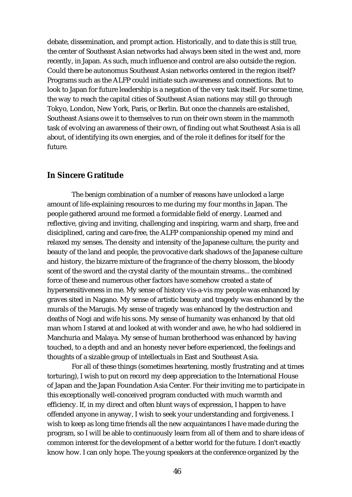debate, dissemination, and prompt action. Historically, and to date this is still true, the center of Southeast Asian networks had always been sited in the west and, more recently, in Japan. As such, much influence and control are also outside the region. Could there be autonomus Southeast Asian networks centered in the region itself? Programs such as the ALFP could initiate such awareness and connections. But to look to Japan for future leadership is a negation of the very task itself. For some time, the way to reach the capital cities of Southeast Asian nations may still go through Tokyo, London, New York, Paris, or Berlin. But once the channels are estalished, Southeast Asians owe it to themselves to run on their own steam in the mammoth task of evolving an awareness of their own, of finding out what Southeast Asia is all about, of identifying its own energies, and of the role it defines for itself for the future.

## **In Sincere Gratitude**

The benign combination of a number of reasons have unlocked a large amount of life-explaining resources to me during my four months in Japan. The people gathered around me formed a formidable field of energy. Learned and reflective, giving and inviting, challenging and inspiring, warm and sharp, free and disiciplined, caring and care-free, the ALFP companionship opened my mind and relaxed my senses. The density and intensity of the Japanese culture, the purity and beauty of the land and people, the provocative dark shadows of the Japanese culture and history, the bizarre mixture of the fragrance of the cherry blossom, the bloody scent of the sword and the crystal clarity of the mountain streams... the combined force of these and numerous other factors have somehow created a state of hypersensitiveness in me. My sense of history vis-a-vis my people was enhanced by graves sited in Nagano. My sense of artistic beauty and tragedy was enhanced by the murals of the Marugis. My sense of tragedy was enhanced by the destruction and deaths of Nogi and wife his sons. My sense of humanity was enhanced by that old man whom I stared at and looked at with wonder and awe, he who had soldiered in Manchuria and Malaya. My sense of human brotherhood was enhanced by having touched, to a depth and and an honesty never before experienced, the feelings and thoughts of a sizable group of intellectuals in East and Southeast Asia.

For all of these things (sometimes heartening, mostly frustrating and at times torturing), I wish to put on record my deep appreciation to the International House of Japan and the Japan Foundation Asia Center. For their inviting me to participate in this exceptionally well-conceived program conducted with much warmth and efficiency. If, in my direct and often blunt ways of expression, I happen to have offended anyone in anyway, I wish to seek your understanding and forgiveness. I wish to keep as long time friends all the new acquaintances I have made during the program, so I will be able to continuously learn from all of them and to share ideas of common interest for the development of a better world for the future. I don't exactly know how. I can only hope. The young speakers at the conference organized by the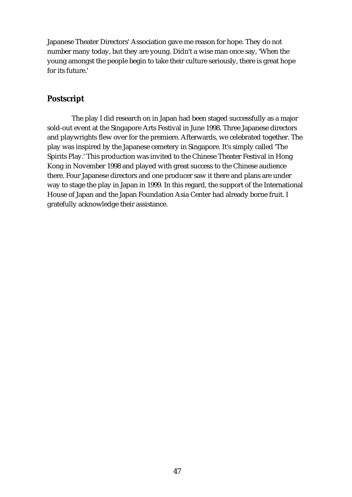Japanese Theater Directors' Association gave me reason for hope. They do not number many today, but they are young. Didn't a wise man once say, 'When the young amongst the people begin to take their culture seriously, there is great hope for its future.'

## **Postscript**

The play I did research on in Japan had been staged successfully as a major sold-out event at the Singapore Arts Festival in June 1998. Three Japanese directors and playwrights flew over for the premiere. Afterwards, we celebrated together. The play was inspired by the Japanese cemetery in Singapore. It's simply called 'The Spirits Play.' This production was invited to the Chinese Theater Festival in Hong Kong in November 1998 and played with great success to the Chinese audience there. Four Japanese directors and one producer saw it there and plans are under way to stage the play in Japan in 1999. In this regard, the support of the International House of Japan and the Japan Foundation Asia Center had already borne fruit. I gratefully acknowledge their assistance.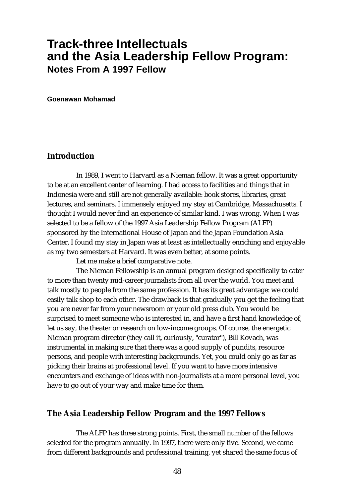## **Track-three Intellectuals and the Asia Leadership Fellow Program: Notes From A 1997 Fellow**

**Goenawan Mohamad**

## **Introduction**

In 1989, I went to Harvard as a Nieman fellow. It was a great opportunity to be at an excellent center of learning. I had access to facilities and things that in Indonesia were and still are not generally available: book stores, libraries, great lectures, and seminars. I immensely enjoyed my stay at Cambridge, Massachusetts. I thought I would never find an experience of similar kind. I was wrong. When I was selected to be a fellow of the 1997 Asia Leadership Fellow Program (ALFP) sponsored by the International House of Japan and the Japan Foundation Asia Center, I found my stay in Japan was at least as intellectually enriching and enjoyable as my two semesters at Harvard. It was even better, at some points.

Let me make a brief comparative note.

The Nieman Fellowship is an annual program designed specifically to cater to more than twenty mid-career journalists from all over the world. You meet and talk mostly to people from the same profession. It has its great advantage: we could easily talk shop to each other. The drawback is that gradually you get the feeling that you are never far from your newsroom or your old press club. You would be surprised to meet someone who is interested in, and have a first hand knowledge of, let us say, the theater or research on low-income groups. Of course, the energetic Nieman program director (they call it, curiously, "curator"), Bill Kovach, was instrumental in making sure that there was a good supply of pundits, resource persons, and people with interesting backgrounds. Yet, you could only go as far as picking their brains at professional level. If you want to have more intensive encounters and exchange of ideas with non-journalists at a more personal level, you have to go out of your way and make time for them.

#### **The Asia Leadership Fellow Program and the 1997 Fellows**

The ALFP has three strong points. First, the small number of the fellows selected for the program annually. In 1997, there were only five. Second, we came from different backgrounds and professional training, yet shared the same focus of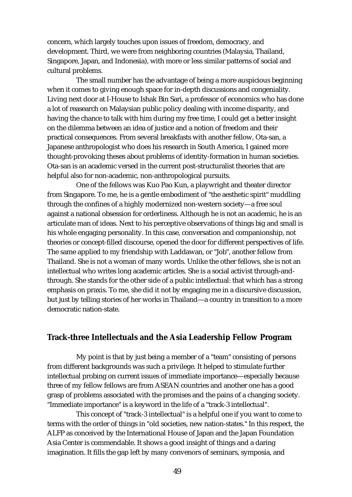concern, which largely touches upon issues of freedom, democracy, and development. Third, we were from neighboring countries (Malaysia, Thailand, Singapore, Japan, and Indonesia), with more or less similar patterns of social and cultural problems.

The small number has the advantage of being a more auspicious beginning when it comes to giving enough space for in-depth discussions and congeniality. Living next door at I-House to Ishak Bin Sari, a professor of economics who has done a lot of reasearch on Malaysian public policy dealing with income disparity, and having the chance to talk with him during my free time, I could get a better insight on the dilemma between an idea of justice and a notion of freedom and their practical consequences. From several breakfasts with another fellow, Ota-san, a Japanese anthropologist who does his research in South America, I gained more thought-provoking theses about problems of identity-formation in human societies. Ota-san is an academic versed in the current post-structuralist theories that are helpful also for non-academic, non-anthropological pursuits.

One of the fellows was Kuo Pao Kun, a playwright and theater director from Singapore. To me, he is a gentle embodiment of "the aesthetic spirit" muddling through the confines of a highly modernized non-western society—a free soul against a national obsession for orderliness. Although he is not an academic, he is an articulate man of ideas. Next to his perceptive observations of things big and small is his whole engaging personality. In this case, conversation and companionship, not theories or concept-filled discourse, opened the door for different perspectives of life. The same applied to my friendship with Laddawan, or "Job", another fellow from Thailand. She is not a woman of many words. Unlike the other fellows, she is not an intellectual who writes long academic articles. She is a social activist through-andthrough. She stands for the other side of a public intellectual: that which has a strong emphasis on praxis. To me, she did it not by engaging me in a discursive discussion, but just by telling stories of her works in Thailand—a country in transition to a more democratic nation-state.

#### **Track-three Intellectuals and the Asia Leadership Fellow Program**

My point is that by just being a member of a "team" consisting of persons from different backgrounds was such a privilege. It helped to stimulate further intellectual probing on current issues of immediate importance—especially because three of my fellow fellows are from ASEAN countries and another one has a good grasp of problems associated with the promises and the pains of a changing society. "Immediate importance" is a keyword in the life of a "track-3 intellectual".

This concept of "track-3 intellectual" is a helpful one if you want to come to terms with the order of things in "old societies, new nation-states." In this respect, the ALFP as conceived by the International House of Japan and the Japan Foundation Asia Center is commendable. It shows a good insight of things and a daring imagination. It fills the gap left by many convenors of seminars, symposia, and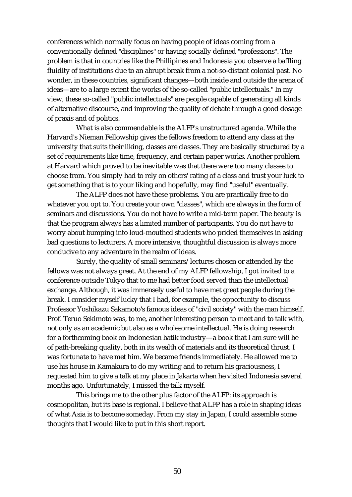conferences which normally focus on having people of ideas coming from a conventionally defined "disciplines" or having socially defined "professions". The problem is that in countries like the Phillipines and Indonesia you observe a baffling fluidity of institutions due to an abrupt break from a not-so-distant colonial past. No wonder, in these countries, significant changes—both inside and outside the arena of ideas—are to a large extent the works of the so-called "public intellectuals." In my view, these so-called "public intellectuals" are people capable of generating all kinds of alternative discourse, and improving the quality of debate through a good dosage of praxis and of politics.

What is also commendable is the ALFP's unstructured agenda. While the Harvard's Nieman Fellowship gives the fellows freedom to attend any class at the university that suits their liking, classes are classes. They are basically structured by a set of requirements like time, frequency, and certain paper works. Another problem at Harvard which proved to be inevitable was that there were too many classes to choose from. You simply had to rely on others' rating of a class and trust your luck to get something that is to your liking and hopefully, may find "useful" eventually.

The ALFP does not have these problems. You are practically free to do whatever you opt to. You create your own "classes", which are always in the form of seminars and discussions. You do not have to write a mid-term paper. The beauty is that the program always has a limited number of participants. You do not have to worry about bumping into loud-mouthed students who prided themselves in asking bad questions to lecturers. A more intensive, thoughtful discussion is always more conducive to any adventure in the realm of ideas.

Surely, the quality of small seminars/lectures chosen or attended by the fellows was not always great. At the end of my ALFP fellowship, I got invited to a conference outside Tokyo that to me had better food served than the intellectual exchange. Although, it was immensely useful to have met great people during the break. I consider myself lucky that I had, for example, the opportunity to discuss Professor Yoshikazu Sakamoto's famous ideas of "civil society" with the man himself. Prof. Teruo Sekimoto was, to me, another interesting person to meet and to talk with, not only as an academic but also as a wholesome intellectual. He is doing research for a forthcoming book on Indonesian batik industry—a book that I am sure will be of path-breaking quality, both in its wealth of materials and its theoretical thrust. I was fortunate to have met him. We became friends immediately. He allowed me to use his house in Kamakura to do my writing and to return his graciousness, I requested him to give a talk at my place in Jakarta when he visited Indonesia several months ago. Unfortunately, I missed the talk myself.

This brings me to the other plus factor of the ALFP: its approach is cosmopolitan, but its base is regional. I believe that ALFP has a role in shaping ideas of what Asia is to become someday. From my stay in Japan, I could assemble some thoughts that I would like to put in this short report.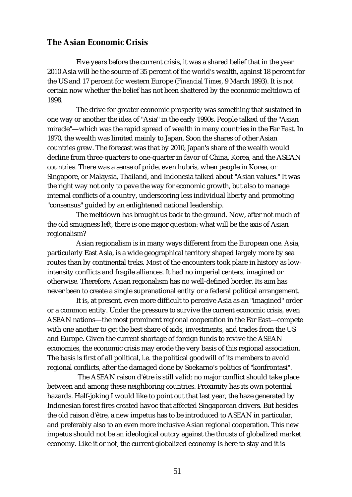## **The Asian Economic Crisis**

Five years before the current crisis, it was a shared belief that in the year 2010 Asia will be the source of 35 percent of the world's wealth, against 18 percent for the US and 17 percent for western Europe (*Financial Times*, 9 March 1993). It is not certain now whether the belief has not been shattered by the economic meltdown of 1998.

The drive for greater economic prosperity was something that sustained in one way or another the idea of "Asia" in the early 1990s. People talked of the "Asian miracle"—which was the rapid spread of wealth in many countries in the Far East. In 1970, the wealth was limited mainly to Japan. Soon the shares of other Asian countries grew. The forecast was that by 2010, Japan's share of the wealth would decline from three-quarters to one-quarter in favor of China, Korea, and the ASEAN countries. There was a sense of pride, even hubris, when people in Korea, or Singapore, or Malaysia, Thailand, and Indonesia talked about "Asian values." It was the right way not only to pave the way for economic growth, but also to manage internal conflicts of a country, underscoring less individual liberty and promoting "consensus" guided by an enlightened national leadership.

The meltdown has brought us back to the ground. Now, after not much of the old smugness left, there is one major question: what will be the axis of Asian regionalism?

Asian regionalism is in many ways different from the European one. Asia, particularly East Asia, is a wide geographical territory shaped largely more by sea routes than by continental treks. Most of the encounters took place in history as lowintensity conflicts and fragile alliances. It had no imperial centers, imagined or otherwise. Therefore, Asian regionalism has no well-defined border. Its aim has never been to create a single supranational entity or a federal political arrangement.

It is, at present, even more difficult to perceive Asia as an "imagined" order or a common entity. Under the pressure to survive the current economic crisis, even ASEAN nations—the most prominent regional cooperation in the Far East—compete with one another to get the best share of aids, investments, and trades from the US and Europe. Given the current shortage of foreign funds to revive the ASEAN economies, the economic crisis may erode the very basis of this regional association. The basis is first of all political, i.e. the political goodwill of its members to avoid regional conflicts, after the damaged done by Soekarno's politics of "konfrontasi".

The ASEAN raison d'être is still valid: no major conflict should take place between and among these neighboring countries. Proximity has its own potential hazards. Half-joking I would like to point out that last year, the haze generated by Indonesian forest fires created havoc that affected Singaporean drivers. But besides the old raison d'être, a new impetus has to be introduced to ASEAN in particular, and preferably also to an even more inclusive Asian regional cooperation. This new impetus should not be an ideological outcry against the thrusts of globalized market economy. Like it or not, the current globalized economy is here to stay and it is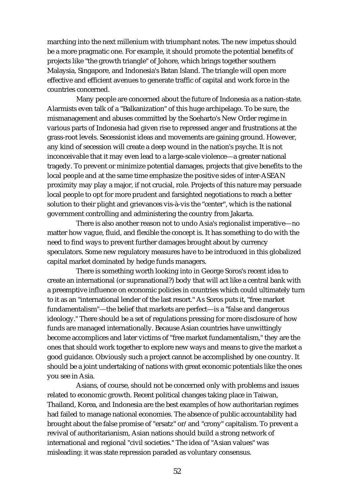marching into the next millenium with triumphant notes. The new impetus should be a more pragmatic one. For example, it should promote the potential benefits of projects like "the growth triangle" of Johore, which brings together southern Malaysia, Singapore, and Indonesia's Batan Island. The triangle will open more effective and efficient avenues to generate traffic of capital and work force in the countries concerned.

Many people are concerned about the future of Indonesia as a nation-state. Alarmists even talk of a "Balkanization" of this huge archipelago. To be sure, the mismanagement and abuses committed by the Soeharto's New Order regime in various parts of Indonesia had given rise to repressed anger and frustrations at the grass-root levels. Secessionist ideas and movements are gaining ground. However, any kind of secession will create a deep wound in the nation's psyche. It is not inconceivable that it may even lead to a large-scale violence—a greater national tragedy. To prevent or minimize potential damages, projects that give benefits to the local people and at the same time emphasize the positive sides of inter-ASEAN proximity may play a major, if not crucial, role. Projects of this nature may persuade local people to opt for more prudent and farsighted negotiations to reach a better solution to their plight and grievances vis-à-vis the "center", which is the national government controlling and administering the country from Jakarta.

There is also another reason not to undo Asia's regionalist imperative—no matter how vague, fluid, and flexible the concept is. It has something to do with the need to find ways to prevent further damages brought about by currency speculators. Some new regulatory measures have to be introduced in this globalized capital market dominated by hedge funds managers.

There is something worth looking into in George Soros's recent idea to create an international (or supranational?) body that will act like a central bank with a preemptive influence on economic policies in countries which could ultimately turn to it as an "international lender of the last resort." As Soros puts it, "free market fundamentalism"—the belief that markets are perfect—is a "false and dangerous ideology." There should be a set of regulations pressing for more disclosure of how funds are managed internationally. Because Asian countries have unwittingly become accomplices and later victims of "free market fundamentalism," they are the ones that should work together to explore new ways and means to give the market a good guidance. Obviously such a project cannot be accomplished by one country. It should be a joint undertaking of nations with great economic potentials like the ones you see in Asia.

Asians, of course, should not be concerned only with problems and issues related to economic growth. Recent political changes taking place in Taiwan, Thailand, Korea, and Indonesia are the best examples of how authoritarian regimes had failed to manage national economies. The absence of public accountability had brought about the false promise of "ersatz" or/and "crony" capitalism. To prevent a revival of authoritarianism, Asian nations should build a strong network of international and regional "civil societies." The idea of "Asian values" was misleading: it was state repression paraded as voluntary consensus.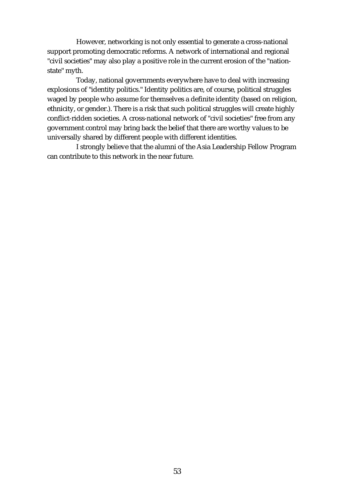However, networking is not only essential to generate a cross-national support promoting democratic reforms. A network of international and regional "civil societies" may also play a positive role in the current erosion of the "nationstate" myth.

Today, national governments everywhere have to deal with increasing explosions of "identity politics." Identity politics are, of course, political struggles waged by people who assume for themselves a definite identity (based on religion, ethnicity, or gender.). There is a risk that such political struggles will create highly conflict-ridden societies. A cross-national network of "civil societies" free from any government control may bring back the belief that there are worthy values to be universally shared by different people with different identities.

I strongly believe that the alumni of the Asia Leadership Fellow Program can contribute to this network in the near future.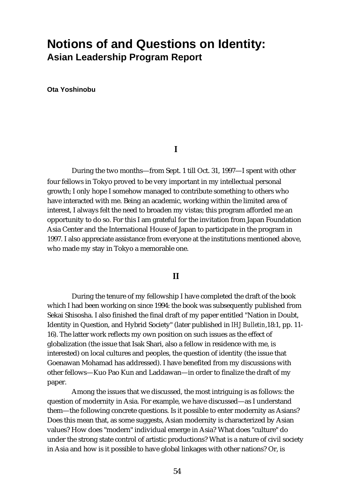# **Notions of and Questions on Identity: Asian Leadership Program Report**

**Ota Yoshinobu**

#### **I**

During the two months—from Sept. 1 till Oct. 31, 1997—I spent with other four fellows in Tokyo proved to be very important in my intellectual personal growth; I only hope I somehow managed to contribute something to others who have interacted with me. Being an academic, working within the limited area of interest, I always felt the need to broaden my vistas; this program afforded me an opportunity to do so. For this I am grateful for the invitation from Japan Foundation Asia Center and the International House of Japan to participate in the program in 1997. I also appreciate assistance from everyone at the institutions mentioned above, who made my stay in Tokyo a memorable one.

#### **II**

During the tenure of my fellowship I have completed the draft of the book which I had been working on since 1994: the book was subsequently published from Sekai Shisosha. I also finished the final draft of my paper entitled "Nation in Doubt, Identity in Question, and Hybrid Society" (later published in *IHJ Bulletin*,18:1, pp. 11- 16). The latter work reflects my own position on such issues as the effect of globalization (the issue that Isak Shari, also a fellow in residence with me, is interested) on local cultures and peoples, the question of identity (the issue that Goenawan Mohamad has addressed). I have benefited from my discussions with other fellows—Kuo Pao Kun and Laddawan—in order to finalize the draft of my paper.

Among the issues that we discussed, the most intriguing is as follows: the question of modernity in Asia. For example, we have discussed—as I understand them—the following concrete questions. Is it possible to enter modernity as Asians? Does this mean that, as some suggests, Asian modernity is characterized by Asian values? How does "modern" individual emerge in Asia? What does "culture" do under the strong state control of artistic productions? What is a nature of civil society in Asia and how is it possible to have global linkages with other nations? Or, is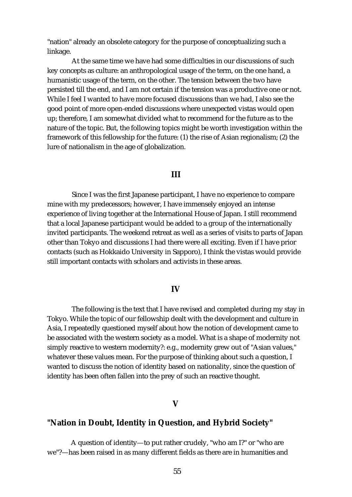"nation" already an obsolete category for the purpose of conceptualizing such a linkage.

At the same time we have had some difficulties in our discussions of such key concepts as culture: an anthropological usage of the term, on the one hand, a humanistic usage of the term, on the other. The tension between the two have persisted till the end, and I am not certain if the tension was a productive one or not. While I feel I wanted to have more focused discussions than we had, I also see the good point of more open-ended discussions where unexpected vistas would open up; therefore, I am somewhat divided what to recommend for the future as to the nature of the topic. But, the following topics might be worth investigation within the framework of this fellowship for the future: (1) the rise of Asian regionalism; (2) the lure of nationalism in the age of globalization.

#### **III**

Since I was the first Japanese participant, I have no experience to compare mine with my predecessors; however, I have immensely enjoyed an intense experience of living together at the International House of Japan. I still recommend that a local Japanese participant would be added to a group of the internationally invited participants. The weekend retreat as well as a series of visits to parts of Japan other than Tokyo and discussions I had there were all exciting. Even if I have prior contacts (such as Hokkaido University in Sapporo), I think the vistas would provide still important contacts with scholars and activists in these areas.

#### **IV**

The following is the text that I have revised and completed during my stay in Tokyo. While the topic of our fellowship dealt with the development and culture in Asia, I repeatedly questioned myself about how the notion of development came to be associated with the western society as a model. What is a shape of modernity not simply reactive to western modernity?: e.g., modernity grew out of "Asian values," whatever these values mean. For the purpose of thinking about such a question, I wanted to discuss the notion of identity based on nationality, since the question of identity has been often fallen into the prey of such an reactive thought.

#### **V**

#### **"Nation in Doubt, Identity in Question, and Hybrid Society"**

A question of identity—to put rather crudely, "who am I?" or "who are we"?—has been raised in as many different fields as there are in humanities and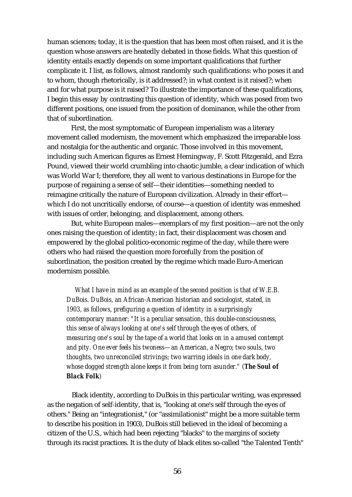human sciences; today, it is the question that has been most often raised, and it is the question whose answers are heatedly debated in those fields. What this question of identity entails exactly depends on some important qualifications that further complicate it. I list, as follows, almost randomly such qualifications: who poses it and to whom, though rhetorically, is it addressed?; in what context is it raised?; when and for what purpose is it raised? To illustrate the importance of these qualifications, I begin this essay by contrasting this question of identity, which was posed from two different positions, one issued from the position of dominance, while the other from that of subordination.

First, the most symptomatic of European imperialism was a literary movement called modernism, the movement which emphasized the irreparable loss and nostalgia for the authentic and organic. Those involved in this movement, including such American figures as Ernest Hemingway, F. Scott Fitzgerald, and Ezra Pound, viewed their world crumbling into chaotic jumble, a clear indication of which was World War I; therefore, they all went to various destinations in Europe for the purpose of regaining a sense of self—their identities—something needed to reimagine critically the nature of European civilization. Already in their effort which I do not uncritically endorse, of course—a question of identity was enmeshed with issues of order, belonging, and displacement, among others.

But, white European males—exemplars of my first position—are not the only ones raising the question of identity; in fact, their displacement was chosen and empowered by the global politico-economic regime of the day, while there were others who had raised the question more forcefully from the position of subordination, the position created by the regime which made Euro-American modernism possible.

*What I have in mind as an example of the second position is that of W.E.B. DuBois. DuBois, an African-American historian and sociologist, stated, in 1903, as follows, prefiguring a question of identity in a surprisingly contemporary manner: "It is a peculiar sensation, this double-consciousness, this sense of always looking at one's self through the eyes of others, of measuring one's soul by the tape of a world that looks on in a amused contempt and pity. One ever feels his twoness—an American, a Negro; two souls, two thoughts, two unreconciled strivings; two warring ideals in one dark body, whose dogged strength alone keeps it from being torn asunder." (The Soul of Black Folk)*

Black identity, according to DuBois in this particular writing, was expressed as the negation of self-identity, that is, "looking at one's self through the eyes of others." Being an "integrationist," (or "assimilationist" might be a more suitable term to describe his position in 1903), DuBois still believed in the ideal of becoming a citizen of the U.S., which had been rejecting "blacks" to the margins of society through its racist practices. It is the duty of black elites so-called "the Talented Tenth"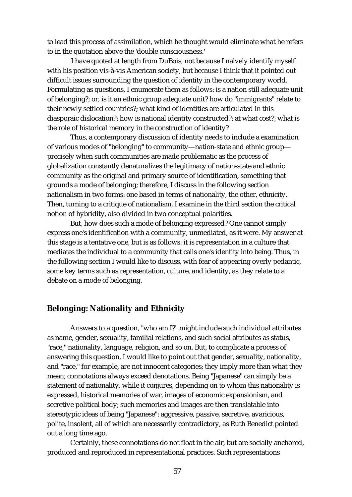to lead this process of assimilation, which he thought would eliminate what he refers to in the quotation above the 'double consciousness.'

I have quoted at length from DuBois, not because I naively identify myself with his position vis-à-vis American society, but because I think that it pointed out difficult issues surrounding the question of identity in the contemporary world. Formulating as questions, I enumerate them as follows: is a nation still adequate unit of belonging?; or, is it an ethnic group adequate unit? how do "immigrants" relate to their newly settled countries?; what kind of identities are articulated in this diasporaic dislocation?; how is national identity constructed?; at what cost?; what is the role of historical memory in the construction of identity?

Thus, a contemporary discussion of identity needs to include a examination of various modes of "belonging" to community—nation-state and ethnic group precisely when such communities are made problematic as the process of globalization constantly denaturalizes the legitimacy of nation-state and ethnic community as the original and primary source of identification, something that grounds a mode of belonging; therefore, I discuss in the following section nationalism in two forms: one based in terms of nationality, the other, ethnicity. Then, turning to a critique of nationalism, I examine in the third section the critical notion of hybridity, also divided in two conceptual polarities.

But, how does such a mode of belonging expressed? One cannot simply express one's identification with a community, unmediated, as it were. My answer at this stage is a tentative one, but is as follows: it is representation in a culture that mediates the individual to a community that calls one's identity into being. Thus, in the following section I would like to discuss, with fear of appearing overly pedantic, some key terms such as representation, culture, and identity, as they relate to a debate on a mode of belonging.

## **Belonging: Nationality and Ethnicity**

Answers to a question, "who am I?" might include such individual attributes as name, gender, sexuality, familial relations, and such social attributes as status, "race," nationality, language, religion, and so on. But, to complicate a process of answering this question, I would like to point out that gender, sexuality, nationality, and "race," for example, are not innocent categories; they imply more than what they mean; connotations always exceed denotations. Being "Japanese" can simply be a statement of nationality, while it conjures, depending on to whom this nationality is expressed, historical memories of war, images of economic expansionism, and secretive political body; such memories and images are then translatable into stereotypic ideas of being "Japanese": aggressive, passive, secretive, avaricious, polite, insolent, all of which are necessarily contradictory, as Ruth Benedict pointed out a long time ago.

Certainly, these connotations do not float in the air, but are socially anchored, produced and reproduced in representational practices. Such representations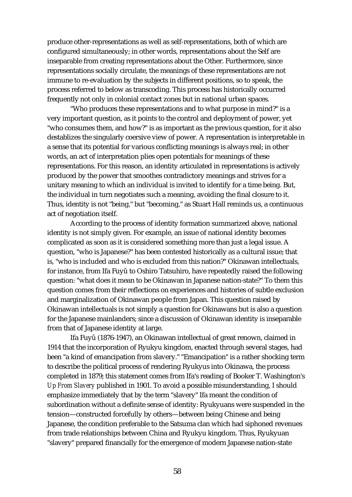produce other-representations as well as self-representations, both of which are configured simultaneously; in other words, representations about the Self are inseparable from creating representations about the Other. Furthermore, since representations socially circulate, the meanings of these representations are not immune to re-evaluation by the subjects in different positions, so to speak, the process referred to below as transcoding. This process has historically occurred frequently not only in colonial contact zones but in national urban spaces.

"Who produces these representations and to what purpose in mind?" is a very important question, as it points to the control and deployment of power, yet "who consumes them, and how?" is as important as the previous question, for it also destablizes the singularly coersive view of power. A representation is interpretable in a sense that its potential for various conflicting meanings is always real; in other words, an act of interpretation plies open potentials for meanings of these representations. For this reason, an identity articulated in representations is actively produced by the power that smoothes contradictory meanings and strives for a unitary meaning to which an individual is invited to identify for a time being. But, the individual in turn negotiates such a meaning, avoiding the final closure to it. Thus, identity is not "being," but "becoming," as Stuart Hall reminds us, a continuous act of negotiation itself.

According to the process of identity formation summarized above, national identity is not simply given. For example, an issue of national identity becomes complicated as soon as it is considered something more than just a legal issue. A question, "who is Japanese?" has been contested historically as a cultural issue; that is, "who is included and who is excluded from this nation?" Okinawan intellectuals, for instance, from Ifa Fuyû to Oshiro Tatsuhiro, have repeatedly raised the following question: "what does it mean to be Okinawan in Japanese nation-state?" To them this question comes from their reflections on experiences and histories of subtle exclusion and marginalization of Okinawan people from Japan. This question raised by Okinawan intellectuals is not simply a question for Okinawans but is also a question for the Japanese mainlanders; since a discussion of Okinawan identity is inseparable from that of Japanese identity at large.

Ifa Fuyû (1876-1947), an Okinawan intellectual of great renown, claimed in 1914 that the incorporation of Ryukyu kingdom, enacted through several stages, had been "a kind of emancipation from slavery." "Emancipation" is a rather shocking term to describe the political process of rendering Ryukyus into Okinawa, the process completed in 1879; this statement comes from Ifa's reading of Booker T. Washington's *Up From Slavery* published in 1901. To avoid a possible misunderstanding, I should emphasize immediately that by the term "slavery" Ifa meant the condition of subordination without a definite sense of identity: Ryukyuans were suspended in the tension—constructed forcefully by others—between being Chinese and being Japanese, the condition preferable to the Satsuma clan which had siphoned revenues from trade relationships between China and Ryukyu kingdom. Thus, Ryukyuan "slavery" prepared financially for the emergence of modern Japanese nation-state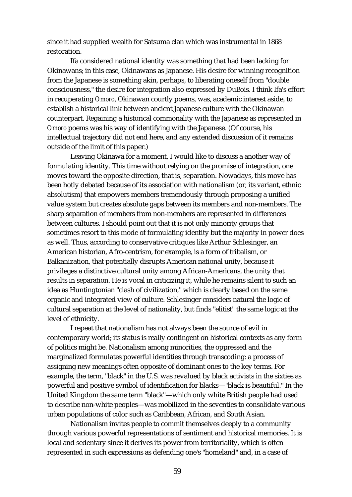since it had supplied wealth for Satsuma clan which was instrumental in 1868 restoration.

Ifa considered national identity was something that had been lacking for Okinawans; in this case, Okinawans as Japanese. His desire for winning recognition from the Japanese is something akin, perhaps, to liberating oneself from "double consciousness," the desire for integration also expressed by DuBois. I think Ifa's effort in recuperating *Omoro*, Okinawan courtly poems, was, academic interest aside, to establish a historical link between ancient Japanese culture with the Okinawan counterpart. Regaining a historical commonality with the Japanese as represented in *Omoro* poems was his way of identifying with the Japanese. (Of course, his intellectual trajectory did not end here, and any extended discussion of it remains outside of the limit of this paper.)

Leaving Okinawa for a moment, I would like to discuss a another way of formulating identity. This time without relying on the promise of integration, one moves toward the opposite direction, that is, separation. Nowadays, this move has been hotly debated because of its association with nationalism (or, its variant, ethnic absolutism) that empowers members tremendously through proposing a unified value system but creates absolute gaps between its members and non-members. The sharp separation of members from non-members are represented in differences between cultures. I should point out that it is not only minority groups that sometimes resort to this mode of formulating identity but the majority in power does as well. Thus, according to conservative critiques like Arthur Schlesinger, an American historian, Afro-centrism, for example, is a form of tribalism, or Balkanization, that potentially disrupts American national unity, because it privileges a distinctive cultural unity among African-Americans, the unity that results in separation. He is vocal in criticizing it, while he remains silent to such an idea as Huntingtonian "clash of civilization," which is clearly based on the same organic and integrated view of culture. Schlesinger considers natural the logic of cultural separation at the level of nationality, but finds "elitist" the same logic at the level of ethnicity.

I repeat that nationalism has not always been the source of evil in contemporary world; its status is really contingent on historical contexts as any form of politics might be. Nationalism among minorities, the oppressed and the marginalized formulates powerful identities through transcoding: a process of assigning new meanings often opposite of dominant ones to the key terms. For example, the term, "black" in the U.S. was revalued by black activists in the sixties as powerful and positive symbol of identification for blacks—"black is beautiful." In the United Kingdom the same term "black"—which only white British people had used to describe non-white peoples—was mobilized in the seventies to consolidate various urban populations of color such as Caribbean, African, and South Asian.

Nationalism invites people to commit themselves deeply to a community through various powerful representations of sentiment and historical memories. It is local and sedentary since it derives its power from territoriality, which is often represented in such expressions as defending one's "homeland" and, in a case of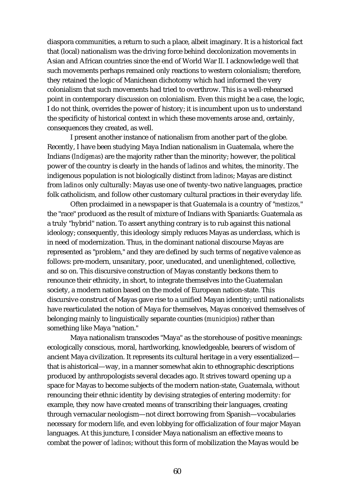diaspora communities, a return to such a place, albeit imaginary. It is a historical fact that (local) nationalism was the driving force behind decolonization movements in Asian and African countries since the end of World War II. I acknowledge well that such movements perhaps remained only reactions to western colonialism; therefore, they retained the logic of Manichean dichotomy which had informed the very colonialism that such movements had tried to overthrow. This is a well-rehearsed point in contemporary discussion on colonialism. Even this might be a case, the logic, I do not think, overrides the power of history; it is incumbent upon us to understand the specificity of historical context in which these movements arose and, certainly, consequences they created, as well.

I present another instance of nationalism from another part of the globe. Recently, I have been studying Maya Indian nationalism in Guatemala, where the Indians (*Indígenas*) are the majority rather than the minority; however, the political power of the country is clearly in the hands of *ladinos* and whites, the minority. The indigenous population is not biologically distinct from *ladinos*; Mayas are distinct from *ladinos* only culturally: Mayas use one of twenty-two native languages, practice folk catholicism, and follow other customary cultural practices in their everyday life.

Often proclaimed in a newspaper is that Guatemala is a country of "*mestizos,*" the "race" produced as the result of mixture of Indians with Spaniards: Guatemala as a truly "hybrid" nation. To assert anything contrary is to rub against this national ideology; consequently, this ideology simply reduces Mayas as underclass, which is in need of modernization. Thus, in the dominant national discourse Mayas are represented as "problem," and they are defined by such terms of negative valence as follows: pre-modern, unsanitary, poor, uneducated, and unenlightened, collective, and so on. This discursive construction of Mayas constantly beckons them to renounce their ethnicity, in short, to integrate themselves into the Guatemalan society, a modern nation based on the model of European nation-state. This discursive construct of Mayas gave rise to a unified Mayan identity; until nationalists have rearticulated the notion of Maya for themselves, Mayas conceived themselves of belonging mainly to linguistically separate counties (*municipios*) rather than something like Maya "nation."

Maya nationalism transcodes "Maya" as the storehouse of positive meanings: ecologically conscious, moral, hardworking, knowledgeable, bearers of wisdom of ancient Maya civilization. It represents its cultural heritage in a very essentialized that is ahistorical—way, in a manner somewhat akin to ethnographic descriptions produced by anthropologists several decades ago. It strives toward opening up a space for Mayas to become subjects of the modern nation-state, Guatemala, without renouncing their ethnic identity by devising strategies of entering modernity: for example, they now have created means of transcribing their languages, creating through vernacular neologism—not direct borrowing from Spanish—vocabularies necessary for modern life, and even lobbying for officialization of four major Mayan languages. At this juncture, I consider Maya nationalism an effective means to combat the power of *ladinos*; without this form of mobilization the Mayas would be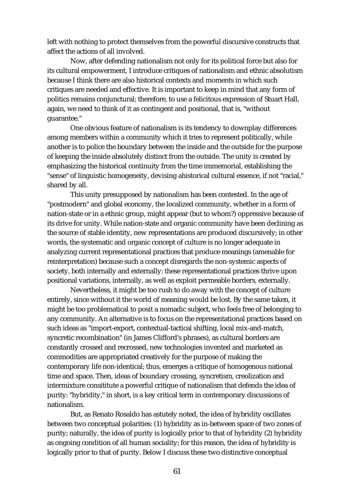left with nothing to protect themselves from the powerful discursive constructs that affect the actions of all involved.

Now, after defending nationalism not only for its political force but also for its cultural empowerment, I introduce critiques of nationalism and ethnic absolutism because I think there are also historical contexts and moments in which such critiques are needed and effective. It is important to keep in mind that any form of politics remains conjunctural; therefore, to use a felicitous expression of Stuart Hall, again, we need to think of it as contingent and positional, that is, "without guarantee."

One obvious feature of nationalism is its tendency to downplay differences among members within a community which it tries to represent politically, while another is to police the boundary between the inside and the outside for the purpose of keeping the inside absolutely distinct from the outside. The unity is created by emphasizing the historical continuity from the time immemorial, establishing the "sense" of linguistic homogeneity, devising ahistorical cultural essence, if not "racial," shared by all.

This unity presupposed by nationalism has been contested. In the age of "postmodern" and global economy, the localized community, whether in a form of nation-state or in a ethnic group, might appear (but to whom?) oppressive because of its drive for unity. While nation-state and organic community have been declining as the source of stable identity, new representations are produced discursively; in other words, the systematic and organic concept of culture is no longer adequate in analyzing current representational practices that produce meanings (amenable for reinterpretation) because such a concept disregards the non-systemic aspects of society, both internally and externally: these representational practices thrive upon positional variations, internally, as well as exploit permeable borders, externally.

Nevertheless, it might be too rush to do away with the concept of culture entirely, since without it the world of meaning would be lost. By the same taken, it might be too problematical to posit a nomadic subject, who feels free of belonging to any community. An alternative is to focus on the representational practices based on such ideas as "import-export, contextual-tactical shifting, local mix-and-match, syncretic recombination" (in James Clifford's phrases), as cultural borders are constantly crossed and recrossed, new technologies invented and marketed as commodities are appropriated creatively for the purpose of making the contemporary life non-identical; thus, emerges a critique of homogenous national time and space. Then, ideas of boundary crossing, syncretism, creolization and intermixture consititute a powerful critique of nationalism that defends the idea of purity: "hybridity," in short, is a key critical term in contemporary discussions of nationalism.

But, as Renato Rosaldo has astutely noted, the idea of hybridity oscillates between two conceptual polarities: (1) hybridity as in-between space of two zones of purity; naturally, the idea of purity is logically prior to that of hybridity (2) hybridity as ongoing condition of all human sociality; for this reason, the idea of hybridity is logically prior to that of purity. Below I discuss these two distinctive conceptual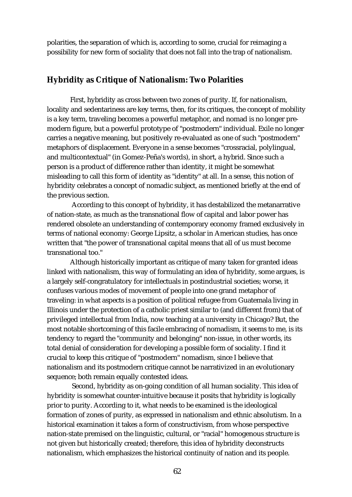polarities, the separation of which is, according to some, crucial for reimaging a possibility for new form of sociality that does not fall into the trap of nationalism.

#### **Hybridity as Critique of Nationalism: Two Polarities**

First, hybridity as cross between two zones of purity. If, for nationalism, locality and sedentariness are key terms, then, for its critiques, the concept of mobility is a key term, traveling becomes a powerful metaphor, and nomad is no longer premodern figure, but a powerful prototype of "postmodern" individual. Exile no longer carries a negative meaning, but positively re-evaluated as one of such "postmodern" metaphors of displacement. Everyone in a sense becomes "crossracial, polylingual, and multicontextual" (in Gomez-Peña's words), in short, a hybrid. Since such a person is a product of difference rather than identity, it might be somewhat misleading to call this form of identity as "identity" at all. In a sense, this notion of hybridity celebrates a concept of nomadic subject, as mentioned briefly at the end of the previous section.

According to this concept of hybridity, it has destabilized the metanarrative of nation-state, as much as the transnational flow of capital and labor power has rendered obsolete an understanding of contemporary economy framed exclusively in terms of national economy: George Lipsitz, a scholar in American studies, has once written that "the power of transnational capital means that all of us must become transnational too."

Although historically important as critique of many taken for granted ideas linked with nationalism, this way of formulating an idea of hybridity, some argues, is a largely self-congratulatory for intellectuals in postindustrial societies; worse, it confuses various modes of movement of people into one grand metaphor of traveling: in what aspects is a position of political refugee from Guatemala living in Illinois under the protection of a catholic priest similar to (and different from) that of privileged intellectual from India, now teaching at a university in Chicago? But, the most notable shortcoming of this facile embracing of nomadism, it seems to me, is its tendency to regard the "community and belonging" non-issue, in other words, its total denial of consideration for developing a possible form of sociality. I find it crucial to keep this critique of "postmodern" nomadism, since I believe that nationalism and its postmodern critique cannot be narrativized in an evolutionary sequence; both remain equally contested ideas.

Second, hybridity as on-going condition of all human sociality. This idea of hybridity is somewhat counter-intuitive because it posits that hybridity is logically prior to purity. According to it, what needs to be examined is the ideological formation of zones of purity, as expressed in nationalism and ethnic absolutism. In a historical examination it takes a form of constructivism, from whose perspective nation-state premised on the linguistic, cultural, or "racial" homogenous structure is not given but historically created; therefore, this idea of hybridity deconstructs nationalism, which emphasizes the historical continuity of nation and its people.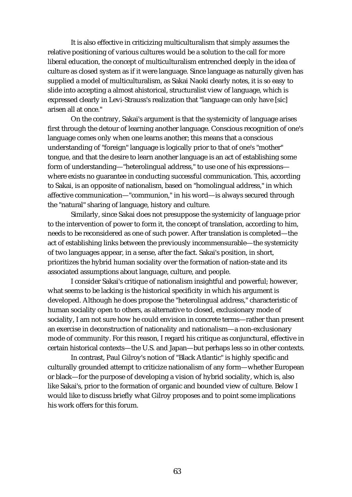It is also effective in criticizing multiculturalism that simply assumes the relative positioning of various cultures would be a solution to the call for more liberal education, the concept of multiculturalism entrenched deeply in the idea of culture as closed system as if it were language. Since language as naturally given has supplied a model of multiculturalism, as Sakai Naoki clearly notes, it is so easy to slide into accepting a almost ahistorical, structuralist view of language, which is expressed clearly in Levi-Strauss's realization that "language can only have [sic] arisen all at once."

On the contrary, Sakai's argument is that the systemicity of language arises first through the detour of learning another language. Conscious recognition of one's language comes only when one learns another; this means that a conscious understanding of "foreign" language is logically prior to that of one's "mother" tongue, and that the desire to learn another language is an act of establishing some form of understanding—"heterolingual address," to use one of his expressions where exists no guarantee in conducting successful communication. This, according to Sakai, is an opposite of nationalism, based on "homolingual address," in which affective communication—"communion," in his word—is always secured through the "natural" sharing of language, history and culture.

Similarly, since Sakai does not presuppose the systemicity of language prior to the intervention of power to form it, the concept of translation, according to him, needs to be reconsidered as one of such power. After translation is completed—the act of establishing links between the previously incommensurable—the systemicity of two languages appear, in a sense, after the fact. Sakai's position, in short, prioritizes the hybrid human sociality over the formation of nation-state and its associated assumptions about language, culture, and people.

I consider Sakai's critique of nationalism insightful and powerful; however, what seems to be lacking is the historical specificity in which his argument is developed. Although he does propose the "heterolingual address," characteristic of human sociality open to others, as alternative to closed, exclusionary mode of sociality, I am not sure how he could envision in concrete terms—rather than present an exercise in deconstruction of nationality and nationalism—a non-exclusionary mode of community. For this reason, I regard his critique as conjunctural, effective in certain historical contexts—the U.S. and Japan—but perhaps less so in other contexts.

In contrast, Paul Gilroy's notion of "Black Atlantic" is highly specific and culturally grounded attempt to criticize nationalism of any form—whether European or black—for the purpose of developing a vision of hybrid sociality, which is, also like Sakai's, prior to the formation of organic and bounded view of culture. Below I would like to discuss briefly what Gilroy proposes and to point some implications his work offers for this forum.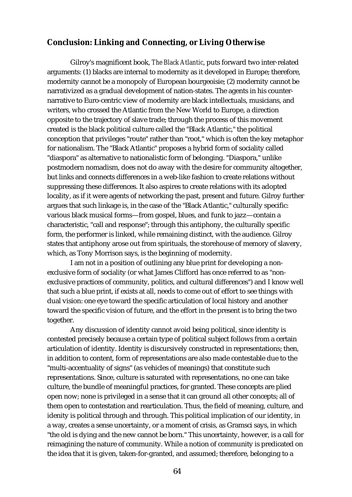## **Conclusion: Linking and Connecting, or Living Otherwise**

Gilroy's magnificent book, *The Black Atlantic*, puts forward two inter-related arguments: (1) blacks are internal to modernity as it developed in Europe; therefore, modernity cannot be a monopoly of European bourgeoisie; (2) modernity cannot be narrativized as a gradual development of nation-states. The agents in his counternarrative to Euro-centric view of modernity are black intellectuals, musicians, and writers, who crossed the Atlantic from the New World to Europe, a direction opposite to the trajectory of slave trade; through the process of this movement created is the black political culture called the "Black Atlantic," the political conception that privileges "route" rather than "root," which is often the key metaphor for nationalism. The "Black Atlantic" proposes a hybrid form of sociality called "diaspora" as alternative to nationalistic form of belonging. "Diaspora," unlike postmodern nomadism, does not do away with the desire for community altogether, but links and connects differences in a web-like fashion to create relations without suppressing these differences. It also aspires to create relations with its adopted locality, as if it were agents of networking the past, present and future. Gilroy further argues that such linkage is, in the case of the "Black Atlantic," culturally specific: various black musical forms—from gospel, blues, and funk to jazz—contain a characteristic, "call and response"; through this antiphony, the culturally specific form, the performer is linked, while remaining distinct, with the audience. Gilroy states that antiphony arose out from spirituals, the storehouse of memory of slavery, which, as Tony Morrison says, is the beginning of modernity.

I am not in a position of outlining any blue print for developing a nonexclusive form of sociality (or what James Clifford has once referred to as "nonexclusive practices of community, politics, and cultural differences") and I know well that such a blue print, if exists at all, needs to come out of effort to see things with dual vision: one eye toward the specific articulation of local history and another toward the specific vision of future, and the effort in the present is to bring the two together.

Any discussion of identity cannot avoid being political, since identity is contested precisely because a certain type of political subject follows from a certain articulation of identity. Identity is discursively constructed in representations; then, in addition to content, form of representations are also made contestable due to the "multi-accentuality of signs" (as vehicles of meanings) that constitute such representations. Since, culture is saturated with representations, no one can take culture, the bundle of meaningful practices, for granted. These concepts are plied open now; none is privileged in a sense that it can ground all other concepts; all of them open to contestation and rearticulation. Thus, the field of meaning, culture, and idenity is political through and through. This political implication of our identity, in a way, creates a sense uncertainty, or a moment of crisis, as Gramsci says, in which "the old is dying and the new cannot be born." This uncertainty, however, is a call for reimagining the nature of community. While a notion of community is predicated on the idea that it is given, taken-for-granted, and assumed; therefore, belonging to a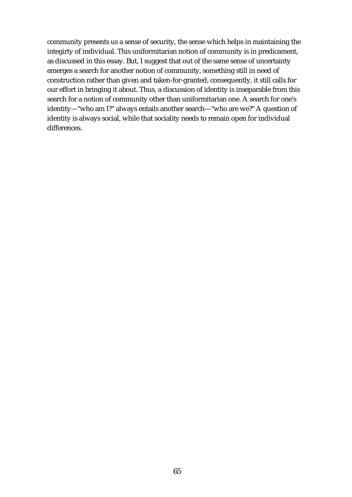community presents us a sense of security, the sense which helps in maintaining the integirty of individual. This uniformitarian notion of community is in predicament, as discussed in this essay. But, I suggest that out of the same sense of uncertainty emerges a search for another notion of community, something still in need of construction rather than given and taken-for-granted; consequently, it still calls for our effort in bringing it about. Thus, a discussion of identity is inseparable from this search for a notion of community other than uniformitarian one. A search for one's identity—"who am I?" always entails another search—"who are we?" A question of identity is always social, while that sociality needs to remain open for individual differences.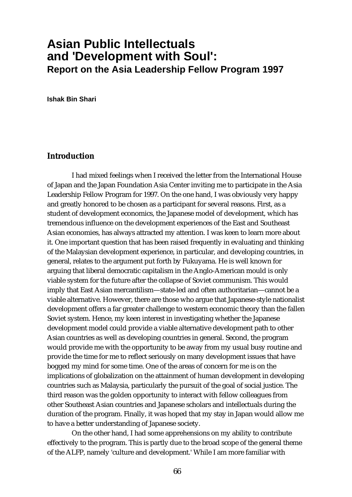## **Asian Public Intellectuals and 'Development with Soul': Report on the Asia Leadership Fellow Program 1997**

**Ishak Bin Shari**

## **Introduction**

I had mixed feelings when I received the letter from the International House of Japan and the Japan Foundation Asia Center inviting me to participate in the Asia Leadership Fellow Program for 1997. On the one hand, I was obviously very happy and greatly honored to be chosen as a participant for several reasons. First, as a student of development economics, the Japanese model of development, which has tremendous influence on the development experiences of the East and Southeast Asian economies, has always attracted my attention. I was keen to learn more about it. One important question that has been raised frequently in evaluating and thinking of the Malaysian development experience, in particular, and developing countries, in general, relates to the argument put forth by Fukuyama. He is well known for arguing that liberal democratic capitalism in the Anglo-American mould is only viable system for the future after the collapse of Soviet communism. This would imply that East Asian mercantilism—state-led and often authoritarian—cannot be a viable alternative. However, there are those who argue that Japanese-style nationalist development offers a far greater challenge to western economic theory than the fallen Soviet system. Hence, my keen interest in investigating whether the Japanese development model could provide a viable alternative development path to other Asian countries as well as developing countries in general. Second, the program would provide me with the opportunity to be away from my usual busy routine and provide the time for me to reflect seriously on many development issues that have bogged my mind for some time. One of the areas of concern for me is on the implications of globalization on the attainment of human development in developing countries such as Malaysia, particularly the pursuit of the goal of social justice. The third reason was the golden opportunity to interact with fellow colleagues from other Southeast Asian countries and Japanese scholars and intellectuals during the duration of the program. Finally, it was hoped that my stay in Japan would allow me to have a better understanding of Japanese society.

On the other hand, I had some apprehensions on my ability to contribute effectively to the program. This is partly due to the broad scope of the general theme of the ALFP, namely 'culture and development.' While I am more familiar with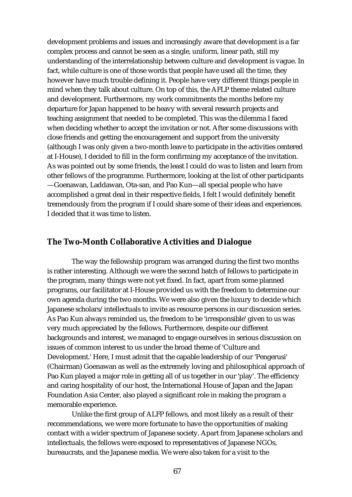development problems and issues and increasingly aware that development is a far complex process and cannot be seen as a single, uniform, linear path, still my understanding of the interrelationship between culture and development is vague. In fact, while culture is one of those words that people have used all the time, they however have much trouble defining it. People have very different things people in mind when they talk about culture. On top of this, the AFLP theme related culture and development. Furthermore, my work commitments the months before my departure for Japan happened to be heavy with several research projects and teaching assignment that needed to be completed. This was the dilemma I faced when deciding whether to accept the invitation or not. After some discussions with close friends and getting the encouragement and support from the university (although I was only given a two-month leave to participate in the activities centered at I-House), I decided to fill in the form confirming my acceptance of the invitation. As was pointed out by some friends, the least I could do was to listen and learn from other fellows of the programme. Furthermore, looking at the list of other participants —Goenawan, Laddawan, Ota-san, and Pao Kun—all special people who have accomplished a great deal in their respective fields, I felt I would definitely benefit tremendously from the program if I could share some of their ideas and experiences. I decided that it was time to listen.

#### **The Two-Month Collaborative Activities and Dialogue**

The way the fellowship program was arranged during the first two months is rather interesting. Although we were the second batch of fellows to participate in the program, many things were not yet fixed. In fact, apart from some planned programs, our facilitator at I-House provided us with the freedom to determine our own agenda during the two months. We were also given the luxury to decide which Japanese scholars/intellectuals to invite as resource persons in our discussion series. As Pao Kun always reminded us, the freedom to be 'irresponsible' given to us was very much appreciated by the fellows. Furthermore, despite our different backgrounds and interest, we managed to engage ourselves in serious discussion on issues of common interest to us under the broad theme of 'Culture and Development.' Here, I must admit that the capable leadership of our 'Pengerusi' (Chairman) Goenawan as well as the extremely loving and philosophical approach of Pao Kun played a major role in getting all of us together in our 'play'. The efficiency and caring hospitality of our host, the International House of Japan and the Japan Foundation Asia Center, also played a significant role in making the program a memorable experience.

Unlike the first group of ALFP fellows, and most likely as a result of their recommendations, we were more fortunate to have the opportunities of making contact with a wider spectrum of Japanese society. Apart from Japanese scholars and intellectuals, the fellows were exposed to representatives of Japanese NGOs, bureaucrats, and the Japanese media. We were also taken for a visit to the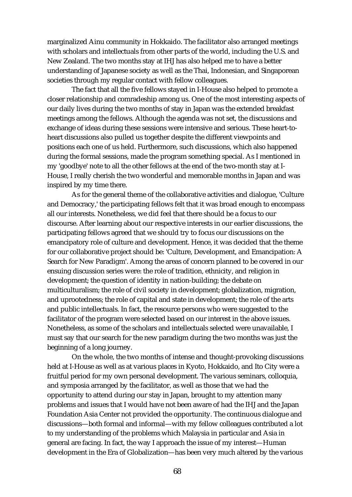marginalized Ainu community in Hokkaido. The facilitator also arranged meetings with scholars and intellectuals from other parts of the world, including the U.S. and New Zealand. The two months stay at IHJ has also helped me to have a better understanding of Japanese society as well as the Thai, Indonesian, and Singaporean societies through my regular contact with fellow colleagues.

The fact that all the five fellows stayed in I-House also helped to promote a closer relationship and comradeship among us. One of the most interesting aspects of our daily lives during the two months of stay in Japan was the extended breakfast meetings among the fellows. Although the agenda was not set, the discussions and exchange of ideas during these sessions were intensive and serious. These heart-toheart discussions also pulled us together despite the different viewpoints and positions each one of us held. Furthermore, such discussions, which also happened during the formal sessions, made the program something special. As I mentioned in my 'goodbye' note to all the other fellows at the end of the two-month stay at I-House, I really cherish the two wonderful and memorable months in Japan and was inspired by my time there.

As for the general theme of the collaborative activities and dialogue, 'Culture and Democracy,' the participating fellows felt that it was broad enough to encompass all our interests. Nonetheless, we did feel that there should be a focus to our discourse. After learning about our respective interests in our earlier discussions, the participating fellows agreed that we should try to focus our discussions on the emancipatory role of culture and development. Hence, it was decided that the theme for our collaborative project should be: 'Culture, Development, and Emancipation: A Search for New Paradigm'. Among the areas of concern planned to be covered in our ensuing discussion series were: the role of tradition, ethnicity, and religion in development; the question of identity in nation-building; the debate on multiculturalism; the role of civil society in development; globalization, migration, and uprootedness; the role of capital and state in development; the role of the arts and public intellectuals. In fact, the resource persons who were suggested to the facilitator of the program were selected based on our interest in the above issues. Nonetheless, as some of the scholars and intellectuals selected were unavailable, I must say that our search for the new paradigm during the two months was just the beginning of a long journey.

On the whole, the two months of intense and thought-provoking discussions held at I-House as well as at various places in Kyoto, Hokkaido, and Ito City were a fruitful period for my own personal development. The various seminars, colloquia, and symposia arranged by the facilitator, as well as those that we had the opportunity to attend during our stay in Japan, brought to my attention many problems and issues that I would have not been aware of had the IHJ and the Japan Foundation Asia Center not provided the opportunity. The continuous dialogue and discussions—both formal and informal—with my fellow colleagues contributed a lot to my understanding of the problems which Malaysia in particular and Asia in general are facing. In fact, the way I approach the issue of my interest—Human development in the Era of Globalization—has been very much altered by the various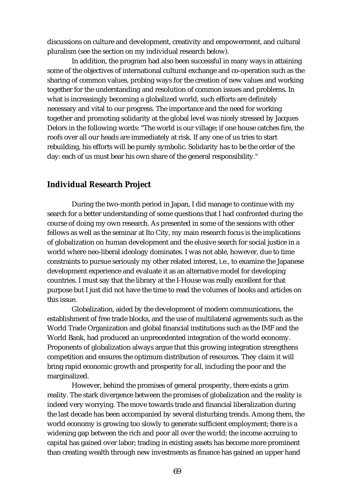discussions on culture and development, creativity and empowerment, and cultural pluralism (see the section on my individual research below).

In addition, the program had also been successful in many ways in attaining some of the objectives of international cultural exchange and co-operation such as the sharing of common values, probing ways for the creation of new values and working together for the understanding and resolution of common issues and problems. In what is increasingly becoming a globalized world, such efforts are definitely necessary and vital to our progress. The importance and the need for working together and promoting solidarity at the global level was nicely stressed by Jacques Delors in the following words: "The world is our village; if one house catches fire, the roofs over all our heads are immediately at risk. If any one of us tries to start rebuilding, his efforts will be purely symbolic. Solidarity has to be the order of the day: each of us must bear his own share of the general responsibility."

#### **Individual Research Project**

During the two-month period in Japan, I did manage to continue with my search for a better understanding of some questions that I had confronted during the course of doing my own research. As presented in some of the sessions with other fellows as well as the seminar at Ito City, my main research focus is the implications of globalization on human development and the elusive search for social justice in a world where neo-liberal ideology dominates. I was not able, however, due to time constraints to pursue seriously my other related interest, i.e., to examine the Japanese development experience and evaluate it as an alternative model for developing countries. I must say that the library at the I-House was really excellent for that purpose but I just did not have the time to read the volumes of books and articles on this issue.

Globalization, aided by the development of modern communications, the establishment of free trade blocks, and the use of multilateral agreements such as the World Trade Organization and global financial institutions such as the IMF and the World Bank, had produced an unprecedented integration of the world economy. Proponents of globalization always argue that this growing integration strengthens competition and ensures the optimum distribution of resources. They claim it will bring rapid economic growth and prosperity for all, including the poor and the marginalized.

However, behind the promises of general prosperity, there exists a grim reality. The stark divergence between the promises of globalization and the reality is indeed very worrying. The move towards trade and financial liberalization during the last decade has been accompanied by several disturbing trends. Among them, the world economy is growing too slowly to generate sufficient employment; there is a widening gap between the rich and poor all over the world; the income accruing to capital has gained over labor; trading in existing assets has become more prominent than creating wealth through new investments as finance has gained an upper hand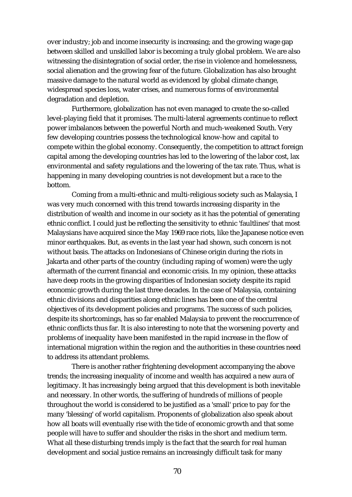over industry; job and income insecurity is increasing; and the growing wage gap between skilled and unskilled labor is becoming a truly global problem. We are also witnessing the disintegration of social order, the rise in violence and homelessness, social alienation and the growing fear of the future. Globalization has also brought massive damage to the natural world as evidenced by global climate change, widespread species loss, water crises, and numerous forms of environmental degradation and depletion.

Furthermore, globalization has not even managed to create the so-called level-playing field that it promises. The multi-lateral agreements continue to reflect power imbalances between the powerful North and much-weakened South. Very few developing countries possess the technological know-how and capital to compete within the global economy. Consequently, the competition to attract foreign capital among the developing countries has led to the lowering of the labor cost, lax environmental and safety regulations and the lowering of the tax rate. Thus, what is happening in many developing countries is not development but a race to the bottom.

Coming from a multi-ethnic and multi-religious society such as Malaysia, I was very much concerned with this trend towards increasing disparity in the distribution of wealth and income in our society as it has the potential of generating ethnic conflict. I could just be reflecting the sensitivity to ethnic 'faultlines' that most Malaysians have acquired since the May 1969 race riots, like the Japanese notice even minor earthquakes. But, as events in the last year had shown, such concern is not without basis. The attacks on Indonesians of Chinese origin during the riots in Jakarta and other parts of the country (including raping of women) were the ugly aftermath of the current financial and economic crisis. In my opinion, these attacks have deep roots in the growing disparities of Indonesian society despite its rapid economic growth during the last three decades. In the case of Malaysia, containing ethnic divisions and disparities along ethnic lines has been one of the central objectives of its development policies and programs. The success of such policies, despite its shortcomings, has so far enabled Malaysia to prevent the reoccurrence of ethnic conflicts thus far. It is also interesting to note that the worsening poverty and problems of inequality have been manifested in the rapid increase in the flow of international migration within the region and the authorities in these countries need to address its attendant problems.

There is another rather frightening development accompanying the above trends; the increasing inequality of income and wealth has acquired a new aura of legitimacy. It has increasingly being argued that this development is both inevitable and necessary. In other words, the suffering of hundreds of millions of people throughout the world is considered to be justified as a 'small' price to pay for the many 'blessing' of world capitalism. Proponents of globalization also speak about how all boats will eventually rise with the tide of economic growth and that some people will have to suffer and shoulder the risks in the short and medium term. What all these disturbing trends imply is the fact that the search for real human development and social justice remains an increasingly difficult task for many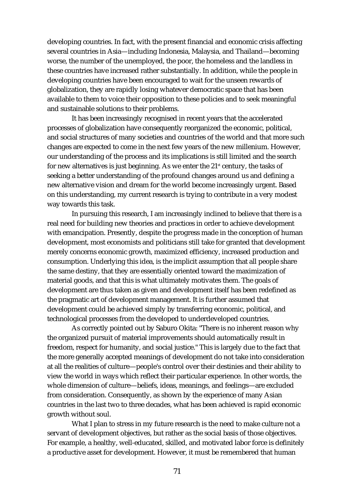developing countries. In fact, with the present financial and economic crisis affecting several countries in Asia—including Indonesia, Malaysia, and Thailand—becoming worse, the number of the unemployed, the poor, the homeless and the landless in these countries have increased rather substantially. In addition, while the people in developing countries have been encouraged to wait for the unseen rewards of globalization, they are rapidly losing whatever democratic space that has been available to them to voice their opposition to these policies and to seek meaningful and sustainable solutions to their problems.

It has been increasingly recognised in recent years that the accelerated processes of globalization have consequently reorganized the economic, political, and social structures of many societies and countries of the world and that more such changes are expected to come in the next few years of the new millenium. However, our understanding of the process and its implications is still limited and the search for new alternatives is just beginning. As we enter the  $21<sup>st</sup>$  century, the tasks of seeking a better understanding of the profound changes around us and defining a new alternative vision and dream for the world become increasingly urgent. Based on this understanding, my current research is trying to contribute in a very modest way towards this task.

In pursuing this research, I am increasingly inclined to believe that there is a real need for building new theories and practices in order to achieve development with emancipation. Presently, despite the progress made in the conception of human development, most economists and politicians still take for granted that development merely concerns economic growth, maximized efficiency, increased production and consumption. Underlying this idea, is the implicit assumption that all people share the same destiny, that they are essentially oriented toward the maximization of material goods, and that this is what ultimately motivates them. The goals of development are thus taken as given and development itself has been redefined as the pragmatic art of development management. It is further assumed that development could be achieved simply by transferring economic, political, and technological processes from the developed to underdeveloped countries.

As correctly pointed out by Saburo Okita: "There is no inherent reason why the organized pursuit of material improvements should automatically result in freedom, respect for humanity, and social justice." This is largely due to the fact that the more generally accepted meanings of development do not take into consideration at all the realities of culture—people's control over their destinies and their ability to view the world in ways which reflect their particular experience. In other words, the whole dimension of culture—beliefs, ideas, meanings, and feelings—are excluded from consideration. Consequently, as shown by the experience of many Asian countries in the last two to three decades, what has been achieved is rapid economic growth without soul.

What I plan to stress in my future research is the need to make culture not a servant of development objectives, but rather as the social basis of those objectives. For example, a healthy, well-educated, skilled, and motivated labor force is definitely a productive asset for development. However, it must be remembered that human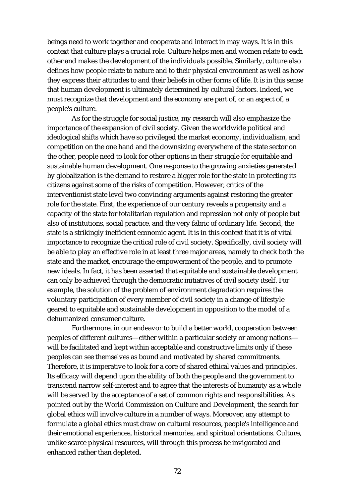beings need to work together and cooperate and interact in may ways. It is in this context that culture plays a crucial role. Culture helps men and women relate to each other and makes the development of the individuals possible. Similarly, culture also defines how people relate to nature and to their physical environment as well as how they express their attitudes to and their beliefs in other forms of life. It is in this sense that human development is ultimately determined by cultural factors. Indeed, we must recognize that development and the economy are part of, or an aspect of, a people's culture.

As for the struggle for social justice, my research will also emphasize the importance of the expansion of civil society. Given the worldwide political and ideological shifts which have so privileged the market economy, individualism, and competition on the one hand and the downsizing everywhere of the state sector on the other, people need to look for other options in their struggle for equitable and sustainable human development. One response to the growing anxieties generated by globalization is the demand to restore a bigger role for the state in protecting its citizens against some of the risks of competition. However, critics of the interventionist state level two convincing arguments against restoring the greater role for the state. First, the experience of our century reveals a propensity and a capacity of the state for totalitarian regulation and repression not only of people but also of institutions, social practice, and the very fabric of ordinary life. Second, the state is a strikingly inefficient economic agent. It is in this context that it is of vital importance to recognize the critical role of civil society. Specifically, civil society will be able to play an effective role in at least three major areas, namely to check both the state and the market, encourage the empowerment of the people, and to promote new ideals. In fact, it has been asserted that equitable and sustainable development can only be achieved through the democratic initiatives of civil society itself. For example, the solution of the problem of environment degradation requires the voluntary participation of every member of civil society in a change of lifestyle geared to equitable and sustainable development in opposition to the model of a dehumanized consumer culture.

Furthermore, in our endeavor to build a better world, cooperation between peoples of different cultures—either within a particular society or among nations will be facilitated and kept within acceptable and constructive limits only if these peoples can see themselves as bound and motivated by shared commitments. Therefore, it is imperative to look for a core of shared ethical values and principles. Its efficacy will depend upon the ability of both the people and the government to transcend narrow self-interest and to agree that the interests of humanity as a whole will be served by the acceptance of a set of common rights and responsibilities. As pointed out by the World Commission on Culture and Development, the search for global ethics will involve culture in a number of ways. Moreover, any attempt to formulate a global ethics must draw on cultural resources, people's intelligence and their emotional experiences, historical memories, and spiritual orientations. Culture, unlike scarce physical resources, will through this process be invigorated and enhanced rather than depleted.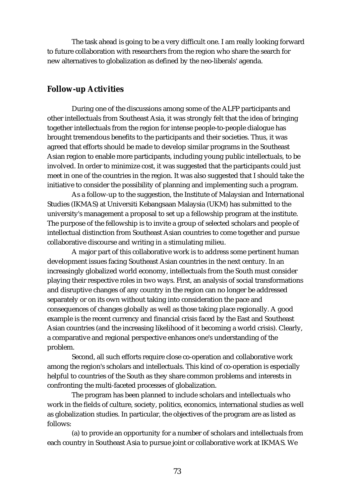The task ahead is going to be a very difficult one. I am really looking forward to future collaboration with researchers from the region who share the search for new alternatives to globalization as defined by the neo-liberals' agenda.

## **Follow-up Activities**

During one of the discussions among some of the ALFP participants and other intellectuals from Southeast Asia, it was strongly felt that the idea of bringing together intellectuals from the region for intense people-to-people dialogue has brought tremendous benefits to the participants and their societies. Thus, it was agreed that efforts should be made to develop similar programs in the Southeast Asian region to enable more participants, including young public intellectuals, to be involved. In order to minimize cost, it was suggested that the participants could just meet in one of the countries in the region. It was also suggested that I should take the initiative to consider the possibility of planning and implementing such a program.

As a follow-up to the suggestion, the Institute of Malaysian and International Studies (IKMAS) at Universiti Kebangsaan Malaysia (UKM) has submitted to the university's management a proposal to set up a fellowship program at the institute. The purpose of the fellowship is to invite a group of selected scholars and people of intellectual distinction from Southeast Asian countries to come together and pursue collaborative discourse and writing in a stimulating milieu.

A major part of this collaborative work is to address some pertinent human development issues facing Southeast Asian countries in the next century. In an increasingly globalized world economy, intellectuals from the South must consider playing their respective roles in two ways. First, an analysis of social transformations and disruptive changes of any country in the region can no longer be addressed separately or on its own without taking into consideration the pace and consequences of changes globally as well as those taking place regionally. A good example is the recent currency and financial crisis faced by the East and Southeast Asian countries (and the increasing likelihood of it becoming a world crisis). Clearly, a comparative and regional perspective enhances one's understanding of the problem.

Second, all such efforts require close co-operation and collaborative work among the region's scholars and intellectuals. This kind of co-operation is especially helpful to countries of the South as they share common problems and interests in confronting the multi-faceted processes of globalization.

The program has been planned to include scholars and intellectuals who work in the fields of culture, society, politics, economics, international studies as well as globalization studies. In particular, the objectives of the program are as listed as follows:

(a) to provide an opportunity for a number of scholars and intellectuals from each country in Southeast Asia to pursue joint or collaborative work at IKMAS. We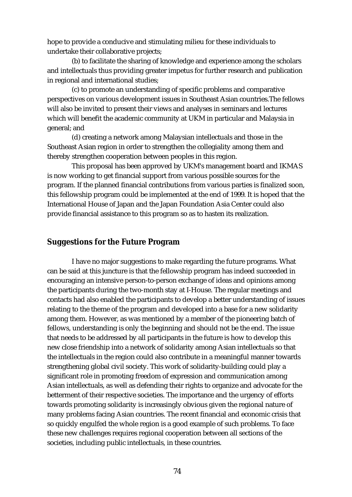hope to provide a conducive and stimulating milieu for these individuals to undertake their collaborative projects;

(b) to facilitate the sharing of knowledge and experience among the scholars and intellectuals thus providing greater impetus for further research and publication in regional and international studies;

(c) to promote an understanding of specific problems and comparative perspectives on various development issues in Southeast Asian countries.The fellows will also be invited to present their views and analyses in seminars and lectures which will benefit the academic community at UKM in particular and Malaysia in general; and

(d) creating a network among Malaysian intellectuals and those in the Southeast Asian region in order to strengthen the collegiality among them and thereby strengthen cooperation between peoples in this region.

This proposal has been approved by UKM's management board and IKMAS is now working to get financial support from various possible sources for the program. If the planned financial contributions from various parties is finalized soon, this fellowship program could be implemented at the end of 1999. It is hoped that the International House of Japan and the Japan Foundation Asia Center could also provide financial assistance to this program so as to hasten its realization.

#### **Suggestions for the Future Program**

I have no major suggestions to make regarding the future programs. What can be said at this juncture is that the fellowship program has indeed succeeded in encouraging an intensive person-to-person exchange of ideas and opinions among the participants during the two-month stay at I-House. The regular meetings and contacts had also enabled the participants to develop a better understanding of issues relating to the theme of the program and developed into a base for a new solidarity among them. However, as was mentioned by a member of the pioneering batch of fellows, understanding is only the beginning and should not be the end. The issue that needs to be addressed by all participants in the future is how to develop this new close friendship into a network of solidarity among Asian intellectuals so that the intellectuals in the region could also contribute in a meaningful manner towards strengthening global civil society. This work of solidarity-building could play a significant role in promoting freedom of expression and communication among Asian intellectuals, as well as defending their rights to organize and advocate for the betterment of their respective societies. The importance and the urgency of efforts towards promoting solidarity is increasingly obvious given the regional nature of many problems facing Asian countries. The recent financial and economic crisis that so quickly engulfed the whole region is a good example of such problems. To face these new challenges requires regional cooperation between all sections of the societies, including public intellectuals, in these countries.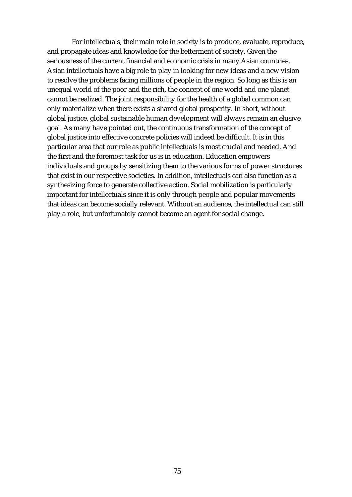For intellectuals, their main role in society is to produce, evaluate, reproduce, and propagate ideas and knowledge for the betterment of society. Given the seriousness of the current financial and economic crisis in many Asian countries, Asian intellectuals have a big role to play in looking for new ideas and a new vision to resolve the problems facing millions of people in the region. So long as this is an unequal world of the poor and the rich, the concept of one world and one planet cannot be realized. The joint responsibility for the health of a global common can only materialize when there exists a shared global prosperity. In short, without global justice, global sustainable human development will always remain an elusive goal. As many have pointed out, the continuous transformation of the concept of global justice into effective concrete policies will indeed be difficult. It is in this particular area that our role as public intellectuals is most crucial and needed. And the first and the foremost task for us is in education. Education empowers individuals and groups by sensitizing them to the various forms of power structures that exist in our respective societies. In addition, intellectuals can also function as a synthesizing force to generate collective action. Social mobilization is particularly important for intellectuals since it is only through people and popular movements that ideas can become socially relevant. Without an audience, the intellectual can still play a role, but unfortunately cannot become an agent for social change.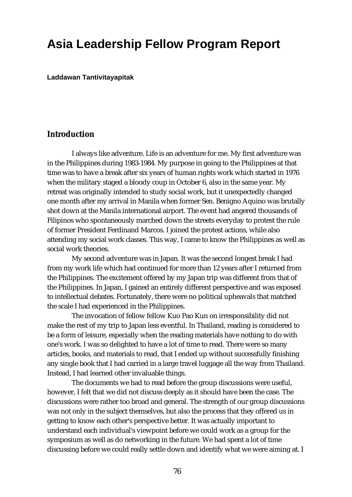# **Asia Leadership Fellow Program Report**

**Laddawan Tantivitayapitak**

## **Introduction**

I always like adventure. Life is an adventure for me. My first adventure was in the Philippines during 1983-1984. My purpose in going to the Philippines at that time was to have a break after six years of human rights work which started in 1976 when the military staged a bloody coup in October 6, also in the same year. My retreat was originally intended to study social work, but it unexpectedly changed one month after my arrival in Manila when former Sen. Benigno Aquino was brutally shot down at the Manila international airport. The event had angered thousands of Filipinos who spontaneously marched down the streets everyday to protest the rule of former President Ferdinand Marcos. I joined the protest actions, while also attending my social work classes. This way, I came to know the Philippines as well as social work theories.

My second adventure was in Japan. It was the second longest break I had from my work life which had continued for more than 12 years after I returned from the Philippines. The excitement offered by my Japan trip was different from that of the Philippines. In Japan, I gained an entirely different perspective and was exposed to intellectual debates. Fortunately, there were no political upheavals that matched the scale I had experienced in the Philippines.

The invocation of fellow fellow Kuo Pao Kun on irresponsibility did not make the rest of my trip to Japan less eventful. In Thailand, reading is considered to be a form of leisure, especially when the reading materials have nothing to do with one's work. I was so delighted to have a lot of time to read. There were so many articles, books, and materials to read, that I ended up without successfully finishing any single book that I had carried in a large travel luggage all the way from Thailand. Instead, I had learned other invaluable things.

The documents we had to read before the group discussions were useful, however, I felt that we did not discuss deeply as it should have been the case. The discussions were rather too broad and general. The strength of our group discussions was not only in the subject themselves, but also the process that they offered us in getting to know each other's perspective better. It was actually important to understand each individual's viewpoint before we could work as a group for the symposium as well as do networking in the future. We had spent a lot of time discussing before we could really settle down and identify what we were aiming at. I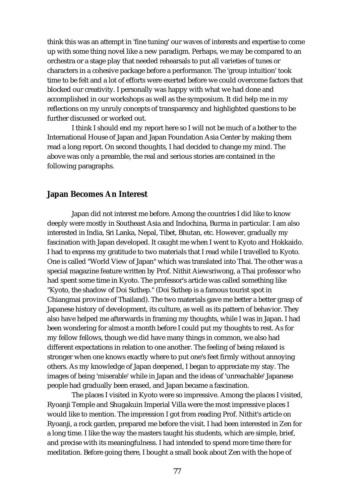think this was an attempt in 'fine tuning' our waves of interests and expertise to come up with some thing novel like a new paradigm. Perhaps, we may be compared to an orchestra or a stage play that needed rehearsals to put all varieties of tunes or characters in a cohesive package before a performance. The 'group intuition' took time to be felt and a lot of efforts were exerted before we could overcome factors that blocked our creativity. I personally was happy with what we had done and accomplished in our workshops as well as the symposium. It did help me in my reflections on my unruly concepts of transparency and highlighted questions to be further discussed or worked out.

I think I should end my report here so I will not be much of a bother to the International House of Japan and Japan Foundation Asia Center by making them read a long report. On second thoughts, I had decided to change my mind. The above was only a preamble, the real and serious stories are contained in the following paragraphs.

#### **Japan Becomes An Interest**

Japan did not interest me before. Among the countries I did like to know deeply were mostly in Southeast Asia and Indochina, Burma in particular. I am also interested in India, Sri Lanka, Nepal, Tibet, Bhutan, etc. However, gradually my fascination with Japan developed. It caught me when I went to Kyoto and Hokkaido. I had to express my gratitude to two materials that I read while I travelled to Kyoto. One is called "World View of Japan" which was translated into Thai. The other was a special magazine feature written by Prof. Nithit Aiewsriwong, a Thai professor who had spent some time in Kyoto. The professor's article was called something like "Kyoto, the shadow of Doi Suthep." (Doi Suthep is a famous tourist spot in Chiangmai province of Thailand). The two materials gave me better a better grasp of Japanese history of development, its culture, as well as its pattern of behavior. They also have helped me afterwards in framing my thoughts, while I was in Japan. I had been wondering for almost a month before I could put my thoughts to rest. As for my fellow fellows, though we did have many things in common, we also had different expectations in relation to one another. The feeling of being relaxed is stronger when one knows exactly where to put one's feet firmly without annoying others. As my knowledge of Japan deepened, I began to appreciate my stay. The images of being 'miserable' while in Japan and the ideas of 'unreachable' Japanese people had gradually been erased, and Japan became a fascination.

The places I visited in Kyoto were so impressive. Among the places I visited, Ryoanji Temple and Shugakuin Imperial Villa were the most impressive places I would like to mention. The impression I got from reading Prof. Nithit's article on Ryoanji, a rock garden, prepared me before the visit. I had been interested in Zen for a long time. I like the way the masters taught his students, which are simple, brief, and precise with its meaningfulness. I had intended to spend more time there for meditation. Before going there, I bought a small book about Zen with the hope of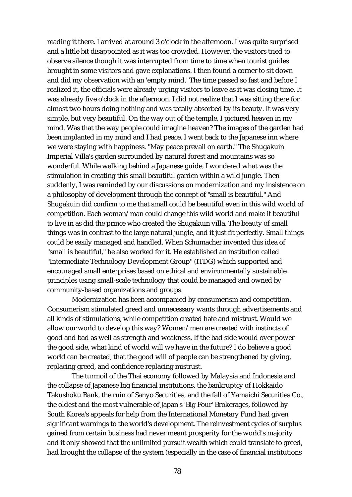reading it there. I arrived at around 3 o'clock in the afternoon. I was quite surprised and a little bit disappointed as it was too crowded. However, the visitors tried to observe silence though it was interrupted from time to time when tourist guides brought in some visitors and gave explanations. I then found a corner to sit down and did my observation with an 'empty mind.' The time passed so fast and before I realized it, the officials were already urging visitors to leave as it was closing time. It was already five o'clock in the afternoon. I did not realize that I was sitting there for almost two hours doing nothing and was totally absorbed by its beauty. It was very simple, but very beautiful. On the way out of the temple, I pictured heaven in my mind. Was that the way people could imagine heaven? The images of the garden had been implanted in my mind and I had peace. I went back to the Japanese inn where we were staying with happiness. "May peace prevail on earth." The Shugakuin Imperial Villa's garden surrounded by natural forest and mountains was so wonderful. While walking behind a Japanese guide, I wondered what was the stimulation in creating this small beautiful garden within a wild jungle. Then suddenly, I was reminded by our discussions on modernization and my insistence on a philosophy of development through the concept of "small is beautiful." And Shugakuin did confirm to me that small could be beautiful even in this wild world of competition. Each woman/man could change this wild world and make it beautiful to live in as did the prince who created the Shugakuin villa. The beauty of small things was in contrast to the large natural jungle, and it just fit perfectly. Small things could be easily managed and handled. When Schumacher invented this idea of "small is beautiful," he also worked for it. He established an institution called "Intermediate Technology Development Group" (ITDG) which supported and encouraged small enterprises based on ethical and environmentally sustainable principles using small-scale technology that could be managed and owned by community-based organizations and groups.

Modernization has been accompanied by consumerism and competition. Consumerism stimulated greed and unnecessary wants through advertisements and all kinds of stimulations, while competition created hate and mistrust. Would we allow our world to develop this way? Women/men are created with instincts of good and bad as well as strength and weakness. If the bad side would over power the good side, what kind of world will we have in the future? I do believe a good world can be created, that the good will of people can be strengthened by giving, replacing greed, and confidence replacing mistrust.

The turmoil of the Thai economy followed by Malaysia and Indonesia and the collapse of Japanese big financial institutions, the bankruptcy of Hokkaido Takushoku Bank, the ruin of Sanyo Securities, and the fall of Yamaichi Securities Co., the oldest and the most vulnerable of Japan's 'Big Four' Brokerages, followed by South Korea's appeals for help from the International Monetary Fund had given significant warnings to the world's development. The reinvestment cycles of surplus gained from certain business had never meant prosperity for the world's majority and it only showed that the unlimited pursuit wealth which could translate to greed, had brought the collapse of the system (especially in the case of financial institutions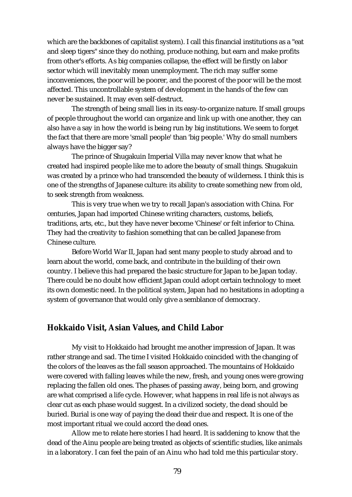which are the backbones of capitalist system). I call this financial institutions as a "eat and sleep tigers" since they do nothing, produce nothing, but earn and make profits from other's efforts. As big companies collapse, the effect will be firstly on labor sector which will inevitably mean unemployment. The rich may suffer some inconveniences, the poor will be poorer, and the poorest of the poor will be the most affected. This uncontrollable system of development in the hands of the few can never be sustained. It may even self-destruct.

The strength of being small lies in its easy-to-organize nature. If small groups of people throughout the world can organize and link up with one another, they can also have a say in how the world is being run by big institutions. We seem to forget the fact that there are more 'small people' than 'big people.' Why do small numbers always have the bigger say?

The prince of Shugakuin Imperial Villa may never know that what he created had inspired people like me to adore the beauty of small things. Shugakuin was created by a prince who had transcended the beauty of wilderness. I think this is one of the strengths of Japanese culture: its ability to create something new from old, to seek strength from weakness.

This is very true when we try to recall Japan's association with China. For centuries, Japan had imported Chinese writing characters, customs, beliefs, traditions, arts, etc., but they have never become 'Chinese' or felt inferior to China. They had the creativity to fashion something that can be called Japanese from Chinese culture.

Before World War II, Japan had sent many people to study abroad and to learn about the world, come back, and contribute in the building of their own country. I believe this had prepared the basic structure for Japan to be Japan today. There could be no doubt how efficient Japan could adopt certain technology to meet its own domestic need. In the political system, Japan had no hesitations in adopting a system of governance that would only give a semblance of democracy.

### **Hokkaido Visit, Asian Values, and Child Labor**

My visit to Hokkaido had brought me another impression of Japan. It was rather strange and sad. The time I visited Hokkaido coincided with the changing of the colors of the leaves as the fall season approached. The mountains of Hokkaido were covered with falling leaves while the new, fresh, and young ones were growing replacing the fallen old ones. The phases of passing away, being born, and growing are what comprised a life cycle. However, what happens in real life is not always as clear cut as each phase would suggest. In a civilized society, the dead should be buried. Burial is one way of paying the dead their due and respect. It is one of the most important ritual we could accord the dead ones.

Allow me to relate here stories I had heard. It is saddening to know that the dead of the Ainu people are being treated as objects of scientific studies, like animals in a laboratory. I can feel the pain of an Ainu who had told me this particular story.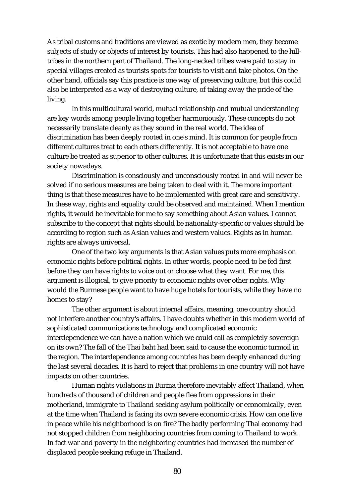As tribal customs and traditions are viewed as exotic by modern men, they become subjects of study or objects of interest by tourists. This had also happened to the hilltribes in the northern part of Thailand. The long-necked tribes were paid to stay in special villages created as tourists spots for tourists to visit and take photos. On the other hand, officials say this practice is one way of preserving culture, but this could also be interpreted as a way of destroying culture, of taking away the pride of the living.

In this multicultural world, mutual relationship and mutual understanding are key words among people living together harmoniously. These concepts do not necessarily translate cleanly as they sound in the real world. The idea of discrimination has been deeply rooted in one's mind. It is common for people from different cultures treat to each others differently. It is not acceptable to have one culture be treated as superior to other cultures. It is unfortunate that this exists in our society nowadays.

Discrimination is consciously and unconsciously rooted in and will never be solved if no serious measures are being taken to deal with it. The more important thing is that these measures have to be implemented with great care and sensitivity. In these way, rights and equality could be observed and maintained. When I mention rights, it would be inevitable for me to say something about Asian values. I cannot subscribe to the concept that rights should be nationality-specific or values should be according to region such as Asian values and western values. Rights as in human rights are always universal.

One of the two key arguments is that Asian values puts more emphasis on economic rights before political rights. In other words, people need to be fed first before they can have rights to voice out or choose what they want. For me, this argument is illogical, to give priority to economic rights over other rights. Why would the Burmese people want to have huge hotels for tourists, while they have no homes to stay?

The other argument is about internal affairs, meaning, one country should not interfere another country's affairs. I have doubts whether in this modern world of sophisticated communications technology and complicated economic interdependence we can have a nation which we could call as completely sovereign on its own? The fall of the Thai baht had been said to cause the economic turmoil in the region. The interdependence among countries has been deeply enhanced during the last several decades. It is hard to reject that problems in one country will not have impacts on other countries.

Human rights violations in Burma therefore inevitably affect Thailand, when hundreds of thousand of children and people flee from oppressions in their motherland, immigrate to Thailand seeking asylum politically or economically, even at the time when Thailand is facing its own severe economic crisis. How can one live in peace while his neighborhood is on fire? The badly performing Thai economy had not stopped children from neighboring countries from coming to Thailand to work. In fact war and poverty in the neighboring countries had increased the number of displaced people seeking refuge in Thailand.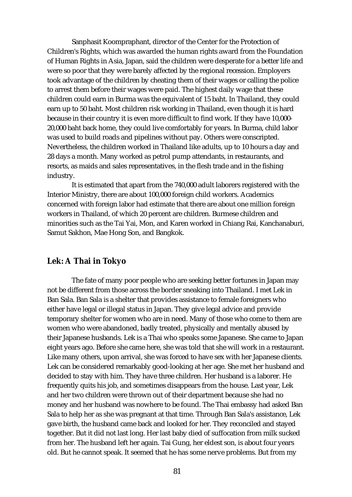Sanphasit Koompraphant, director of the Center for the Protection of Children's Rights, which was awarded the human rights award from the Foundation of Human Rights in Asia, Japan, said the children were desperate for a better life and were so poor that they were barely affected by the regional recession. Employers took advantage of the children by cheating them of their wages or calling the police to arrest them before their wages were paid. The highest daily wage that these children could earn in Burma was the equivalent of 15 baht. In Thailand, they could earn up to 50 baht. Most children risk working in Thailand, even though it is hard because in their country it is even more difficult to find work. If they have 10,000- 20,000 baht back home, they could live comfortably for years. In Burma, child labor was used to build roads and pipelines without pay. Others were conscripted. Nevertheless, the children worked in Thailand like adults, up to 10 hours a day and 28 days a month. Many worked as petrol pump attendants, in restaurants, and resorts, as maids and sales representatives, in the flesh trade and in the fishing industry.

It is estimated that apart from the 740,000 adult laborers registered with the Interior Ministry, there are about 100,000 foreign child workers. Academics concerned with foreign labor had estimate that there are about one million foreign workers in Thailand, of which 20 percent are children. Burmese children and minorities such as the Tai Yai, Mon, and Karen worked in Chiang Rai, Kanchanaburi, Samut Sakhon, Mae Hong Son, and Bangkok.

### **Lek: A Thai in Tokyo**

The fate of many poor people who are seeking better fortunes in Japan may not be different from those across the border sneaking into Thailand. I met Lek in Ban Sala. Ban Sala is a shelter that provides assistance to female foreigners who either have legal or illegal status in Japan. They give legal advice and provide temporary shelter for women who are in need. Many of those who come to them are women who were abandoned, badly treated, physically and mentally abused by their Japanese husbands. Lek is a Thai who speaks some Japanese. She came to Japan eight years ago. Before she came here, she was told that she will work in a restaurant. Like many others, upon arrival, she was forced to have sex with her Japanese clients. Lek can be considered remarkably good-looking at her age. She met her husband and decided to stay with him. They have three children. Her husband is a laborer. He frequently quits his job, and sometimes disappears from the house. Last year, Lek and her two children were thrown out of their department because she had no money and her husband was nowhere to be found. The Thai embassy had asked Ban Sala to help her as she was pregnant at that time. Through Ban Sala's assistance, Lek gave birth, the husband came back and looked for her. They reconciled and stayed together. But it did not last long. Her last baby died of suffocation from milk sucked from her. The husband left her again. Tai Gung, her eldest son, is about four years old. But he cannot speak. It seemed that he has some nerve problems. But from my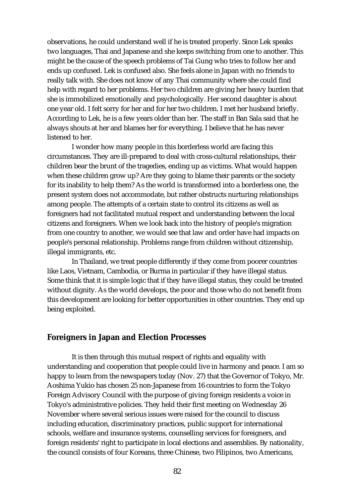observations, he could understand well if he is treated properly. Since Lek speaks two languages, Thai and Japanese and she keeps switching from one to another. This might be the cause of the speech problems of Tai Gung who tries to follow her and ends up confused. Lek is confused also. She feels alone in Japan with no friends to really talk with. She does not know of any Thai community where she could find help with regard to her problems. Her two children are giving her heavy burden that she is immobilized emotionally and psychologically. Her second daughter is about one year old. I felt sorry for her and for her two children. I met her husband briefly. According to Lek, he is a few years older than her. The staff in Ban Sala said that he always shouts at her and blames her for everything. I believe that he has never listened to her.

I wonder how many people in this borderless world are facing this circumstances. They are ill-prepared to deal with cross-cultural relationships, their children bear the brunt of the tragedies, ending up as victims. What would happen when these children grow up? Are they going to blame their parents or the society for its inability to help them? As the world is transformed into a borderless one, the present system does not accommodate, but rather obstructs nurturing relationships among people. The attempts of a certain state to control its citizens as well as foreigners had not facilitated mutual respect and understanding between the local citizens and foreigners. When we look back into the history of people's migration from one country to another, we would see that law and order have had impacts on people's personal relationship. Problems range from children without citizenship, illegal immigrants, etc.

In Thailand, we treat people differently if they come from poorer countries like Laos, Vietnam, Cambodia, or Burma in particular if they have illegal status. Some think that it is simple logic that if they have illegal status, they could be treated without dignity. As the world develops, the poor and those who do not benefit from this development are looking for better opportunities in other countries. They end up being exploited.

### **Foreigners in Japan and Election Processes**

It is then through this mutual respect of rights and equality with understanding and cooperation that people could live in harmony and peace. I am so happy to learn from the newspapers today (Nov. 27) that the Governor of Tokyo, Mr. Aoshima Yukio has chosen 25 non-Japanese from 16 countries to form the Tokyo Foreign Advisory Council with the purpose of giving foreign residents a voice in Tokyo's administrative policies. They held their first meeting on Wednesday 26 November where several serious issues were raised for the council to discuss including education, discriminatory practices, public support for international schools, welfare and insurance systems, counselling services for foreigners, and foreign residents' right to participate in local elections and assemblies. By nationality, the council consists of four Koreans, three Chinese, two Filipinos, two Americans,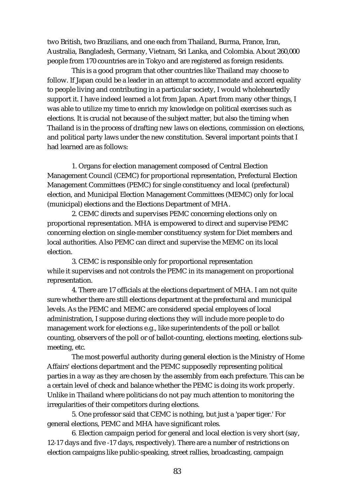two British, two Brazilians, and one each from Thailand, Burma, France, Iran, Australia, Bangladesh, Germany, Vietnam, Sri Lanka, and Colombia. About 260,000 people from 170 countries are in Tokyo and are registered as foreign residents.

This is a good program that other countries like Thailand may choose to follow. If Japan could be a leader in an attempt to accommodate and accord equality to people living and contributing in a particular society, I would wholeheartedly support it. I have indeed learned a lot from Japan. Apart from many other things, I was able to utilize my time to enrich my knowledge on political exercises such as elections. It is crucial not because of the subject matter, but also the timing when Thailand is in the process of drafting new laws on elections, commission on elections, and political party laws under the new constitution. Several important points that I had learned are as follows:

1. Organs for election management composed of Central Election Management Council (CEMC) for proportional representation, Prefectural Election Management Committees (PEMC) for single constituency and local (prefectural) election, and Municipal Election Management Committees (MEMC) only for local (municipal) elections and the Elections Department of MHA.

2. CEMC directs and supervises PEMC concerning elections only on proportional representation. MHA is empowered to direct and supervise PEMC concerning election on single-member constituency system for Diet members and local authorities. Also PEMC can direct and supervise the MEMC on its local election.

3. CEMC is responsible only for proportional representation while it supervises and not controls the PEMC in its management on proportional representation.

4. There are 17 officials at the elections department of MHA. I am not quite sure whether there are still elections department at the prefectural and municipal levels. As the PEMC and MEMC are considered special employees of local administration, I suppose during elections they will include more people to do management work for elections e.g., like superintendents of the poll or ballot counting, observers of the poll or of ballot-counting, elections meeting, elections submeeting, etc.

The most powerful authority during general election is the Ministry of Home Affairs' elections department and the PEMC supposedly representing political parties in a way as they are chosen by the assembly from each prefecture. This can be a certain level of check and balance whether the PEMC is doing its work properly. Unlike in Thailand where politicians do not pay much attention to monitoring the irregularities of their competitors during elections.

5. One professor said that CEMC is nothing, but just a 'paper tiger.' For general elections, PEMC and MHA have significant roles.

6. Election campaign period for general and local election is very short (say, 12-17 days and five -17 days, respectively). There are a number of restrictions on election campaigns like public-speaking, street rallies, broadcasting, campaign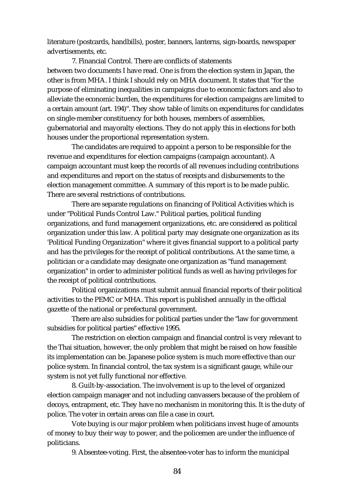literature (postcards, handbills), poster, banners, lanterns, sign-boards, newspaper advertisements, etc.

7. Financial Control. There are conflicts of statements between two documents I have read. One is from the election system in Japan, the other is from MHA. I think I should rely on MHA document. It states that "for the purpose of eliminating inequalities in campaigns due to economic factors and also to alleviate the economic burden, the expenditures for election campaigns are limited to a certain amount (art. 194)". They show table of limits on expenditures for candidates on single-member constituency for both houses, members of assemblies, gubernatorial and mayoralty elections. They do not apply this in elections for both houses under the proportional representation system.

The candidates are required to appoint a person to be responsible for the revenue and expenditures for election campaigns (campaign accountant). A campaign accountant must keep the records of all revenues including contributions and expenditures and report on the status of receipts and disbursements to the election management committee. A summary of this report is to be made public. There are several restrictions of contributions.

There are separate regulations on financing of Political Activities which is under "Political Funds Control Law." Political parties, political funding organizations, and fund management organizations, etc. are considered as political organization under this law. A political party may designate one organization as its 'Political Funding Organization" where it gives financial support to a political party and has the privileges for the receipt of political contributions. At the same time, a politician or a candidate may designate one organization as "fund management organization" in order to administer political funds as well as having privileges for the receipt of political contributions.

Political organizations must submit annual financial reports of their political activities to the PEMC or MHA. This report is published annually in the official gazette of the national or prefectural government.

There are also subsidies for political parties under the "law for government subsidies for political parties" effective 1995.

The restriction on election campaign and financial control is very relevant to the Thai situation, however, the only problem that might be raised on how feasible its implementation can be. Japanese police system is much more effective than our police system. In financial control, the tax system is a significant gauge, while our system is not yet fully functional nor effective.

8. Guilt-by-association. The involvement is up to the level of organized election campaign manager and not including canvassers because of the problem of decoys, entrapment, etc. They have no mechanism in monitoring this. It is the duty of police. The voter in certain areas can file a case in court.

Vote buying is our major problem when politicians invest huge of amounts of money to buy their way to power, and the policemen are under the influence of politicians.

9. Absentee-voting. First, the absentee-voter has to inform the municipal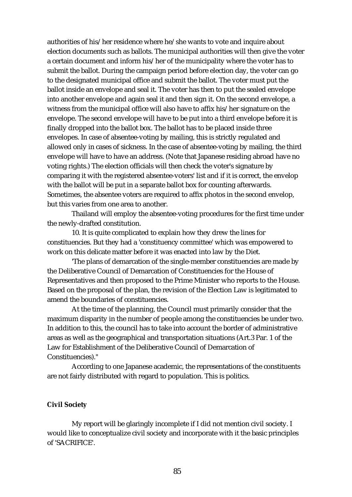authorities of his/her residence where he/she wants to vote and inquire about election documents such as ballots. The municipal authorities will then give the voter a certain document and inform his/her of the municipality where the voter has to submit the ballot. During the campaign period before election day, the voter can go to the designated municipal office and submit the ballot. The voter must put the ballot inside an envelope and seal it. The voter has then to put the sealed envelope into another envelope and again seal it and then sign it. On the second envelope, a witness from the municipal office will also have to affix his/her signature on the envelope. The second envelope will have to be put into a third envelope before it is finally dropped into the ballot box. The ballot has to be placed inside three envelopes. In case of absentee-voting by mailing, this is strictly regulated and allowed only in cases of sickness. In the case of absentee-voting by mailing, the third envelope will have to have an address. (Note that Japanese residing abroad have no voting rights.) The election officials will then check the voter's signature by comparing it with the registered absentee-voters' list and if it is correct, the envelop with the ballot will be put in a separate ballot box for counting afterwards. Sometimes, the absentee voters are required to affix photos in the second envelop, but this varies from one area to another.

Thailand will employ the absentee-voting procedures for the first time under the newly-drafted constitution.

10. It is quite complicated to explain how they drew the lines for constituencies. But they had a 'constituency committee' which was empowered to work on this delicate matter before it was enacted into law by the Diet.

'The plans of demarcation of the single-member constituencies are made by the Deliberative Council of Demarcation of Constituencies for the House of Representatives and then proposed to the Prime Minister who reports to the House. Based on the proposal of the plan, the revision of the Election Law is legitimated to amend the boundaries of constituencies.

At the time of the planning, the Council must primarily consider that the maximum disparity in the number of people among the constituencies be under two. In addition to this, the council has to take into account the border of administrative areas as well as the geographical and transportation situations (Art.3 Par. 1 of the Law for Establishment of the Deliberative Council of Demarcation of Constituencies)."

According to one Japanese academic, the representations of the constituents are not fairly distributed with regard to population. This is politics.

#### **Civil Society**

My report will be glaringly incomplete if I did not mention civil society. I would like to conceptualize civil society and incorporate with it the basic principles of 'SACRIFICE'.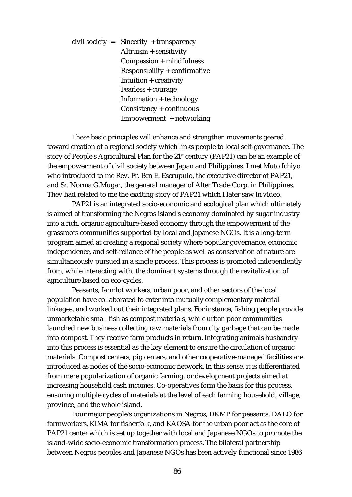civil society = Sincerity + transparency Altruism + sensitivity Compassion + mindfulness Responsibility + confirmative Intuition + creativity Fearless + courage Information + technology Consistency + continuous Empowerment + networking

These basic principles will enhance and strengthen movements geared toward creation of a regional society which links people to local self-governance. The story of People's Agricultural Plan for the  $21<sup>st</sup>$  century (PAP21) can be an example of the empowerment of civil society between Japan and Philippines. I met Muto Ichiyo who introduced to me Rev. Fr. Ben E. Escrupulo, the executive director of PAP21, and Sr. Norma G.Mugar, the general manager of Alter Trade Corp. in Philippines. They had related to me the exciting story of PAP21 which I later saw in video.

PAP21 is an integrated socio-economic and ecological plan which ultimately is aimed at transforming the Negros island's economy dominated by sugar industry into a rich, organic agriculture-based economy through the empowerment of the grassroots communities supported by local and Japanese NGOs. It is a long-term program aimed at creating a regional society where popular governance, economic independence, and self-reliance of the people as well as conservation of nature are simultaneously pursued in a single process. This process is promoted independently from, while interacting with, the dominant systems through the revitalization of agriculture based on eco-cycles.

Peasants, farmlot workers, urban poor, and other sectors of the local population have collaborated to enter into mutually complementary material linkages, and worked out their integrated plans. For instance, fishing people provide unmarketable small fish as compost materials, while urban poor communities launched new business collecting raw materials from city garbage that can be made into compost. They receive farm products in return. Integrating animals husbandry into this process is essential as the key element to ensure the circulation of organic materials. Compost centers, pig centers, and other cooperative-managed facilities are introduced as nodes of the socio-economic network. In this sense, it is differentiated from mere popularization of organic farming, or development projects aimed at increasing household cash incomes. Co-operatives form the basis for this process, ensuring multiple cycles of materials at the level of each farming household, village, province, and the whole island.

Four major people's organizations in Negros, DKMP for peasants, DALO for farmworkers, KIMA for fisherfolk, and KAOSA for the urban poor act as the core of PAP21 center which is set up together with local and Japanese NGOs to promote the island-wide socio-economic transformation process. The bilateral partnership between Negros peoples and Japanese NGOs has been actively functional since 1986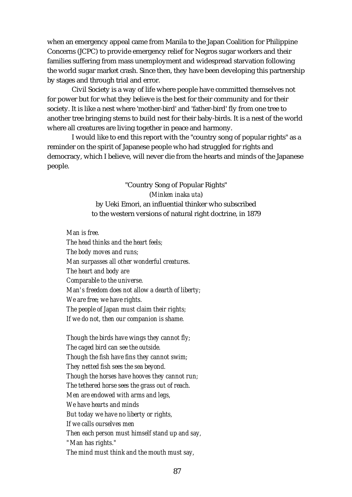when an emergency appeal came from Manila to the Japan Coalition for Philippine Concerns (JCPC) to provide emergency relief for Negros sugar workers and their families suffering from mass unemployment and widespread starvation following the world sugar market crash. Since then, they have been developing this partnership by stages and through trial and error.

Civil Society is a way of life where people have committed themselves not for power but for what they believe is the best for their community and for their society. It is like a nest where 'mother-bird' and 'father-bird' fly from one tree to another tree bringing stems to build nest for their baby-birds. It is a nest of the world where all creatures are living together in peace and harmony.

I would like to end this report with the "country song of popular rights" as a reminder on the spirit of Japanese people who had struggled for rights and democracy, which I believe, will never die from the hearts and minds of the Japanese people.

> "Country Song of Popular Rights" (*Minken inaka uta*) by Ueki Emori, an influential thinker who subscribed to the western versions of natural right doctrine, in 1879

*Man is free.*

*The head thinks and the heart feels; The body moves and runs; Man surpasses all other wonderful creatures. The heart and body are Comparable to the universe. Man's freedom does not allow a dearth of liberty; We are free; we have rights. The people of Japan must claim their rights; If we do not, then our companion is shame.*

*Though the birds have wings they cannot fly; The caged bird can see the outside. Though the fish have fins they cannot swim; They netted fish sees the sea beyond. Though the horses have hooves they cannot run; The tethered horse sees the grass out of reach. Men are endowed with arms and legs, We have hearts and minds But today we have no liberty or rights, If we calls ourselves men Then each person must himself stand up and say, "Man has rights." The mind must think and the mouth must say,*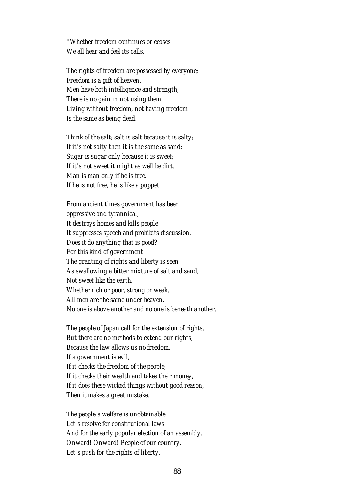*"Whether freedom continues or ceases We all hear and feel its calls.*

*The rights of freedom are possessed by everyone; Freedom is a gift of heaven. Men have both intelligence and strength; There is no gain in not using them. Living without freedom, not having freedom Is the same as being dead.*

*Think of the salt; salt is salt because it is salty; If it's not salty then it is the same as sand; Sugar is sugar only because it is sweet; If it's not sweet it might as well be dirt. Man is man only if he is free. If he is not free, he is like a puppet.*

*From ancient times government has been oppressive and tyrannical, It destroys homes and kills people It suppresses speech and prohibits discussion. Does it do anything that is good? For this kind of government The granting of rights and liberty is seen As swallowing a bitter mixture of salt and sand, Not sweet like the earth. Whether rich or poor, strong or weak, All men are the same under heaven. No one is above another and no one is beneath another.*

*The people of Japan call for the extension of rights, But there are no methods to extend our rights, Because the law allows us no freedom. If a government is evil, If it checks the freedom of the people, If it checks their wealth and takes their money, If it does these wicked things without good reason, Then it makes a great mistake.*

*The people's welfare is unobtainable. Let's resolve for constitutional laws And for the early popular election of an assembly. Onward! Onward! People of our country. Let's push for the rights of liberty.*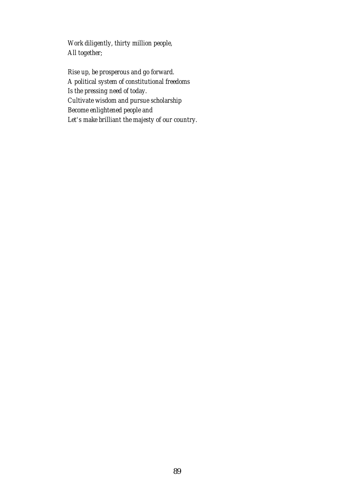*Work diligently, thirty million people, All together;*

*Rise up, be prosperous and go forward. A political system of constitutional freedoms Is the pressing need of today. Cultivate wisdom and pursue scholarship Become enlightened people and Let's make brilliant the majesty of our country.*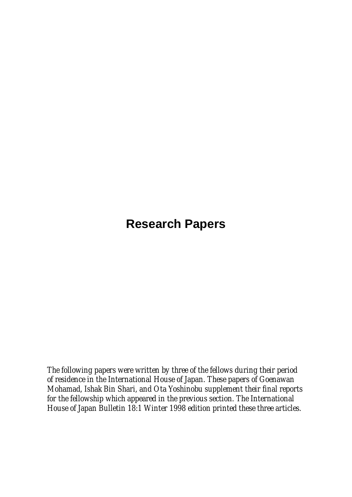# **Research Papers**

*The following papers were written by three of the fellows during their period of residence in the International House of Japan. These papers of Goenawan Mohamad, Ishak Bin Shari, and Ota Yoshinobu supplement their final reports for the fellowship which appeared in the previous section. The International House of Japan Bulletin 18:1 Winter 1998 edition printed these three articles.*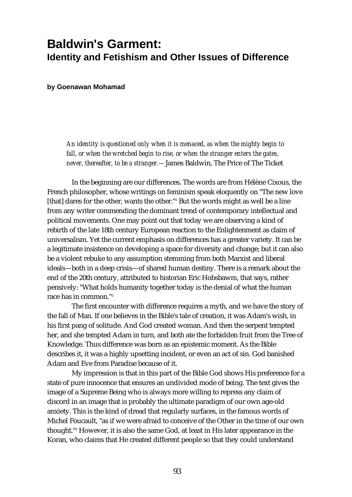## **Baldwin's Garment: Identity and Fetishism and Other Issues of Difference**

**by Goenawan Mohamad**

*An identity is questioned only when it is menaced, as when the mighty begin to fall, or when the wretched begin to rise, or when the stranger enters the gates, never, thereafter, to be a stranger.—*James Baldwin, The Price of The Ticket

In the beginning are our differences. The words are from Hélène Cixous, the French philosopher, whose writings on feminism speak eloquently on "The new love [that] dares for the other, wants the other."<sup>1</sup> But the words might as well be a line from any writer commending the dominant trend of contemporary intellectual and political movements. One may point out that today we are observing a kind of rebirth of the late 18th century European reaction to the Enlightenment as claim of universalism. Yet the current emphasis on differences has a greater variety. It can be a legitimate insistence on developing a space for diversity and change; but it can also be a violent rebuke to any assumption stemming from both Marxist and liberal ideals—both in a deep crisis—of shared human destiny. There is a remark about the end of the 20th century, attributed to historian Eric Hobsbawm, that says, rather pensively: "What holds humanity together today is the denial of what the human race has in common."2

The first encounter with difference requires a myth, and we have the story of the fall of Man. If one believes in the Bible's tale of creation, it was Adam's wish, in his first pang of solitude. And God created woman. And then the serpent tempted her, and she tempted Adam in turn, and both ate the forbidden fruit from the Tree of Knowledge. Thus difference was born as an epistemic moment. As the Bible describes it, it was a highly upsetting incident, or even an act of sin. God banished Adam and Eve from Paradise because of it.

My impression is that in this part of the Bible God shows His preference for a state of pure innocence that ensures an undivided mode of being. The text gives the image of a Supreme Being who is always more willing to repress any claim of discord in an image that is probably the ultimate paradigm of our own age-old anxiety. This is the kind of dread that regularly surfaces, in the famous words of Michel Foucault, "as if we were afraid to conceive of the Other in the time of our own thought."3 However, it is also the same God, at least in His later appearance in the Koran, who claims that He created different people so that they could understand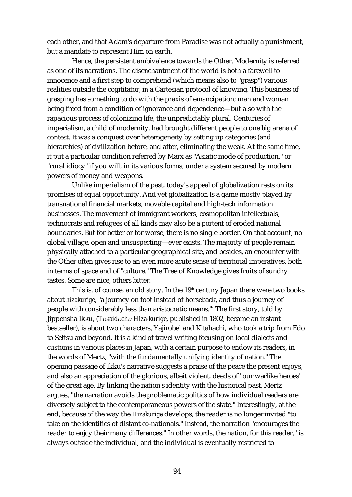each other, and that Adam's departure from Paradise was not actually a punishment, but a mandate to represent Him on earth.

Hence, the persistent ambivalence towards the Other. Modernity is referred as one of its narrations. The disenchantment of the world is both a farewell to innocence and a first step to comprehend (which means also to "grasp") various realities outside the cogititator, in a Cartesian protocol of knowing. This business of grasping has something to do with the praxis of emancipation; man and woman being freed from a condition of ignorance and dependence—but also with the rapacious process of colonizing life, the unpredictably plural. Centuries of imperialism, a child of modernity, had brought different people to one big arena of contest. It was a conquest over heterogeneity by setting up categories (and hierarchies) of civilization before, and after, eliminating the weak. At the same time, it put a particular condition referred by Marx as "Asiatic mode of production," or "rural idiocy" if you will, in its various forms, under a system secured by modern powers of money and weapons.

Unlike imperialism of the past, today's appeal of globalization rests on its promises of equal opportunity. And yet globalization is a game mostly played by transnational financial markets, movable capital and high-tech information businesses. The movement of immigrant workers, cosmopolitan intellectuals, technocrats and refugees of all kinds may also be a portent of eroded national boundaries. But for better or for worse, there is no single border. On that account, no global village, open and unsuspecting—ever exists. The majority of people remain physically attached to a particular geographical site, and besides, an encounter with the Other often gives rise to an even more acute sense of territorial imperatives, both in terms of space and of "culture." The Tree of Knowledge gives fruits of sundry tastes. Some are nice, others bitter.

This is, of course, an old story. In the  $19<sup>th</sup>$  century Japan there were two books about *hizakurige*, "a journey on foot instead of horseback, and thus a journey of people with considerably less than aristocratic means."4 The first story, told by Jippensha Ikku, (*Tōkaidōchū Hiza-kurige*, published in 1802, became an instant bestseller), is about two characters, Yajirobei and Kitahachi, who took a trip from Edo to Settsu and beyond. It is a kind of travel writing focusing on local dialects and customs in various places in Japan, with a certain purpose to endow its readers, in the words of Mertz, "with the fundamentally unifying identity of nation." The opening passage of Ikku's narrative suggests a praise of the peace the present enjoys, and also an appreciation of the glorious, albeit violent, deeds of "our warlike heroes" of the great age. By linking the nation's identity with the historical past, Mertz argues, "the narration avoids the problematic politics of how individual readers are diversely subject to the contemporaneous powers of the state." Interestingly, at the end, because of the way the *Hizakurige* develops, the reader is no longer invited "to take on the identities of distant co-nationals." Instead, the narration "encourages the reader to enjoy their many differences." In other words, the nation, for this reader, "is always outside the individual, and the individual is eventually restricted to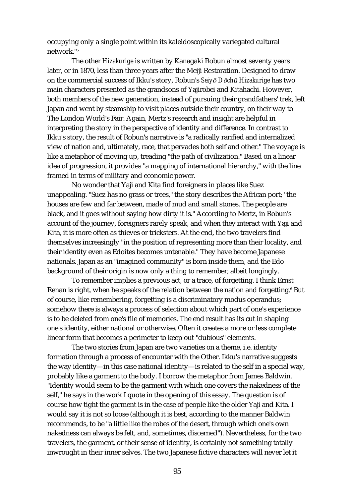occupying only a single point within its kaleidoscopically variegated cultural network<sup>"5</sup>

The other *Hizakurige* is written by Kanagaki Robun almost seventy years later, or in 1870, less than three years after the Meiji Restoration. Designed to draw on the commercial success of Ikku's story, Robun's *Seiy*ø *D*ø*ch*¨ *Hizakurige* has two main characters presented as the grandsons of Yajirobei and Kitahachi. However, both members of the new generation, instead of pursuing their grandfathers' trek, left Japan and went by steamship to visit places outside their country, on their way to The London World's Fair. Again, Mertz's research and insight are helpful in interpreting the story in the perspective of identity and difference. In contrast to Ikku's story, the result of Robun's narrative is "a radically rarified and internalized view of nation and, ultimately, race, that pervades both self and other." The voyage is like a metaphor of moving up, treading "the path of civilization." Based on a linear idea of progression, it provides "a mapping of international hierarchy," with the line framed in terms of military and economic power.

No wonder that Yaji and Kita find foreigners in places like Suez unappealing. "Suez has no grass or trees," the story describes the African port; "the houses are few and far between, made of mud and small stones. The people are black, and it goes without saying how dirty it is." According to Mertz, in Robun's account of the journey, foreigners rarely speak, and when they interact with Yaji and Kita, it is more often as thieves or tricksters. At the end, the two travelers find themselves increasingly "in the position of representing more than their locality, and their identity even as Edoites becomes untenable." They have become Japanese nationals. Japan as an "imagined community" is born inside them, and the Edo background of their origin is now only a thing to remember, albeit longingly.

To remember implies a previous act, or a trace, of forgetting. I think Ernst Renan is right, when he speaks of the relation between the nation and forgetting.<sup>6</sup> But of course, like remembering, forgetting is a discriminatory modus operandus; somehow there is always a process of selection about which part of one's experience is to be deleted from one's file of memories. The end result has its cut in shaping one's identity, either national or otherwise. Often it creates a more or less complete linear form that becomes a perimeter to keep out "dubious" elements.

The two stories from Japan are two varieties on a theme, i.e. identity formation through a process of encounter with the Other. Ikku's narrative suggests the way identity—in this case national identity—is related to the self in a special way, probably like a garment to the body. I borrow the metaphor from James Baldwin. "Identity would seem to be the garment with which one covers the nakedness of the self," he says in the work I quote in the opening of this essay. The question is of course how tight the garment is in the case of people like the older Yaji and Kita. I would say it is not so loose (although it is best, according to the manner Baldwin recommends, to be "a little like the robes of the desert, through which one's own nakedness can always be felt, and, sometimes, discerned"). Nevertheless, for the two travelers, the garment, or their sense of identity, is certainly not something totally inwrought in their inner selves. The two Japanese fictive characters will never let it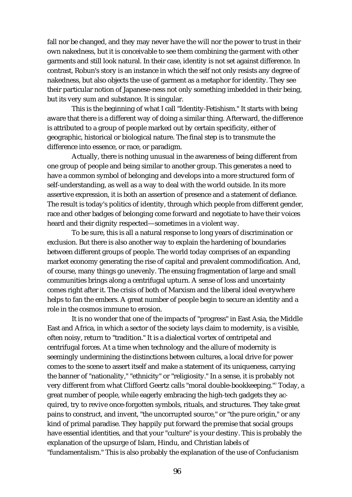fall nor be changed, and they may never have the will nor the power to trust in their own nakedness, but it is conceivable to see them combining the garment with other garments and still look natural. In their case, identity is not set against difference. In contrast, Robun's story is an instance in which the self not only resists any degree of nakedness, but also objects the use of garment as a metaphor for identity. They see their particular notion of Japanese-ness not only something imbedded in their being, but its very sum and substance. It is singular.

This is the beginning of what I call "Identity-Fetishism." It starts with being aware that there is a different way of doing a similar thing. Afterward, the difference is attributed to a group of people marked out by certain specificity, either of geographic, historical or biological nature. The final step is to transmute the difference into essence, or race, or paradigm.

Actually, there is nothing unusual in the awareness of being different from one group of people and being similar to another group. This generates a need to have a common symbol of belonging and develops into a more structured form of self-understanding, as well as a way to deal with the world outside. In its more assertive expression, it is both an assertion of presence and a statement of defiance. The result is today's politics of identity, through which people from different gender, race and other badges of belonging come forward and negotiate to have their voices heard and their dignity respected—sometimes in a violent way.

To be sure, this is all a natural response to long years of discrimination or exclusion. But there is also another way to explain the hardening of boundaries between different groups of people. The world today comprises of an expanding market economy generating the rise of capital and prevalent commodification. And, of course, many things go unevenly. The ensuing fragmentation of large and small communities brings along a centrifugal upturn. A sense of loss and uncertainty comes right after it. The crisis of both of Marxism and the liberal ideal everywhere helps to fan the embers. A great number of people begin to secure an identity and a role in the cosmos immune to erosion.

It is no wonder that one of the impacts of "progress" in East Asia, the Middle East and Africa, in which a sector of the society lays claim to modernity, is a visible, often noisy, return to "tradition." It is a dialectical vortex of centripetal and centrifugal forces. At a time when technology and the allure of modernity is seemingly undermining the distinctions between cultures, a local drive for power comes to the scene to assert itself and make a statement of its uniqueness, carrying the banner of "nationality," "ethnicity" or "religiosity." In a sense, it is probably not very different from what Clifford Geertz calls "moral double-bookkeeping."7 Today, a great number of people, while eagerly embracing the high-tech gadgets they acquired, try to revive once-forgotten symbols, rituals, and structures. They take great pains to construct, and invent, "the uncorrupted source," or "the pure origin," or any kind of primal paradise. They happily put forward the premise that social groups have essential identities, and that your "culture" is your destiny. This is probably the explanation of the upsurge of Islam, Hindu, and Christian labels of "fundamentalism." This is also probably the explanation of the use of Confucianism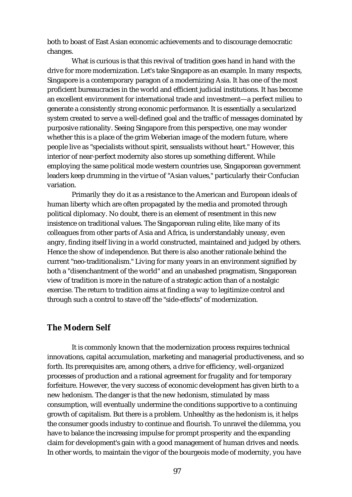both to boast of East Asian economic achievements and to discourage democratic changes.

What is curious is that this revival of tradition goes hand in hand with the drive for more modernization. Let's take Singapore as an example. In many respects, Singapore is a contemporary paragon of a modernizing Asia. It has one of the most proficient bureaucracies in the world and efficient judicial institutions. It has become an excellent environment for international trade and investment—a perfect milieu to generate a consistently strong economic performance. It is essentially a secularized system created to serve a well-defined goal and the traffic of messages dominated by purposive rationality. Seeing Singapore from this perspective, one may wonder whether this is a place of the grim Weberian image of the modern future, where people live as "specialists without spirit, sensualists without heart." However, this interior of near-perfect modernity also stores up something different. While employing the same political mode western countries use, Singaporean government leaders keep drumming in the virtue of "Asian values," particularly their Confucian variation.

Primarily they do it as a resistance to the American and European ideals of human liberty which are often propagated by the media and promoted through political diplomacy. No doubt, there is an element of resentment in this new insistence on traditional values. The Singaporean ruling elite, like many of its colleagues from other parts of Asia and Africa, is understandably uneasy, even angry, finding itself living in a world constructed, maintained and judged by others. Hence the show of independence. But there is also another rationale behind the current "neo-traditionalism." Living for many years in an environment signified by both a "disenchantment of the world" and an unabashed pragmatism, Singaporean view of tradition is more in the nature of a strategic action than of a nostalgic exercise. The return to tradition aims at finding a way to legitimize control and through such a control to stave off the "side-effects" of modernization.

### **The Modern Self**

It is commonly known that the modernization process requires technical innovations, capital accumulation, marketing and managerial productiveness, and so forth. Its prerequisites are, among others, a drive for efficiency, well-organized processes of production and a rational agreement for frugality and for temporary forfeiture. However, the very success of economic development has given birth to a new hedonism. The danger is that the new hedonism, stimulated by mass consumption, will eventually undermine the conditions supportive to a continuing growth of capitalism. But there is a problem. Unhealthy as the hedonism is, it helps the consumer goods industry to continue and flourish. To unravel the dilemma, you have to balance the increasing impulse for prompt prosperity and the expanding claim for development's gain with a good management of human drives and needs. In other words, to maintain the vigor of the bourgeois mode of modernity, you have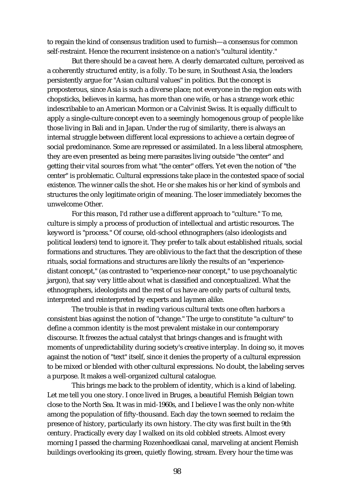to regain the kind of consensus tradition used to furnish—a consensus for common self-restraint. Hence the recurrent insistence on a nation's "cultural identity."

But there should be a caveat here. A clearly demarcated culture, perceived as a coherently structured entity, is a folly. To be sure, in Southeast Asia, the leaders persistently argue for "Asian cultural values" in politics. But the concept is preposterous, since Asia is such a diverse place; not everyone in the region eats with chopsticks, believes in karma, has more than one wife, or has a strange work ethic indescribable to an American Mormon or a Calvinist Swiss. It is equally difficult to apply a single-culture concept even to a seemingly homogenous group of people like those living in Bali and in Japan. Under the rug of similarity, there is always an internal struggle between different local expressions to achieve a certain degree of social predominance. Some are repressed or assimilated. In a less liberal atmosphere, they are even presented as being mere parasites living outside "the center" and getting their vital sources from what "the center" offers. Yet even the notion of "the center" is problematic. Cultural expressions take place in the contested space of social existence. The winner calls the shot. He or she makes his or her kind of symbols and structures the only legitimate origin of meaning. The loser immediately becomes the unwelcome Other.

For this reason, I'd rather use a different approach to "culture." To me, culture is simply a process of production of intellectual and artistic resources. The keyword is "process." Of course, old-school ethnographers (also ideologists and political leaders) tend to ignore it. They prefer to talk about established rituals, social formations and structures. They are oblivious to the fact that the description of these rituals, social formations and structures are likely the results of an "experiencedistant concept," (as contrasted to "experience-near concept," to use psychoanalytic jargon), that say very little about what is classified and conceptualized. What the ethnographers, ideologists and the rest of us have are only parts of cultural texts, interpreted and reinterpreted by experts and laymen alike.

The trouble is that in reading various cultural texts one often harbors a consistent bias against the notion of "change." The urge to constitute "a culture" to define a common identity is the most prevalent mistake in our contemporary discourse. It freezes the actual catalyst that brings changes and is fraught with moments of unpredictability during society's creative interplay. In doing so, it moves against the notion of "text" itself, since it denies the property of a cultural expression to be mixed or blended with other cultural expressions. No doubt, the labeling serves a purpose. It makes a well-organized cultural catalogue.

This brings me back to the problem of identity, which is a kind of labeling. Let me tell you one story. I once lived in Bruges, a beautiful Flemish Belgian town close to the North Sea. It was in mid-1960s, and I believe I was the only non-white among the population of fifty-thousand. Each day the town seemed to reclaim the presence of history, particularly its own history. The city was first built in the 9th century. Practically every day I walked on its old cobbled streets. Almost every morning I passed the charming Rozenhoedkaai canal, marveling at ancient Flemish buildings overlooking its green, quietly flowing, stream. Every hour the time was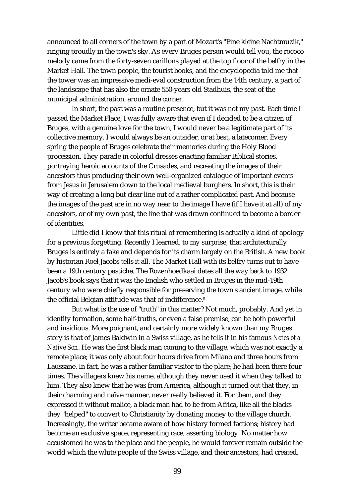announced to all corners of the town by a part of Mozart's "Eine kleine Nachtmuzik," ringing proudly in the town's sky. As every Bruges person would tell you, the rococo melody came from the forty-seven carillons played at the top floor of the belfry in the Market Hall. The town people, the tourist books, and the encyclopedia told me that the tower was an impressive medi-eval construction from the 14th century, a part of the landscape that has also the ornate 550-years old Stadhuis, the seat of the municipal administration, around the corner.

In short, the past was a routine presence, but it was not my past. Each time I passed the Market Place, I was fully aware that even if I decided to be a citizen of Bruges, with a genuine love for the town, I would never be a legitimate part of its collective memory. I would always be an outsider, or at best, a latecomer. Every spring the people of Bruges celebrate their memories during the Holy Blood procession. They parade in colorful dresses enacting familiar Biblical stories, portraying heroic accounts of the Crusades, and recreating the images of their ancestors thus producing their own well-organized catalogue of important events from Jesus in Jerusalem down to the local medieval burghers. In short, this is their way of creating a long but clear line out of a rather complicated past. And because the images of the past are in no way near to the image I have (if I have it at all) of my ancestors, or of my own past, the line that was drawn continued to become a border of identities.

Little did I know that this ritual of remembering is actually a kind of apology for a previous forgetting. Recently I learned, to my surprise, that architecturally Bruges is entirely a fake and depends for its charm largely on the British. A new book by historian Roel Jacobs tells it all. The Market Hall with its belfry turns out to have been a 19th century pastiche. The Rozenhoedkaai dates all the way back to 1932. Jacob's book says that it was the English who settled in Bruges in the mid-19th century who were chiefly responsible for preserving the town's ancient image, while the official Belgian attitude was that of indifference.<sup>8</sup>

But what is the use of "truth" in this matter? Not much, probably. And yet in identity formation, some half-truths, or even a false premise, can be both powerful and insidious. More poignant, and certainly more widely known than my Bruges story is that of James Baldwin in a Swiss village, as he tells it in his famous *Notes of a Native Son*. He was the first black man coming to the village, which was not exactly a remote place; it was only about four hours drive from Milano and three hours from Laussane. In fact, he was a rather familiar visitor to the place; he had been there four times. The villagers knew his name, although they never used it when they talked to him. They also knew that he was from America, although it turned out that they, in their charming and naïve manner, never really believed it. For them, and they expressed it without malice, a black man had to be from Africa, like all the blacks they "helped" to convert to Christianity by donating money to the village church. Increasingly, the writer became aware of how history formed factions; history had become an exclusive space, representing race, asserting biology. No matter how accustomed he was to the place and the people, he would forever remain outside the world which the white people of the Swiss village, and their ancestors, had created.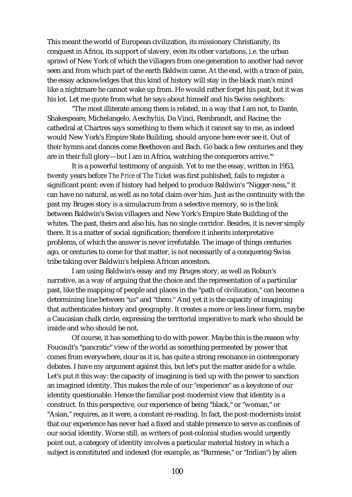This meant the world of European civilization, its missionary Christianity, its conquest in Africa, its support of slavery, even its other variations, i.e. the urban sprawl of New York of which the villagers from one generation to another had never seen and from which part of the earth Baldwin came. At the end, with a trace of pain, the essay acknowledges that this kind of history will stay in the black man's mind like a nightmare he cannot wake up from. He would rather forget his past, but it was his lot. Let me quote from what he says about himself and his Swiss neighbors:

"The most illiterate among them is related, in a way that I am not, to Dante, Shakespeare, Michelangelo, Aeschylus, Da Vinci, Rembrandt, and Racine; the cathedral at Chartres says something to them which it cannot say to me, as indeed would New York's Empire State Building, should anyone here ever see it. Out of their hymns and dances come Beethoven and Bach. Go back a few centuries and they are in their full glory—but I am in Africa, watching the conquerors arrive."9

It is a powerful testimony of anguish. Yet to me the essay, written in 1953, twenty years before *The Price of The Ticket* was first published, fails to register a significant point: even if history had helped to produce Baldwin's "Nigger-ness," it can have no natural, as well as no total claim over him. Just as the continuity with the past my Bruges story is a simulacrum from a selective memory, so is the link between Baldwin's Swiss villagers and New York's Empire State Building of the whites. The past, theirs and also his, has no single corridor. Besides, it is never simply there. It is a matter of social signification; therefore it inherits interpretative problems, of which the answer is never irrefutable. The image of things centuries ago, or centuries to come for that matter, is not necessarily of a conquering Swiss tribe taking over Baldwin's helpless African ancestors.

I am using Baldwin's essay and my Bruges story, as well as Robun's narrative, as a way of arguing that the choice and the representation of a particular past, like the mapping of people and places in the "path of civilization," can become a determining line between "us" and "them." And yet it is the capacity of imagining that authenticates history and geography. It creates a more or less linear form, maybe a Caucasian chalk circle, expressing the territorial imperative to mark who should be inside and who should be not.

Of course, it has something to do with power. Maybe this is the reason why Foucault's "pancratic" view of the world as something permeated by power that comes from everywhere, dour as it is, has quite a strong resonance in contemporary debates. I have my argument against this, but let's put the matter aside for a while. Let's put it this way: the capacity of imagining is tied up with the power to sanction an imagined identity. This makes the role of our "experience" as a keystone of our identity questionable. Hence the familiar post-modernist view that identity is a construct. In this perspective, our experience of being "black," or "woman," or "Asian," requires, as it were, a constant re-reading. In fact, the post-modernists insist that our experience has never had a fixed and stable presence to serve as confines of our social identity. Worse still, as writers of post-colonial studies would urgently point out, a category of identity involves a particular material history in which a subject is constituted and indexed (for example, as "Burmese," or "Indian") by alien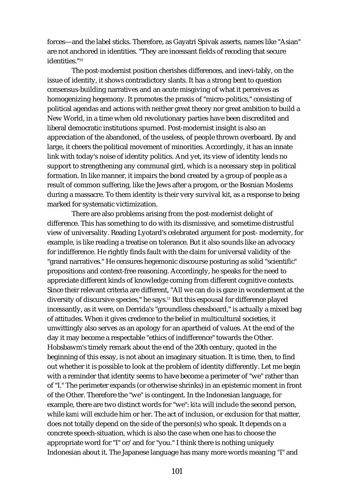forces—and the label sticks. Therefore, as Gayatri Spivak asserts, names like "Asian" are not anchored in identities. "They are incessant fields of recoding that secure identities."10

The post-modernist position cherishes differences, and inevi-tably, on the issue of identity, it shows contradictory slants. It has a strong bent to question consensus-building narratives and an acute misgiving of what it perceives as homogenizing hegemony. It promotes the praxis of "micro-politics," consisting of political agendas and actions with neither great theory nor great ambition to build a New World, in a time when old revolutionary parties have been discredited and liberal democratic institutions spurned. Post-modernist insight is also an appreciation of the abandoned, of the useless, of people thrown overboard. By and large, it cheers the political movement of minorities. Accordingly, it has an innate link with today's noise of identity politics. And yet, its view of identity lends no support to strengthening any communal gird, which is a necessary step in political formation. In like manner, it impairs the bond created by a group of people as a result of common suffering, like the Jews after a progom, or the Bosnian Moslems during a massacre. To them identity is their very survival kit, as a response to being marked for systematic victimization.

There are also problems arising from the post-modernist delight of difference. This has something to do with its dismissive, and sometime distrustful view of universality. Reading Lyotard's celebrated argument for post- modernity, for example, is like reading a treatise on tolerance. But it also sounds like an advocacy for indifference. He rightly finds fault with the claim for universal validity of the "grand narratives." He censures hegemonic discourse posturing as solid "scientific" propositions and context-free reasoning. Accordingly, he speaks for the need to appreciate different kinds of knowledge coming from different cognitive contexts. Since their relevant criteria are different, "All we can do is gaze in wonderment at the diversity of discursive species," he says.11 But this espousal for difference played incessantly, as it were, on Derrida's "groundless chessboard," is actually a mixed bag of attitudes. When it gives credence to the belief in multicultural societies, it unwittingly also serves as an apology for an apartheid of values. At the end of the day it may become a respectable "ethics of indifference" towards the Other. Hobsbawm's timely remark about the end of the 20th century, quoted in the beginning of this essay, is not about an imaginary situation. It is time, then, to find out whether it is possible to look at the problem of identity differently. Let me begin with a reminder that identity seems to have become a perimeter of "we" rather than of "I." The perimeter expands (or otherwise shrinks) in an epistemic moment in front of the Other. Therefore the "we" is contingent. In the Indonesian language, for example, there are two distinct words for "we": *kita* will include the second person, while *kami* will exclude him or her. The act of inclusion, or exclusion for that matter, does not totally depend on the side of the person(s) who speak. It depends on a concrete speech-situation, which is also the case when one has to choose the appropriate word for "I" or/and for "you." I think there is nothing uniquely Indonesian about it. The Japanese language has many more words meaning "I" and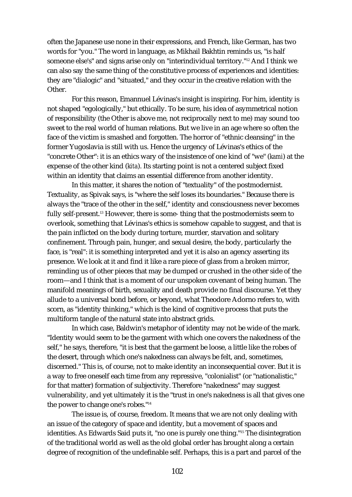often the Japanese use none in their expressions, and French, like German, has two words for "you." The word in language, as Mikhail Bakhtin reminds us, "is half someone else's" and signs arise only on "interindividual territory."12 And I think we can also say the same thing of the constitutive process of experiences and identities: they are "dialogic" and "situated," and they occur in the creative relation with the Other.

For this reason, Emannuel Lévinas's insight is inspiring. For him, identity is not shaped "egologically," but ethically. To be sure, his idea of asymmetrical notion of responsibility (the Other is above me, not reciprocally next to me) may sound too sweet to the real world of human relations. But we live in an age where so often the face of the victim is smashed and forgotten. The horror of "ethnic cleansing" in the former Yugoslavia is still with us. Hence the urgency of Lévinas's ethics of the "concrete Other": it is an ethics wary of the insistence of one kind of "we" (*kami*) at the expense of the other kind (*kita*). Its starting point is not a centered subject fixed within an identity that claims an essential difference from another identity.

In this matter, it shares the notion of "textuality" of the postmodernist. Textuality, as Spivak says, is "where the self loses its boundaries." Because there is always the "trace of the other in the self," identity and consciousness never becomes fully self-present.<sup>13</sup> However, there is some- thing that the postmodernists seem to overlook, something that Lévinas's ethics is somehow capable to suggest, and that is the pain inflicted on the body during torture, murder, starvation and solitary confinement. Through pain, hunger, and sexual desire, the body, particularly the face, is "real": it is something interpreted and yet it is also an agency asserting its presence. We look at it and find it like a rare piece of glass from a broken mirror, reminding us of other pieces that may be dumped or crushed in the other side of the room—and I think that is a moment of our unspoken covenant of being human. The manifold meanings of birth, sexuality and death provide no final discourse. Yet they allude to a universal bond before, or beyond, what Theodore Adorno refers to, with scorn, as "identity thinking," which is the kind of cognitive process that puts the multiform tangle of the natural state into abstract grids.

In which case, Baldwin's metaphor of identity may not be wide of the mark. "Identity would seem to be the garment with which one covers the nakedness of the self," he says, therefore, "it is best that the garment be loose, a little like the robes of the desert, through which one's nakedness can always be felt, and, sometimes, discerned." This is, of course, not to make identity an inconsequential cover. But it is a way to free oneself each time from any repressive, "colonialist" (or "nationalistic," for that matter) formation of subjectivity. Therefore "nakedness" may suggest vulnerability, and yet ultimately it is the "trust in one's nakedness is all that gives one the power to change one's robes."14

The issue is, of course, freedom. It means that we are not only dealing with an issue of the category of space and identity, but a movement of spaces and identities. As Edwards Said puts it, "no one is purely one thing."15 The disintegration of the traditional world as well as the old global order has brought along a certain degree of recognition of the undefinable self. Perhaps, this is a part and parcel of the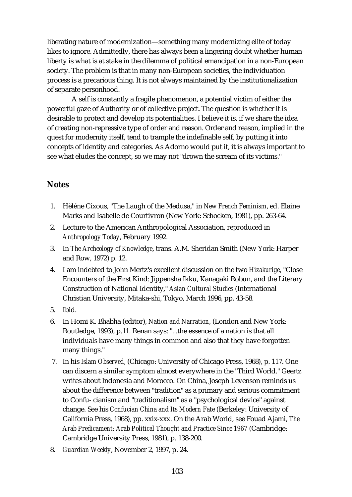liberating nature of modernization—something many modernizing elite of today likes to ignore. Admittedly, there has always been a lingering doubt whether human liberty is what is at stake in the dilemma of political emancipation in a non-European society. The problem is that in many non-European societies, the individuation process is a precarious thing. It is not always maintained by the institutionalization of separate personhood.

A self is constantly a fragile phenomenon, a potential victim of either the powerful gaze of Authority or of collective project. The question is whether it is desirable to protect and develop its potentialities. I believe it is, if we share the idea of creating non-repressive type of order and reason. Order and reason, implied in the quest for modernity itself, tend to trample the indefinable self, by putting it into concepts of identity and categories. As Adorno would put it, it is always important to see what eludes the concept, so we may not "drown the scream of its victims."

## **Notes**

- 1. Hèléne Cixous, "The Laugh of the Medusa," in *New French Feminism*, ed. Elaine Marks and Isabelle de Courtivron (New York: Schocken, 1981), pp. 263-64.
- 2. Lecture to the American Anthropological Association, reproduced in *Anthropology Today*, February 1992.
- 3. In *The Archeology of Knowledge*, trans. A.M. Sheridan Smith (New York: Harper and Row, 1972) p. 12.
- 4. I am indebted to John Mertz's excellent discussion on the two *Hizakurige*, "Close Encounters of the First Kind: Jippensha Ikku, Kanagaki Robun, and the Literary Construction of National Identity," *Asian Cultural Studies* (International Christian University, Mitaka-shi, Tokyo, March 1996, pp. 43-58.
- 5. Ibid.
- 6. In Homi K. Bhabha (editor), *Nation and Narration*, (London and New York: Routledge, 1993), p.11. Renan says: "...the essence of a nation is that all individuals have many things in common and also that they have forgotten many things."
- 7. In his *Islam Observed*, (Chicago: University of Chicago Press, 1968), p. 117. One can discern a similar symptom almost everywhere in the "Third World." Geertz writes about Indonesia and Morocco. On China, Joseph Levenson reminds us about the difference between "tradition" as a primary and serious commitment to Confu- cianism and "traditionalism" as a "psychological device" against change. See his *Confucian China and Its Modern Fate* (Berkeley: University of California Press, 1968), pp. xxix-xxx. On the Arab World, see Fouad Ajami, *The Arab Predicament: Arab Political Thought and Practice Since 1967* (Cambridge: Cambridge University Press, 1981), p. 138-200.
- 8. *Guardian Weekly*, November 2, 1997, p. 24.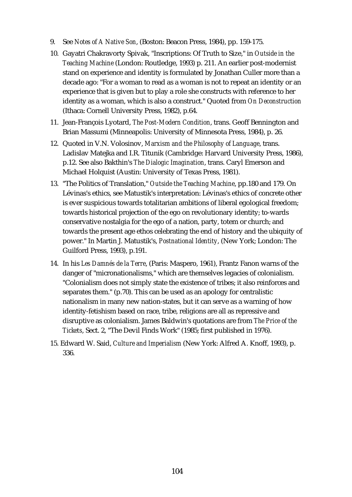- 9. See *Notes of A Native Son*, (Boston: Beacon Press, 1984), pp. 159-175.
- 10. Gayatri Chakravorty Spivak, "Inscriptions: Of Truth to Size," in *Outside in the Teaching Machine* (London: Routledge, 1993) p. 211. An earlier post-modernist stand on experience and identity is formulated by Jonathan Culler more than a decade ago: "For a woman to read as a woman is not to repeat an identity or an experience that is given but to play a role she constructs with reference to her identity as a woman, which is also a construct." Quoted from *On Deconstruction* (Ithaca: Cornell University Press, 1982), p.64.
- 11. Jean-François Lyotard, *The Post-Modern Condition*, trans. Geoff Bennington and Brian Massumi (Minneapolis: University of Minnesota Press, 1984), p. 26.
- 12. Quoted in V.N. Volosinov, *Marxism and the Philosophy of Language*, trans. Ladislav Matejka and I.R. Titunik (Cambridge: Harvard University Press, 1986), p.12. See also Bakthin's *The Dialogic Imagination*, trans. Caryl Emerson and Michael Holquist (Austin: University of Texas Press, 1981).
- 13. "The Politics of Translation," *Outside the Teaching Machine*, pp.180 and 179. On Lévinas's ethics, see Matustik's interpretation: Lévinas's ethics of concrete other is ever suspicious towards totalitarian ambitions of liberal egological freedom; towards historical projection of the ego on revolutionary identity; to-wards conservative nostalgia for the ego of a nation, party, totem or church; and towards the present age ethos celebrating the end of history and the ubiquity of power." In Martin J. Matustik's, *Postnational Identity*, (New York; London: The Guilford Press, 1993), p.191.
- 14. In his *Les Damnés de la Terre*, (Paris: Maspero, 1961), Frantz Fanon warns of the danger of "micronationalisms," which are themselves legacies of colonialism. "Colonialism does not simply state the existence of tribes; it also reinforces and separates them." (p.70). This can be used as an apology for centralistic nationalism in many new nation-states, but it can serve as a warning of how identity-fetishism based on race, tribe, religions are all as repressive and disruptive as colonialism. James Baldwin's quotations are from *The Price of the Tickets*, Sect. 2, "The Devil Finds Work" (1985; first published in 1976).
- 15. Edward W. Said, *Culture and Imperialism* (New York: Alfred A. Knoff, 1993), p. 336.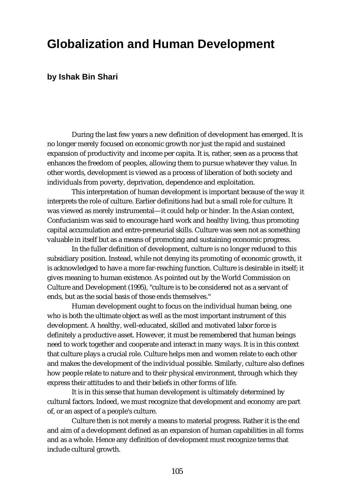## **Globalization and Human Development**

### **by Ishak Bin Shari**

During the last few years a new definition of development has emerged. It is no longer merely focused on economic growth nor just the rapid and sustained expansion of productivity and income per capita. It is, rather, seen as a process that enhances the freedom of peoples, allowing them to pursue whatever they value. In other words, development is viewed as a process of liberation of both society and individuals from poverty, deprivation, dependence and exploitation.

This interpretation of human development is important because of the way it interprets the role of culture. Earlier definitions had but a small role for culture. It was viewed as merely instrumental—it could help or hinder. In the Asian context, Confucianism was said to encourage hard work and healthy living, thus promoting capital accumulation and entre-preneurial skills. Culture was seen not as something valuable in itself but as a means of promoting and sustaining economic progress.

In the fuller definition of development, culture is no longer reduced to this subsidiary position. Instead, while not denying its promoting of economic growth, it is acknowledged to have a more far-reaching function. Culture is desirable in itself; it gives meaning to human existence. As pointed out by the World Commission on Culture and Development (1995), "culture is to be considered not as a servant of ends, but as the social basis of those ends themselves."

Human development ought to focus on the individual human being, one who is both the ultimate object as well as the most important instrument of this development. A healthy, well-educated, skilled and motivated labor force is definitely a productive asset. However, it must be remembered that human beings need to work together and cooperate and interact in many ways. It is in this context that culture plays a crucial role. Culture helps men and women relate to each other and makes the development of the individual possible. Similarly, culture also defines how people relate to nature and to their physical environment, through which they express their attitudes to and their beliefs in other forms of life.

It is in this sense that human development is ultimately determined by cultural factors. Indeed, we must recognize that development and economy are part of, or an aspect of a people's culture.

Culture then is not merely a means to material progress. Rather it is the end and aim of a development defined as an expansion of human capabilities in all forms and as a whole. Hence any definition of development must recognize terms that include cultural growth.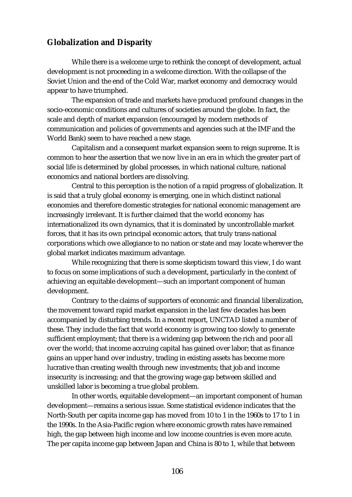### **Globalization and Disparity**

While there is a welcome urge to rethink the concept of development, actual development is not proceeding in a welcome direction. With the collapse of the Soviet Union and the end of the Cold War, market economy and democracy would appear to have triumphed.

The expansion of trade and markets have produced profound changes in the socio-economic conditions and cultures of societies around the globe. In fact, the scale and depth of market expansion (encouraged by modern methods of communication and policies of governments and agencies such at the IMF and the World Bank) seem to have reached a new stage.

Capitalism and a consequent market expansion seem to reign supreme. It is common to hear the assertion that we now live in an era in which the greater part of social life is determined by global processes, in which national culture, national economics and national borders are dissolving.

Central to this perception is the notion of a rapid progress of globalization. It is said that a truly global economy is emerging, one in which distinct national economies and therefore domestic strategies for national economic management are increasingly irrelevant. It is further claimed that the world economy has internationalized its own dynamics, that it is dominated by uncontrollable market forces, that it has its own principal economic actors, that truly trans-national corporations which owe allegiance to no nation or state and may locate wherever the global market indicates maximum advantage.

While recognizing that there is some skepticism toward this view, I do want to focus on some implications of such a development, particularly in the context of achieving an equitable development—such an important component of human development.

Contrary to the claims of supporters of economic and financial liberalization, the movement toward rapid market expansion in the last few decades has been accompanied by disturbing trends. In a recent report, UNCTAD listed a number of these. They include the fact that world economy is growing too slowly to generate sufficient employment; that there is a widening gap between the rich and poor all over the world; that income accruing capital has gained over labor; that as finance gains an upper hand over industry, trading in existing assets has become more lucrative than creating wealth through new investments; that job and income insecurity is increasing; and that the growing wage gap between skilled and unskilled labor is becoming a true global problem.

In other words, equitable development—an important component of human development—remains a serious issue. Some statistical evidence indicates that the North-South per capita income gap has moved from 10 to 1 in the 1960s to 17 to 1 in the 1990s. In the Asia-Pacific region where economic growth rates have remained high, the gap between high income and low income countries is even more acute. The per capita income gap between Japan and China is 80 to 1, while that between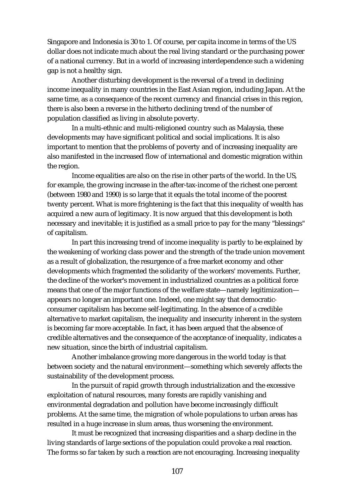Singapore and Indonesia is 30 to 1. Of course, per capita income in terms of the US dollar does not indicate much about the real living standard or the purchasing power of a national currency. But in a world of increasing interdependence such a widening gap is not a healthy sign.

Another disturbing development is the reversal of a trend in declining income inequality in many countries in the East Asian region, including Japan. At the same time, as a consequence of the recent currency and financial crises in this region, there is also been a reverse in the hitherto declining trend of the number of population classified as living in absolute poverty.

In a multi-ethnic and multi-religioned country such as Malaysia, these developments may have significant political and social implications. It is also important to mention that the problems of poverty and of increasing inequality are also manifested in the increased flow of international and domestic migration within the region.

Income equalities are also on the rise in other parts of the world. In the US, for example, the growing increase in the after-tax-income of the richest one percent (between 1980 and 1990) is so large that it equals the total income of the poorest twenty percent. What is more frightening is the fact that this inequality of wealth has acquired a new aura of legitimacy. It is now argued that this development is both necessary and inevitable; it is justified as a small price to pay for the many "blessings" of capitalism.

In part this increasing trend of income inequality is partly to be explained by the weakening of working class power and the strength of the trade union movement as a result of globalization, the resurgence of a free market economy and other developments which fragmented the solidarity of the workers' movements. Further, the decline of the worker's movement in industrialized countries as a political force means that one of the major functions of the welfare state—namely legitimization appears no longer an important one. Indeed, one might say that democraticconsumer capitalism has become self-legitimating. In the absence of a credible alternative to market capitalism, the inequality and insecurity inherent in the system is becoming far more acceptable. In fact, it has been argued that the absence of credible alternatives and the consequence of the acceptance of inequality, indicates a new situation, since the birth of industrial capitalism.

Another imbalance growing more dangerous in the world today is that between society and the natural environment—something which severely affects the sustainability of the development process.

In the pursuit of rapid growth through industrialization and the excessive exploitation of natural resources, many forests are rapidly vanishing and environmental degradation and pollution have become increasingly difficult problems. At the same time, the migration of whole populations to urban areas has resulted in a huge increase in slum areas, thus worsening the environment.

It must be recognized that increasing disparities and a sharp decline in the living standards of large sections of the population could provoke a real reaction. The forms so far taken by such a reaction are not encouraging. Increasing inequality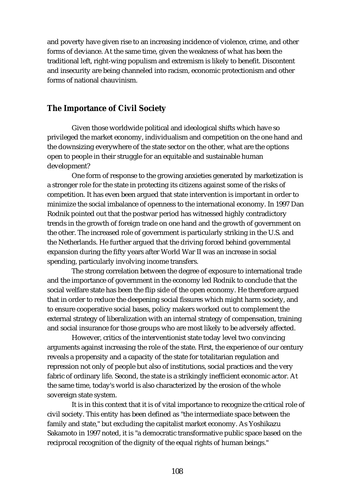and poverty have given rise to an increasing incidence of violence, crime, and other forms of deviance. At the same time, given the weakness of what has been the traditional left, right-wing populism and extremism is likely to benefit. Discontent and insecurity are being channeled into racism, economic protectionism and other forms of national chauvinism.

### **The Importance of Civil Society**

Given those worldwide political and ideological shifts which have so privileged the market economy, individualism and competition on the one hand and the downsizing everywhere of the state sector on the other, what are the options open to people in their struggle for an equitable and sustainable human development?

One form of response to the growing anxieties generated by marketization is a stronger role for the state in protecting its citizens against some of the risks of competition. It has even been argued that state intervention is important in order to minimize the social imbalance of openness to the international economy. In 1997 Dan Rodnik pointed out that the postwar period has witnessed highly contradictory trends in the growth of foreign trade on one hand and the growth of government on the other. The increased role of government is particularly striking in the U.S. and the Netherlands. He further argued that the driving forced behind governmental expansion during the fifty years after World War II was an increase in social spending, particularly involving income transfers.

The strong correlation between the degree of exposure to international trade and the importance of government in the economy led Rodnik to conclude that the social welfare state has been the flip side of the open economy. He therefore argued that in order to reduce the deepening social fissures which might harm society, and to ensure cooperative social bases, policy makers worked out to complement the external strategy of liberalization with an internal strategy of compensation, training and social insurance for those groups who are most likely to be adversely affected.

However, critics of the interventionist state today level two convincing arguments against increasing the role of the state. First, the experience of our century reveals a propensity and a capacity of the state for totalitarian regulation and repression not only of people but also of institutions, social practices and the very fabric of ordinary life. Second, the state is a strikingly inefficient economic actor. At the same time, today's world is also characterized by the erosion of the whole sovereign state system.

It is in this context that it is of vital importance to recognize the critical role of civil society. This entity has been defined as "the intermediate space between the family and state," but excluding the capitalist market economy. As Yoshikazu Sakamoto in 1997 noted, it is "a democratic transformative public space based on the reciprocal recognition of the dignity of the equal rights of human beings."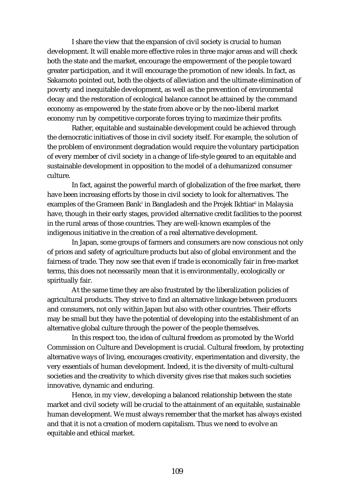I share the view that the expansion of civil society is crucial to human development. It will enable more effective roles in three major areas and will check both the state and the market, encourage the empowerment of the people toward greater participation, and it will encourage the promotion of new ideals. In fact, as Sakamoto pointed out, both the objects of alleviation and the ultimate elimination of poverty and inequitable development, as well as the prevention of environmental decay and the restoration of ecological balance cannot be attained by the command economy as empowered by the state from above or by the neo-liberal market economy run by competitive corporate forces trying to maximize their profits.

Rather, equitable and sustainable development could be achieved through the democratic initiatives of those in civil society itself. For example, the solution of the problem of environment degradation would require the voluntary participation of every member of civil society in a change of life-style geared to an equitable and sustainable development in opposition to the model of a dehumanized consumer culture.

In fact, against the powerful march of globalization of the free market, there have been increasing efforts by those in civil society to look for alternatives. The examples of the Grameen Bank<sup>1</sup> in Bangladesh and the Projek Ikhtiar<sup>2</sup> in Malaysia have, though in their early stages, provided alternative credit facilities to the poorest in the rural areas of those countries. They are well-known examples of the indigenous initiative in the creation of a real alternative development.

In Japan, some groups of farmers and consumers are now conscious not only of prices and safety of agriculture products but also of global environment and the fairness of trade. They now see that even if trade is economically fair in free-market terms, this does not necessarily mean that it is environmentally, ecologically or spiritually fair.

At the same time they are also frustrated by the liberalization policies of agricultural products. They strive to find an alternative linkage between producers and consumers, not only within Japan but also with other countries. Their efforts may be small but they have the potential of developing into the establishment of an alternative global culture through the power of the people themselves.

In this respect too, the idea of cultural freedom as promoted by the World Commission on Culture and Development is crucial. Cultural freedom, by protecting alternative ways of living, encourages creativity, experimentation and diversity, the very essentials of human development. Indeed, it is the diversity of multi-cultural societies and the creativity to which diversity gives rise that makes such societies innovative, dynamic and enduring.

Hence, in my view, developing a balanced relationship between the state market and civil society will be crucial to the attainment of an equitable, sustainable human development. We must always remember that the market has always existed and that it is not a creation of modern capitalism. Thus we need to evolve an equitable and ethical market.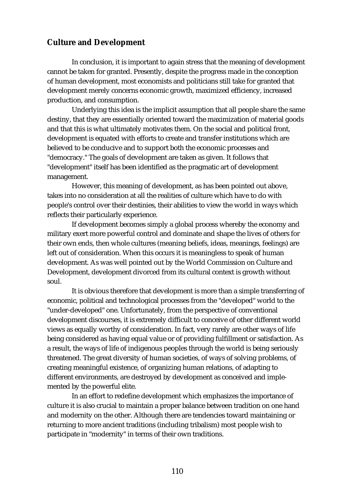### **Culture and Development**

In conclusion, it is important to again stress that the meaning of development cannot be taken for granted. Presently, despite the progress made in the conception of human development, most economists and politicians still take for granted that development merely concerns economic growth, maximized efficiency, increased production, and consumption.

Underlying this idea is the implicit assumption that all people share the same destiny, that they are essentially oriented toward the maximization of material goods and that this is what ultimately motivates them. On the social and political front, development is equated with efforts to create and transfer institutions which are believed to be conducive and to support both the economic processes and "democracy." The goals of development are taken as given. It follows that "development" itself has been identified as the pragmatic art of development management.

However, this meaning of development, as has been pointed out above, takes into no consideration at all the realities of culture which have to do with people's control over their destinies, their abilities to view the world in ways which reflects their particularly experience.

If development becomes simply a global process whereby the economy and military exert more powerful control and dominate and shape the lives of others for their own ends, then whole cultures (meaning beliefs, ideas, meanings, feelings) are left out of consideration. When this occurs it is meaningless to speak of human development. As was well pointed out by the World Commission on Culture and Development, development divorced from its cultural context is growth without soul.

It is obvious therefore that development is more than a simple transferring of economic, political and technological processes from the "developed" world to the "under-developed" one. Unfortunately, from the perspective of conventional development discourses, it is extremely difficult to conceive of other different world views as equally worthy of consideration. In fact, very rarely are other ways of life being considered as having equal value or of providing fulfillment or satisfaction. As a result, the ways of life of indigenous peoples through the world is being seriously threatened. The great diversity of human societies, of ways of solving problems, of creating meaningful existence, of organizing human relations, of adapting to different environments, are destroyed by development as conceived and implemented by the powerful elite.

In an effort to redefine development which emphasizes the importance of culture it is also crucial to maintain a proper balance between tradition on one hand and modernity on the other. Although there are tendencies toward maintaining or returning to more ancient traditions (including tribalism) most people wish to participate in "modernity" in terms of their own traditions.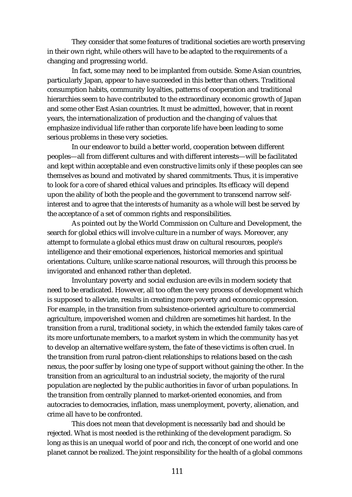They consider that some features of traditional societies are worth preserving in their own right, while others will have to be adapted to the requirements of a changing and progressing world.

In fact, some may need to be implanted from outside. Some Asian countries, particularly Japan, appear to have succeeded in this better than others. Traditional consumption habits, community loyalties, patterns of cooperation and traditional hierarchies seem to have contributed to the extraordinary economic growth of Japan and some other East Asian countries. It must be admitted, however, that in recent years, the internationalization of production and the changing of values that emphasize individual life rather than corporate life have been leading to some serious problems in these very societies.

In our endeavor to build a better world, cooperation between different peoples—all from different cultures and with different interests—will be facilitated and kept within acceptable and even constructive limits only if these peoples can see themselves as bound and motivated by shared commitments. Thus, it is imperative to look for a core of shared ethical values and principles. Its efficacy will depend upon the ability of both the people and the government to transcend narrow selfinterest and to agree that the interests of humanity as a whole will best be served by the acceptance of a set of common rights and responsibilities.

As pointed out by the World Commission on Culture and Development, the search for global ethics will involve culture in a number of ways. Moreover, any attempt to formulate a global ethics must draw on cultural resources, people's intelligence and their emotional experiences, historical memories and spiritual orientations. Culture, unlike scarce national resources, will through this process be invigorated and enhanced rather than depleted.

Involuntary poverty and social exclusion are evils in modern society that need to be eradicated. However, all too often the very process of development which is supposed to alleviate, results in creating more poverty and economic oppression. For example, in the transition from subsistence-oriented agriculture to commercial agriculture, impoverished women and children are sometimes hit hardest. In the transition from a rural, traditional society, in which the extended family takes care of its more unfortunate members, to a market system in which the community has yet to develop an alternative welfare system, the fate of these victims is often cruel. In the transition from rural patron-client relationships to relations based on the cash nexus, the poor suffer by losing one type of support without gaining the other. In the transition from an agricultural to an industrial society, the majority of the rural population are neglected by the public authorities in favor of urban populations. In the transition from centrally planned to market-oriented economies, and from autocracies to democracies, inflation, mass unemployment, poverty, alienation, and crime all have to be confronted.

This does not mean that development is necessarily bad and should be rejected. What is most needed is the rethinking of the development paradigm. So long as this is an unequal world of poor and rich, the concept of one world and one planet cannot be realized. The joint responsibility for the health of a global commons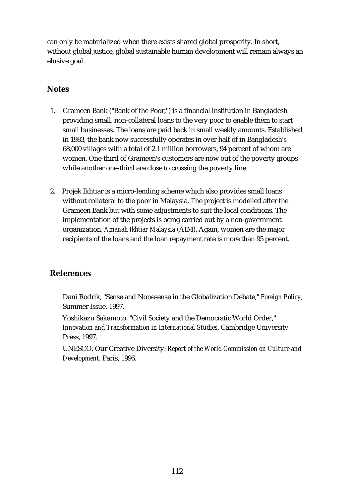can only be materialized when there exists shared global prosperity. In short, without global justice, global sustainable human development will remain always an elusive goal.

### **Notes**

- 1. Grameen Bank ("Bank of the Poor,") is a financial institution in Bangladesh providing small, non-collateral loans to the very poor to enable them to start small businesses. The loans are paid back in small weekly amounts. Established in 1983, the bank now successfully operates in over half of in Bangladesh's 68,000 villages with a total of 2.1 million borrowers, 94 percent of whom are women. One-third of Grameen's customers are now out of the poverty groups while another one-third are close to crossing the poverty line.
- 2. Projek Ikhtiar is a micro-lending scheme which also provides small loans without collateral to the poor in Malaysia. The project is modelled after the Grameen Bank but with some adjustments to suit the local conditions. The implementation of the projects is being carried out by a non-government organization, *Amanah Ikhtiar Malaysia* (AIM). Again, women are the major recipients of the loans and the loan repayment rate is more than 95 percent.

## **References**

Dani Rodrik, "Sense and Nonesense in the Globalization Debate," *Foreign Policy*, Summer Issue, 1997.

Yoshikazu Sakamoto, "Civil Society and the Democratic World Order," *Innovation and Transformation in International Studies*, Cambridge University Press, 1997.

UNESCO, Our Creative Diversity: *Report of the World Commission on Culture and Development*, Paris, 1996.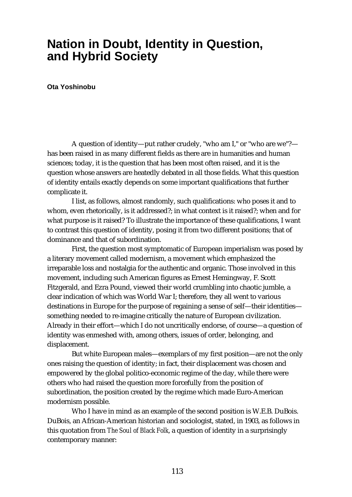## **Nation in Doubt, Identity in Question, and Hybrid Society**

**Ota Yoshinobu**

A question of identity—put rather crudely, "who am I," or "who are we"? has been raised in as many different fields as there are in humanities and human sciences; today, it is the question that has been most often raised, and it is the question whose answers are heatedly debated in all those fields. What this question of identity entails exactly depends on some important qualifications that further complicate it.

I list, as follows, almost randomly, such qualifications: who poses it and to whom, even rhetorically, is it addressed?; in what context is it raised?; when and for what purpose is it raised? To illustrate the importance of these qualifications, I want to contrast this question of identity, posing it from two different positions; that of dominance and that of subordination.

First, the question most symptomatic of European imperialism was posed by a literary movement called modernism, a movement which emphasized the irreparable loss and nostalgia for the authentic and organic. Those involved in this movement, including such American figures as Ernest Hemingway, F. Scott Fitzgerald, and Ezra Pound, viewed their world crumbling into chaotic jumble, a clear indication of which was World War I; therefore, they all went to various destinations in Europe for the purpose of regaining a sense of self—their identities something needed to re-imagine critically the nature of European civilization. Already in their effort—which I do not uncritically endorse, of course—a question of identity was enmeshed with, among others, issues of order, belonging, and displacement.

But white European males—exemplars of my first position—are not the only ones raising the question of identity; in fact, their displacement was chosen and empowered by the global politico-economic regime of the day, while there were others who had raised the question more forcefully from the position of subordination, the position created by the regime which made Euro-American modernism possible.

Who I have in mind as an example of the second position is W.E.B. DuBois. DuBois, an African-American historian and sociologist, stated, in 1903, as follows in this quotation from *The Soul of Black Folk*, a question of identity in a surprisingly contemporary manner: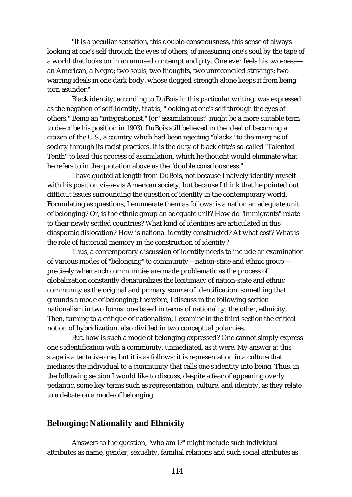"It is a peculiar sensation, this double-consciousness, this sense of always looking at one's self through the eyes of others, of measuring one's soul by the tape of a world that looks on in an amused contempt and pity. One ever feels his two-ness an American, a Negro; two souls, two thoughts, two unreconciled strivings; two warring ideals in one dark body, whose dogged strength alone keeps it from being torn asunder."

Black identity, according to DuBois in this particular writing, was expressed as the negation of self-identity, that is, "looking at one's self through the eyes of others." Being an "integrationist," (or "assimilationist" might be a more suitable term to describe his position in 1903), DuBois still believed in the ideal of becoming a citizen of the U.S., a country which had been rejecting "blacks" to the margins of society through its racist practices. It is the duty of black elite's so-called "Talented Tenth" to lead this process of assimilation, which he thought would eliminate what he refers to in the quotation above as the "double consciousness."

I have quoted at length from DuBois, not because I naively identify myself with his position vis-à-vis American society, but because I think that he pointed out difficult issues surrounding the question of identity in the contemporary world. Formulating as questions, I enumerate them as follows: is a nation an adequate unit of belonging? Or, is the ethnic group an adequate unit? How do "immigrants" relate to their newly settled countries? What kind of identities are articulated in this diasporaic dislocation? How is national identity constructed? At what cost? What is the role of historical memory in the construction of identity?

Thus, a contemporary discussion of identity needs to include an examination of various modes of "belonging" to community—nation-state and ethnic group precisely when such communities are made problematic as the process of globalization constantly denaturalizes the legitimacy of nation-state and ethnic community as the original and primary source of identification, something that grounds a mode of belonging; therefore, I discuss in the following section nationalism in two forms: one based in terms of nationality, the other, ethnicity. Then, turning to a critique of nationalism, I examine in the third section the critical notion of hybridization, also divided in two conceptual polarities.

But, how is such a mode of belonging expressed? One cannot simply express one's identification with a community, unmediated, as it were. My answer at this stage is a tentative one, but it is as follows: it is representation in a culture that mediates the individual to a community that calls one's identity into being. Thus, in the following section I would like to discuss, despite a fear of appearing overly pedantic, some key terms such as representation, culture, and identity, as they relate to a debate on a mode of belonging.

### **Belonging: Nationality and Ethnicity**

Answers to the question, "who am I?" might include such individual attributes as name, gender, sexuality, familial relations and such social attributes as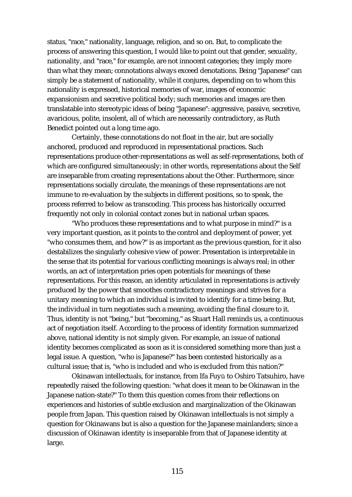status, "race," nationality, language, religion, and so on. But, to complicate the process of answering this question, I would like to point out that gender, sexuality, nationality, and "race," for example, are not innocent categories; they imply more than what they mean; connotations always exceed denotations. Being "Japanese" can simply be a statement of nationality, while it conjures, depending on to whom this nationality is expressed, historical memories of war, images of economic expansionism and secretive political body; such memories and images are then translatable into stereotypic ideas of being "Japanese": aggressive, passive, secretive, avaricious, polite, insolent, all of which are necessarily contradictory, as Ruth Benedict pointed out a long time ago.

Certainly, these connotations do not float in the air, but are socially anchored, produced and reproduced in representational practices. Such representations produce other-representations as well as self-representations, both of which are configured simultaneously; in other words, representations about the Self are inseparable from creating representations about the Other. Furthermore, since representations socially circulate, the meanings of these representations are not immune to re-evaluation by the subjects in different positions, so to speak, the process referred to below as transcoding. This process has historically occurred frequently not only in colonial contact zones but in national urban spaces.

"Who produces these representations and to what purpose in mind?" is a very important question, as it points to the control and deployment of power, yet "who consumes them, and how?" is as important as the previous question, for it also destabilizes the singularly cohesive view of power. Presentation is interpretable in the sense that its potential for various conflicting meanings is always real; in other words, an act of interpretation pries open potentials for meanings of these representations. For this reason, an identity articulated in representations is actively produced by the power that smoothes contradictory meanings and strives for a unitary meaning to which an individual is invited to identify for a time being. But, the individual in turn negotiates such a meaning, avoiding the final closure to it. Thus, identity is not "being," but "becoming," as Stuart Hall reminds us, a continuous act of negotiation itself. According to the process of identity formation summarized above, national identity is not simply given. For example, an issue of national identity becomes complicated as soon as it is considered something more than just a legal issue. A question, "who is Japanese?" has been contested historically as a cultural issue; that is, "who is included and who is excluded from this nation?"

Okinawan intellectuals, for instance, from Ifa Fuyū to Oshiro Tatsuhiro, have repeatedly raised the following question: "what does it mean to be Okinawan in the Japanese nation-state?" To them this question comes from their reflections on experiences and histories of subtle exclusion and marginalization of the Okinawan people from Japan. This question raised by Okinawan intellectuals is not simply a question for Okinawans but is also a question for the Japanese mainlanders; since a discussion of Okinawan identity is inseparable from that of Japanese identity at large.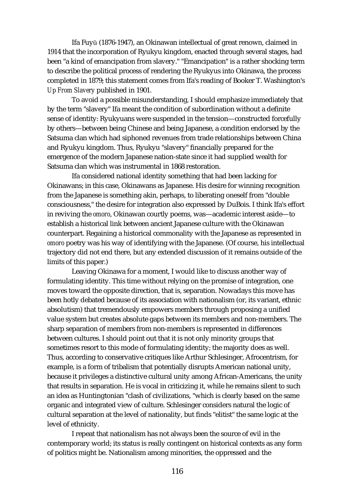Ifa Fuyū (1876-1947), an Okinawan intellectual of great renown, claimed in 1914 that the incorporation of Ryukyu kingdom, enacted through several stages, had been "a kind of emancipation from slavery." "Emancipation" is a rather shocking term to describe the political process of rendering the Ryukyus into Okinawa, the process completed in 1879; this statement comes from Ifa's reading of Booker T. Washington's *Up From Slavery* published in 1901.

To avoid a possible misunderstanding, I should emphasize immediately that by the term "slavery" Ifa meant the condition of subordination without a definite sense of identity: Ryukyuans were suspended in the tension—constructed forcefully by others—between being Chinese and being Japanese, a condition endorsed by the Satsuma clan which had siphoned revenues from trade relationships between China and Ryukyu kingdom. Thus, Ryukyu "slavery" financially prepared for the emergence of the modern Japanese nation-state since it had supplied wealth for Satsuma clan which was instrumental in 1868 restoration.

Ifa considered national identity something that had been lacking for Okinawans; in this case, Okinawans as Japanese. His desire for winning recognition from the Japanese is something akin, perhaps, to liberating oneself from "double consciousness," the desire for integration also expressed by DuBois. I think Ifa's effort in reviving the *omoro*, Okinawan courtly poems, was—academic interest aside—to establish a historical link between ancient Japanese culture with the Okinawan counterpart. Regaining a historical commonality with the Japanese as represented in *omoro* poetry was his way of identifying with the Japanese. (Of course, his intellectual trajectory did not end there, but any extended discussion of it remains outside of the limits of this paper.)

Leaving Okinawa for a moment, I would like to discuss another way of formulating identity. This time without relying on the promise of integration, one moves toward the opposite direction, that is, separation. Nowadays this move has been hotly debated because of its association with nationalism (or, its variant, ethnic absolutism) that tremendously empowers members through proposing a unified value system but creates absolute gaps between its members and non-members. The sharp separation of members from non-members is represented in differences between cultures. I should point out that it is not only minority groups that sometimes resort to this mode of formulating identity; the majority does as well. Thus, according to conservative critiques like Arthur Schlesinger, Afrocentrism, for example, is a form of tribalism that potentially disrupts American national unity, because it privileges a distinctive cultural unity among African-Americans, the unity that results in separation. He is vocal in criticizing it, while he remains silent to such an idea as Huntingtonian "clash of civilizations, "which is clearly based on the same organic and integrated view of culture. Schlesinger considers natural the logic of cultural separation at the level of nationality, but finds "elitist" the same logic at the level of ethnicity.

I repeat that nationalism has not always been the source of evil in the contemporary world; its status is really contingent on historical contexts as any form of politics might be. Nationalism among minorities, the oppressed and the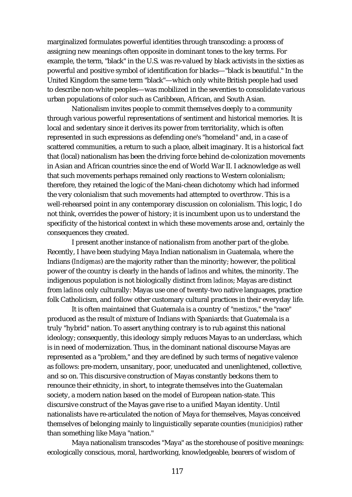marginalized formulates powerful identities through transcoding: a process of assigning new meanings often opposite in dominant tones to the key terms. For example, the term, "black" in the U.S. was re-valued by black activists in the sixties as powerful and positive symbol of identification for blacks—"black is beautiful." In the United Kingdom the same term "black"—which only white British people had used to describe non-white peoples—was mobilized in the seventies to consolidate various urban populations of color such as Caribbean, African, and South Asian.

Nationalism invites people to commit themselves deeply to a community through various powerful representations of sentiment and historical memories. It is local and sedentary since it derives its power from territoriality, which is often represented in such expressions as defending one's "homeland" and, in a case of scattered communities, a return to such a place, albeit imaginary. It is a historical fact that (local) nationalism has been the driving force behind de-colonization movements in Asian and African countries since the end of World War II. I acknowledge as well that such movements perhaps remained only reactions to Western colonialism; therefore, they retained the logic of the Mani-chean dichotomy which had informed the very colonialism that such movements had attempted to overthrow. This is a well-rehearsed point in any contemporary discussion on colonialism. This logic, I do not think, overrides the power of history; it is incumbent upon us to understand the specificity of the historical context in which these movements arose and, certainly the consequences they created.

I present another instance of nationalism from another part of the globe. Recently, I have been studying Maya Indian nationalism in Guatemala, where the Indians (*Indígenas*) are the majority rather than the minority; however, the political power of the country is clearly in the hands of *ladinos* and whites, the minority. The indigenous population is not biologically distinct from *ladinos*; Mayas are distinct from *ladinos* only culturally: Mayas use one of twenty-two native languages, practice folk Catholicism, and follow other customary cultural practices in their everyday life.

It is often maintained that Guatemala is a country of "*mestizos*," the "race" produced as the result of mixture of Indians with Spaniards: that Guatemala is a truly "hybrid" nation. To assert anything contrary is to rub against this national ideology; consequently, this ideology simply reduces Mayas to an underclass, which is in need of modernization. Thus, in the dominant national discourse Mayas are represented as a "problem," and they are defined by such terms of negative valence as follows: pre-modern, unsanitary, poor, uneducated and unenlightened, collective, and so on. This discursive construction of Mayas constantly beckons them to renounce their ethnicity, in short, to integrate themselves into the Guatemalan society, a modern nation based on the model of European nation-state. This discursive construct of the Mayas gave rise to a unified Mayan identity. Until nationalists have re-articulated the notion of Maya for themselves, Mayas conceived themselves of belonging mainly to linguistically separate counties (*municipios*) rather than something like Maya "nation."

Maya nationalism transcodes "Maya" as the storehouse of positive meanings: ecologically conscious, moral, hardworking, knowledgeable, bearers of wisdom of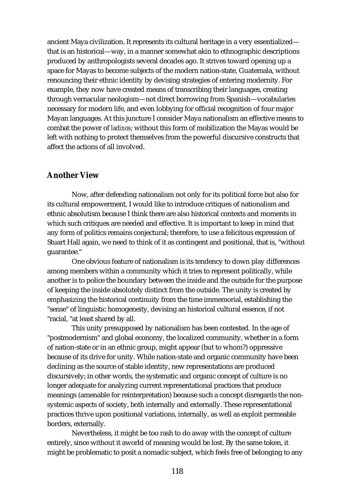ancient Maya civilization. It represents its cultural heritage in a very essentialized that is an historical—way, in a manner somewhat akin to ethnographic descriptions produced by anthropologists several decades ago. It strives toward opening up a space for Mayas to become subjects of the modern nation-state, Guatemala, without renouncing their ethnic identity by devising strategies of entering modernity. For example, they now have created means of transcribing their languages, creating through vernacular neologism—not direct borrowing from Spanish—vocabularies necessary for modern life, and even lobbying for official recognition of four major Mayan languages. At this juncture I consider Maya nationalism an effective means to combat the power of *ladinos*; without this form of mobilization the Mayas would be left with nothing to protect themselves from the powerful discursive constructs that affect the actions of all involved.

#### **Another View**

Now, after defending nationalism not only for its political force but also for its cultural empowerment, I would like to introduce critiques of nationalism and ethnic absolutism because I think there are also historical contexts and moments in which such critiques are needed and effective. It is important to keep in mind that any form of politics remains conjectural; therefore, to use a felicitous expression of Stuart Hall again, we need to think of it as contingent and positional, that is, "without guarantee."

One obvious feature of nationalism is its tendency to down play differences among members within a community which it tries to represent politically, while another is to police the boundary between the inside and the outside for the purpose of keeping the inside absolutely distinct from the outside. The unity is created by emphasizing the historical continuity from the time immemorial, establishing the "sense" of linguistic homogeneity, devising an historical cultural essence, if not "racial, "at least shared by all.

This unity presupposed by nationalism has been contested. In the age of "postmodernism" and global economy, the localized community, whether in a form of nation-state or in an ethnic group, might appear (but to whom?) oppressive because of its drive for unity. While nation-state and organic community have been declining as the source of stable identity, new representations are produced discursively; in other words, the systematic and organic concept of culture is no longer adequate for analyzing current representational practices that produce meanings (amenable for reinterpretation) because such a concept disregards the nonsystemic aspects of society, both internally and externally. These representational practices thrive upon positional variations, internally, as well as exploit permeable borders, externally.

Nevertheless, it might be too rash to do away with the concept of culture entirely, since without it aworld of meaning would be lost. By the same token, it might be problematic to posit a nomadic subject, which feels free of belonging to any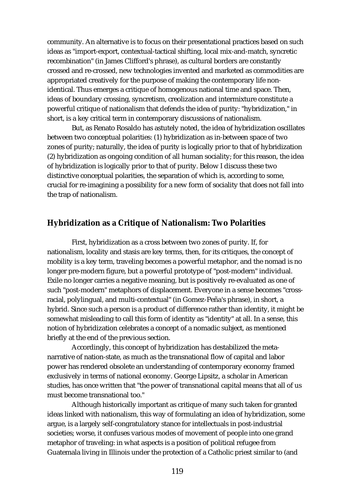community. An alternative is to focus on their presentational practices based on such ideas as "import-export, contextual-tactical shifting, local mix-and-match, syncretic recombination" (in James Clifford's phrase), as cultural borders are constantly crossed and re-crossed, new technologies invented and marketed as commodities are appropriated creatively for the purpose of making the contemporary life nonidentical. Thus emerges a critique of homogenous national time and space. Then, ideas of boundary crossing, syncretism, creolization and intermixture constitute a powerful critique of nationalism that defends the idea of purity: "hybridization," in short, is a key critical term in contemporary discussions of nationalism.

But, as Renato Rosaldo has astutely noted, the idea of hybridization oscillates between two conceptual polarities: (1) hybridization as in-between space of two zones of purity; naturally, the idea of purity is logically prior to that of hybridization (2) hybridization as ongoing condition of all human sociality; for this reason, the idea of hybridization is logically prior to that of purity. Below I discuss these two distinctive conceptual polarities, the separation of which is, according to some, crucial for re-imagining a possibility for a new form of sociality that does not fall into the trap of nationalism.

#### **Hybridization as a Critique of Nationalism: Two Polarities**

First, hybridization as a cross between two zones of purity. If, for nationalism, locality and stasis are key terms, then, for its critiques, the concept of mobility is a key term, traveling becomes a powerful metaphor, and the nomad is no longer pre-modern figure, but a powerful prototype of "post-modern" individual. Exile no longer carries a negative meaning, but is positively re-evaluated as one of such "post-modern" metaphors of displacement. Everyone in a sense becomes "crossracial, polylingual, and multi-contextual" (in Gomez-Peña's phrase), in short, a hybrid. Since such a person is a product of difference rather than identity, it might be somewhat misleading to call this form of identity as "identity" at all. In a sense, this notion of hybridization celebrates a concept of a nomadic subject, as mentioned briefly at the end of the previous section.

Accordingly, this concept of hybridization has destabilized the metanarrative of nation-state, as much as the transnational flow of capital and labor power has rendered obsolete an understanding of contemporary economy framed exclusively in terms of national economy. George Lipsitz, a scholar in American studies, has once written that "the power of transnational capital means that all of us must become transnational too."

Although historically important as critique of many such taken for granted ideas linked with nationalism, this way of formulating an idea of hybridization, some argue, is a largely self-congratulatory stance for intellectuals in post-industrial societies; worse, it confuses various modes of movement of people into one grand metaphor of traveling: in what aspects is a position of political refugee from Guatemala living in Illinois under the protection of a Catholic priest similar to (and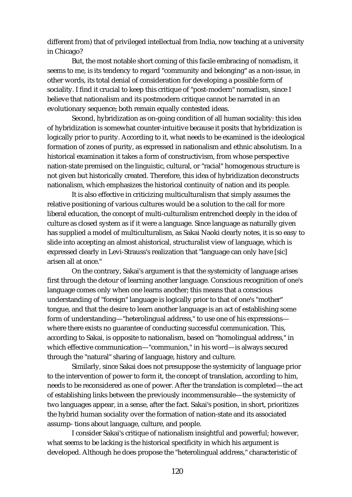different from) that of privileged intellectual from India, now teaching at a university in Chicago?

But, the most notable short coming of this facile embracing of nomadism, it seems to me, is its tendency to regard "community and belonging" as a non-issue, in other words, its total denial of consideration for developing a possible form of sociality. I find it crucial to keep this critique of "post-modern" nomadism, since I believe that nationalism and its postmodern critique cannot be narrated in an evolutionary sequence; both remain equally contested ideas.

Second, hybridization as on-going condition of all human sociality: this idea of hybridization is somewhat counter-intuitive because it posits that hybridization is logically prior to purity. According to it, what needs to be examined is the ideological formation of zones of purity, as expressed in nationalism and ethnic absolutism. In a historical examination it takes a form of constructivism, from whose perspective nation-state premised on the linguistic, cultural, or "racial" homogenous structure is not given but historically created. Therefore, this idea of hybridization deconstructs nationalism, which emphasizes the historical continuity of nation and its people.

It is also effective in criticizing multiculturalism that simply assumes the relative positioning of various cultures would be a solution to the call for more liberal education, the concept of multi-culturalism entrenched deeply in the idea of culture as closed system as if it were a language. Since language as naturally given has supplied a model of multiculturalism, as Sakai Naoki clearly notes, it is so easy to slide into accepting an almost ahistorical, structuralist view of language, which is expressed clearly in Levi-Strauss's realization that "language can only have [sic] arisen all at once."

On the contrary, Sakai's argument is that the systemicity of language arises first through the detour of learning another language. Conscious recognition of one's language comes only when one learns another; this means that a conscious understanding of "foreign" language is logically prior to that of one's "mother" tongue, and that the desire to learn another language is an act of establishing some form of understanding—"heterolingual address," to use one of his expressions where there exists no guarantee of conducting successful communication. This, according to Sakai, is opposite to nationalism, based on "homolingual address," in which effective communication—"communion," in his word—is always secured through the "natural" sharing of language, history and culture.

Similarly, since Sakai does not presuppose the systemicity of language prior to the intervention of power to form it, the concept of translation, according to him, needs to be reconsidered as one of power. After the translation is completed—the act of establishing links between the previously incommensurable—the systemicity of two languages appear, in a sense, after the fact. Sakai's position, in short, prioritizes the hybrid human sociality over the formation of nation-state and its associated assump- tions about language, culture, and people.

I consider Sakai's critique of nationalism insightful and powerful; however, what seems to be lacking is the historical specificity in which his argument is developed. Although he does propose the "heterolingual address," characteristic of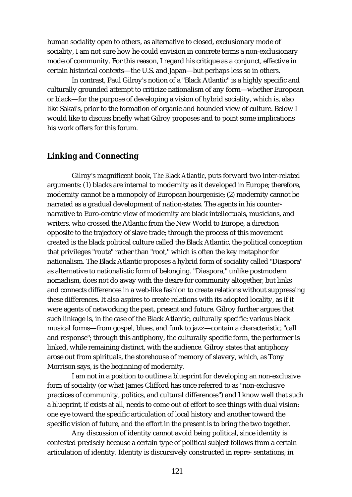human sociality open to others, as alternative to closed, exclusionary mode of sociality, I am not sure how he could envision in concrete terms a non-exclusionary mode of community. For this reason, I regard his critique as a conjunct, effective in certain historical contexts—the U.S. and Japan—but perhaps less so in others.

In contrast, Paul Gilroy's notion of a "Black Atlantic" is a highly specific and culturally grounded attempt to criticize nationalism of any form—whether European or black—for the purpose of developing a vision of hybrid sociality, which is, also like Sakai's, prior to the formation of organic and bounded view of culture. Below I would like to discuss briefly what Gilroy proposes and to point some implications his work offers for this forum.

#### **Linking and Connecting**

Gilroy's magnificent book, *The Black Atlantic*, puts forward two inter-related arguments: (1) blacks are internal to modernity as it developed in Europe; therefore, modernity cannot be a monopoly of European bourgeoisie; (2) modernity cannot be narrated as a gradual development of nation-states. The agents in his counternarrative to Euro-centric view of modernity are black intellectuals, musicians, and writers, who crossed the Atlantic from the New World to Europe, a direction opposite to the trajectory of slave trade; through the process of this movement created is the black political culture called the Black Atlantic, the political conception that privileges "route" rather than "root," which is often the key metaphor for nationalism. The Black Atlantic proposes a hybrid form of sociality called "Diaspora" as alternative to nationalistic form of belonging. "Diaspora," unlike postmodern nomadism, does not do away with the desire for community altogether, but links and connects differences in a web-like fashion to create relations without suppressing these differences. It also aspires to create relations with its adopted locality, as if it were agents of networking the past, present and future. Gilroy further argues that such linkage is, in the case of the Black Atlantic, culturally specific: various black musical forms—from gospel, blues, and funk to jazz—contain a characteristic, "call and response"; through this antiphony, the culturally specific form, the performer is linked, while remaining distinct, with the audience. Gilroy states that antiphony arose out from spirituals, the storehouse of memory of slavery, which, as Tony Morrison says, is the beginning of modernity.

I am not in a position to outline a blueprint for developing an non-exclusive form of sociality (or what James Clifford has once referred to as "non-exclusive practices of community, politics, and cultural differences") and I know well that such a blueprint, if exists at all, needs to come out of effort to see things with dual vision: one eye toward the specific articulation of local history and another toward the specific vision of future, and the effort in the present is to bring the two together.

Any discussion of identity cannot avoid being political, since identity is contested precisely because a certain type of political subject follows from a certain articulation of identity. Identity is discursively constructed in repre- sentations; in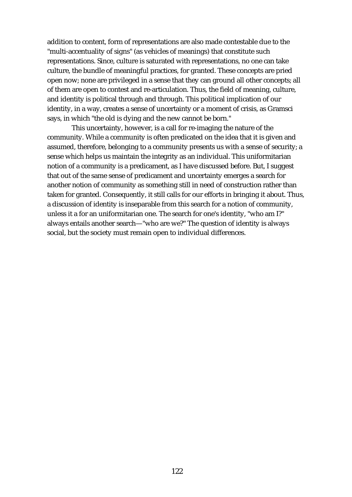addition to content, form of representations are also made contestable due to the "multi-accentuality of signs" (as vehicles of meanings) that constitute such representations. Since, culture is saturated with representations, no one can take culture, the bundle of meaningful practices, for granted. These concepts are pried open now; none are privileged in a sense that they can ground all other concepts; all of them are open to contest and re-articulation. Thus, the field of meaning, culture, and identity is political through and through. This political implication of our identity, in a way, creates a sense of uncertainty or a moment of crisis, as Gramsci says, in which "the old is dying and the new cannot be born."

This uncertainty, however, is a call for re-imaging the nature of the community. While a community is often predicated on the idea that it is given and assumed, therefore, belonging to a community presents us with a sense of security; a sense which helps us maintain the integrity as an individual. This uniformitarian notion of a community is a predicament, as I have discussed before. But, I suggest that out of the same sense of predicament and uncertainty emerges a search for another notion of community as something still in need of construction rather than taken for granted. Consequently, it still calls for our efforts in bringing it about. Thus, a discussion of identity is inseparable from this search for a notion of community, unless it a for an uniformitarian one. The search for one's identity, "who am I?" always entails another search—"who are we?" The question of identity is always social, but the society must remain open to individual differences.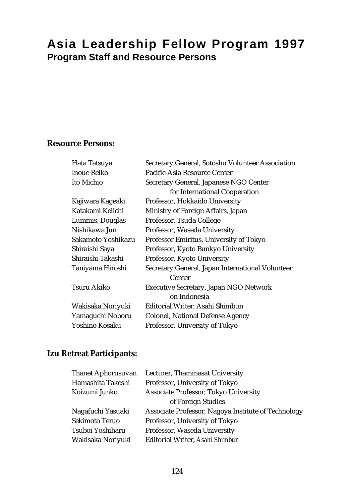# **Asia Leadership Fellow Program 1997 Program Staff and Resource Persons**

## **Resource Persons:**

| Hata Tatsuya       | Secretary General, Sotoshu Volunteer Association |  |
|--------------------|--------------------------------------------------|--|
| Inoue Reiko        | Pacific-Asia Resource Center                     |  |
| Ito Michio         | Secretary General, Japanese NGO Center           |  |
|                    | for International Cooperation                    |  |
| Kajiwara Kageaki   | Professor, Hokkaido University                   |  |
| Katakami Keiichi   | Ministry of Foreign Affairs, Japan               |  |
| Lummis, Douglas    | Professor, Tsuda College                         |  |
| Nishikawa Jun      | Professor, Waseda University                     |  |
| Sakamoto Yoshikazu | Professor Emiritus, University of Tokyo          |  |
| Shiraishi Saya     | Professor, Kyoto Bunkyo University               |  |
| Shiraishi Takashi  | Professor, Kyoto University                      |  |
| Taniyama Hiroshi   | Secretary General, Japan International Volunteer |  |
|                    | Center                                           |  |
| Tsuru Akiko        | <b>Executive Secretary, Japan NGO Network</b>    |  |
|                    | on Indonesia                                     |  |
| Wakisaka Noriyuki  | Editorial Writer, Asahi Shimbun                  |  |
| Yamaguchi Noboru   | <b>Colonel, National Defense Agency</b>          |  |
| Yoshino Kosaku     | Professor, University of Tokyo                   |  |

### **Izu Retreat Participants:**

| <b>Thanet Aphorusuvan</b> | Lecturer, Thammasat University                      |
|---------------------------|-----------------------------------------------------|
| Hamashita Takeshi         | Professor, University of Tokyo                      |
| Koizumi Junko             | Associate Professor, Tokyo University               |
|                           | of Foreign Studies                                  |
| Nagafuchi Yasuaki         | Associate Professor, Nagoya Institute of Technology |
| Sekimoto Teruo            | Professor, University of Tokyo                      |
| Tsuboi Yoshiharu          | Professor, Waseda University                        |
| Wakisaka Noriyuki         | Editorial Writer, Asahi Shimbun                     |
|                           |                                                     |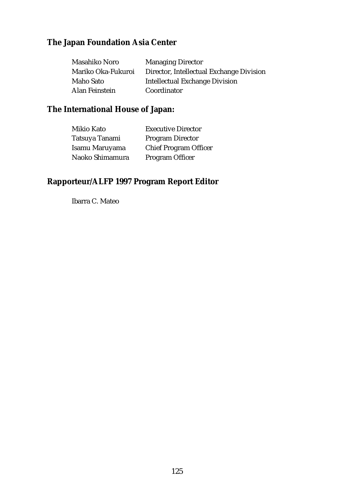# **The Japan Foundation Asia Center**

| Masahiko Noro      | <b>Managing Director</b>                 |
|--------------------|------------------------------------------|
| Mariko Oka-Fukuroi | Director, Intellectual Exchange Division |
| Maho Sato          | <b>Intellectual Exchange Division</b>    |
| Alan Feinstein     | Coordinator                              |

## **The International House of Japan:**

| Mikio Kato      | <b>Executive Director</b>    |
|-----------------|------------------------------|
| Tatsuya Tanami  | <b>Program Director</b>      |
| Isamu Maruyama  | <b>Chief Program Officer</b> |
| Naoko Shimamura | Program Officer              |

# **Rapporteur/ALFP 1997 Program Report Editor**

Ibarra C. Mateo